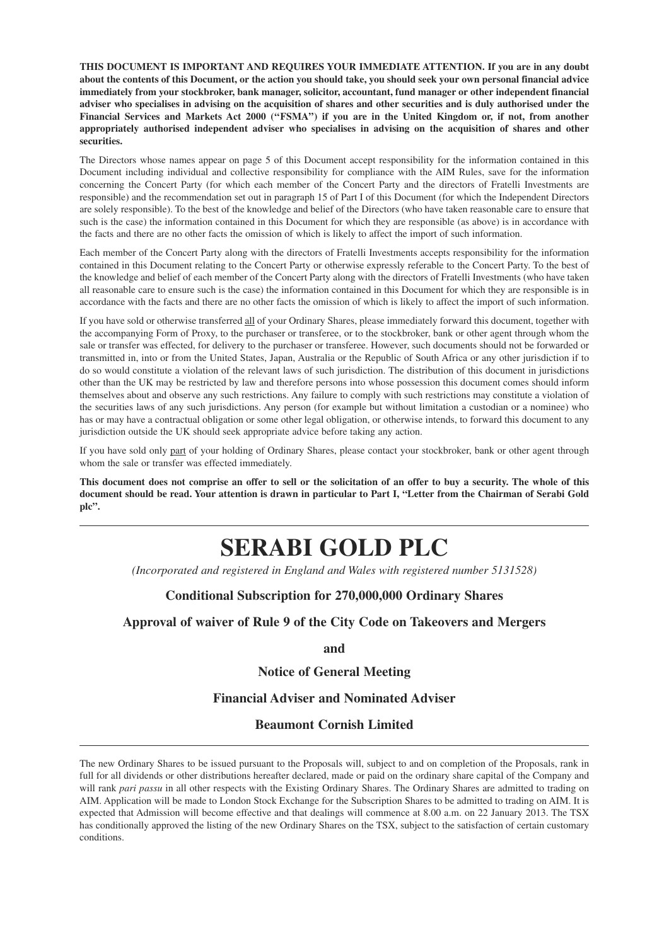**THIS DOCUMENT IS IMPORTANT AND REQUIRES YOUR IMMEDIATE ATTENTION. If you are in any doubt about the contents of this Document, or the action you should take, you should seek your own personal financial advice immediately from your stockbroker, bank manager, solicitor, accountant, fund manager or other independent financial adviser who specialises in advising on the acquisition of shares and other securities and is duly authorised under the Financial Services and Markets Act 2000 (''FSMA'') if you are in the United Kingdom or, if not, from another appropriately authorised independent adviser who specialises in advising on the acquisition of shares and other securities.**

The Directors whose names appear on page 5 of this Document accept responsibility for the information contained in this Document including individual and collective responsibility for compliance with the AIM Rules, save for the information concerning the Concert Party (for which each member of the Concert Party and the directors of Fratelli Investments are responsible) and the recommendation set out in paragraph 15 of Part I of this Document (for which the Independent Directors are solely responsible). To the best of the knowledge and belief of the Directors (who have taken reasonable care to ensure that such is the case) the information contained in this Document for which they are responsible (as above) is in accordance with the facts and there are no other facts the omission of which is likely to affect the import of such information.

Each member of the Concert Party along with the directors of Fratelli Investments accepts responsibility for the information contained in this Document relating to the Concert Party or otherwise expressly referable to the Concert Party. To the best of the knowledge and belief of each member of the Concert Party along with the directors of Fratelli Investments (who have taken all reasonable care to ensure such is the case) the information contained in this Document for which they are responsible is in accordance with the facts and there are no other facts the omission of which is likely to affect the import of such information.

If you have sold or otherwise transferred all of your Ordinary Shares, please immediately forward this document, together with the accompanying Form of Proxy, to the purchaser or transferee, or to the stockbroker, bank or other agent through whom the sale or transfer was effected, for delivery to the purchaser or transferee. However, such documents should not be forwarded or transmitted in, into or from the United States, Japan, Australia or the Republic of South Africa or any other jurisdiction if to do so would constitute a violation of the relevant laws of such jurisdiction. The distribution of this document in jurisdictions other than the UK may be restricted by law and therefore persons into whose possession this document comes should inform themselves about and observe any such restrictions. Any failure to comply with such restrictions may constitute a violation of the securities laws of any such jurisdictions. Any person (for example but without limitation a custodian or a nominee) who has or may have a contractual obligation or some other legal obligation, or otherwise intends, to forward this document to any jurisdiction outside the UK should seek appropriate advice before taking any action.

If you have sold only part of your holding of Ordinary Shares, please contact your stockbroker, bank or other agent through whom the sale or transfer was effected immediately.

**This document does not comprise an offer to sell or the solicitation of an offer to buy a security. The whole of this document should be read. Your attention is drawn in particular to Part I, "Letter from the Chairman of Serabi Gold plc".**

# **SERABI GOLD PLC**

*(Incorporated and registered in England and Wales with registered number 5131528)*

#### **Conditional Subscription for 270,000,000 Ordinary Shares**

### **Approval of waiver of Rule 9 of the City Code on Takeovers and Mergers**

**and**

#### **Notice of General Meeting**

#### **Financial Adviser and Nominated Adviser**

#### **Beaumont Cornish Limited**

The new Ordinary Shares to be issued pursuant to the Proposals will, subject to and on completion of the Proposals, rank in full for all dividends or other distributions hereafter declared, made or paid on the ordinary share capital of the Company and will rank *pari passu* in all other respects with the Existing Ordinary Shares. The Ordinary Shares are admitted to trading on AIM. Application will be made to London Stock Exchange for the Subscription Shares to be admitted to trading on AIM. It is expected that Admission will become effective and that dealings will commence at 8.00 a.m. on 22 January 2013. The TSX has conditionally approved the listing of the new Ordinary Shares on the TSX, subject to the satisfaction of certain customary conditions.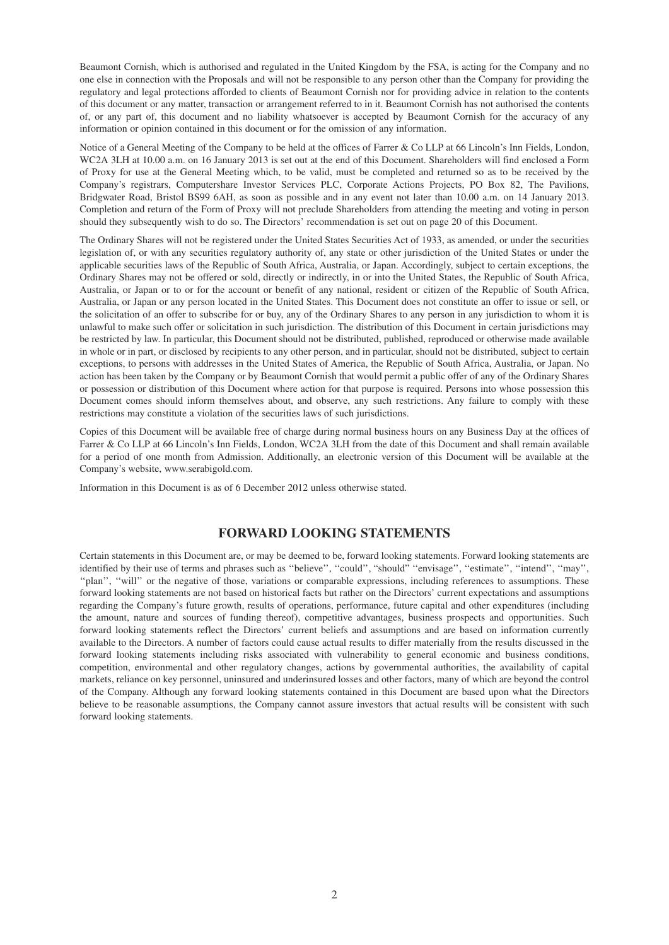Beaumont Cornish, which is authorised and regulated in the United Kingdom by the FSA, is acting for the Company and no one else in connection with the Proposals and will not be responsible to any person other than the Company for providing the regulatory and legal protections afforded to clients of Beaumont Cornish nor for providing advice in relation to the contents of this document or any matter, transaction or arrangement referred to in it. Beaumont Cornish has not authorised the contents of, or any part of, this document and no liability whatsoever is accepted by Beaumont Cornish for the accuracy of any information or opinion contained in this document or for the omission of any information.

Notice of a General Meeting of the Company to be held at the offices of Farrer & Co LLP at 66 Lincoln's Inn Fields, London, WC2A 3LH at 10.00 a.m. on 16 January 2013 is set out at the end of this Document. Shareholders will find enclosed a Form of Proxy for use at the General Meeting which, to be valid, must be completed and returned so as to be received by the Company's registrars, Computershare Investor Services PLC, Corporate Actions Projects, PO Box 82, The Pavilions, Bridgwater Road, Bristol BS99 6AH, as soon as possible and in any event not later than 10.00 a.m. on 14 January 2013. Completion and return of the Form of Proxy will not preclude Shareholders from attending the meeting and voting in person should they subsequently wish to do so. The Directors' recommendation is set out on page 20 of this Document.

The Ordinary Shares will not be registered under the United States Securities Act of 1933, as amended, or under the securities legislation of, or with any securities regulatory authority of, any state or other jurisdiction of the United States or under the applicable securities laws of the Republic of South Africa, Australia, or Japan. Accordingly, subject to certain exceptions, the Ordinary Shares may not be offered or sold, directly or indirectly, in or into the United States, the Republic of South Africa, Australia, or Japan or to or for the account or benefit of any national, resident or citizen of the Republic of South Africa, Australia, or Japan or any person located in the United States. This Document does not constitute an offer to issue or sell, or the solicitation of an offer to subscribe for or buy, any of the Ordinary Shares to any person in any jurisdiction to whom it is unlawful to make such offer or solicitation in such jurisdiction. The distribution of this Document in certain jurisdictions may be restricted by law. In particular, this Document should not be distributed, published, reproduced or otherwise made available in whole or in part, or disclosed by recipients to any other person, and in particular, should not be distributed, subject to certain exceptions, to persons with addresses in the United States of America, the Republic of South Africa, Australia, or Japan. No action has been taken by the Company or by Beaumont Cornish that would permit a public offer of any of the Ordinary Shares or possession or distribution of this Document where action for that purpose is required. Persons into whose possession this Document comes should inform themselves about, and observe, any such restrictions. Any failure to comply with these restrictions may constitute a violation of the securities laws of such jurisdictions.

Copies of this Document will be available free of charge during normal business hours on any Business Day at the offices of Farrer & Co LLP at 66 Lincoln's Inn Fields, London, WC2A 3LH from the date of this Document and shall remain available for a period of one month from Admission. Additionally, an electronic version of this Document will be available at the Company's website, www.serabigold.com.

Information in this Document is as of 6 December 2012 unless otherwise stated.

#### **FORWARD LOOKING STATEMENTS**

Certain statements in this Document are, or may be deemed to be, forward looking statements. Forward looking statements are identified by their use of terms and phrases such as "believe", "could", "should" "envisage", "estimate", "intend", "may", "plan", "will" or the negative of those, variations or comparable expressions, including references to assumptions. These forward looking statements are not based on historical facts but rather on the Directors' current expectations and assumptions regarding the Company's future growth, results of operations, performance, future capital and other expenditures (including the amount, nature and sources of funding thereof), competitive advantages, business prospects and opportunities. Such forward looking statements reflect the Directors' current beliefs and assumptions and are based on information currently available to the Directors. A number of factors could cause actual results to differ materially from the results discussed in the forward looking statements including risks associated with vulnerability to general economic and business conditions, competition, environmental and other regulatory changes, actions by governmental authorities, the availability of capital markets, reliance on key personnel, uninsured and underinsured losses and other factors, many of which are beyond the control of the Company. Although any forward looking statements contained in this Document are based upon what the Directors believe to be reasonable assumptions, the Company cannot assure investors that actual results will be consistent with such forward looking statements.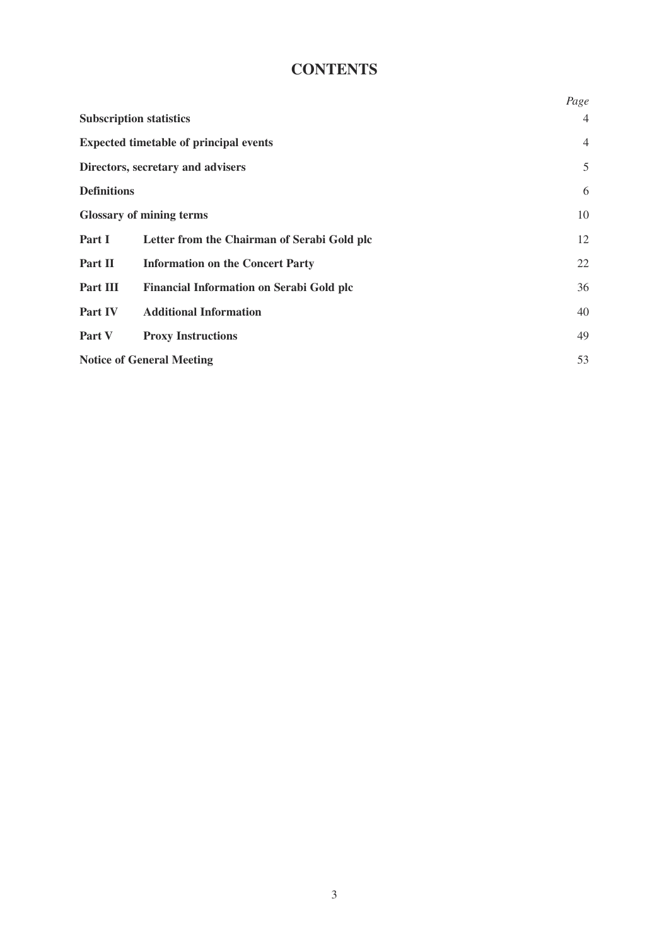# **CONTENTS**

|                    |                                                 | Page           |
|--------------------|-------------------------------------------------|----------------|
|                    | <b>Subscription statistics</b>                  | $\overline{4}$ |
|                    | <b>Expected timetable of principal events</b>   | $\overline{4}$ |
|                    | Directors, secretary and advisers               | 5              |
| <b>Definitions</b> |                                                 | 6              |
|                    | <b>Glossary of mining terms</b>                 | 10             |
| Part I             | Letter from the Chairman of Serabi Gold plc     | 12             |
| Part II            | <b>Information on the Concert Party</b>         | 22             |
| Part III           | <b>Financial Information on Serabi Gold plc</b> | 36             |
| Part IV            | <b>Additional Information</b>                   | 40             |
| Part V             | <b>Proxy Instructions</b>                       | 49             |
|                    | <b>Notice of General Meeting</b>                | 53             |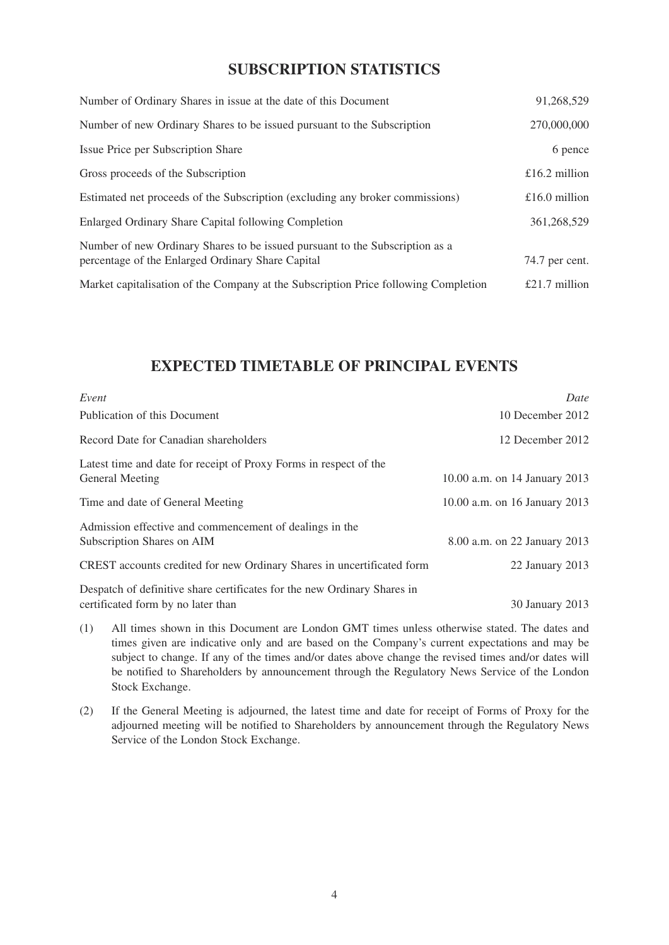### **SUBSCRIPTION STATISTICS**

| Number of Ordinary Shares in issue at the date of this Document                                                                   | 91,268,529     |
|-----------------------------------------------------------------------------------------------------------------------------------|----------------|
| Number of new Ordinary Shares to be issued pursuant to the Subscription                                                           | 270,000,000    |
| Issue Price per Subscription Share                                                                                                | 6 pence        |
| Gross proceeds of the Subscription                                                                                                | £16.2 million  |
| Estimated net proceeds of the Subscription (excluding any broker commissions)                                                     | £16.0 million  |
| Enlarged Ordinary Share Capital following Completion                                                                              | 361, 268, 529  |
| Number of new Ordinary Shares to be issued pursuant to the Subscription as a<br>percentage of the Enlarged Ordinary Share Capital | 74.7 per cent. |
| Market capitalisation of the Company at the Subscription Price following Completion                                               | £21.7 million  |

### **EXPECTED TIMETABLE OF PRINCIPAL EVENTS**

| Event                                                                                                          | Date                                                                                                                                                                                                                                                                                             |
|----------------------------------------------------------------------------------------------------------------|--------------------------------------------------------------------------------------------------------------------------------------------------------------------------------------------------------------------------------------------------------------------------------------------------|
| Publication of this Document                                                                                   | 10 December 2012                                                                                                                                                                                                                                                                                 |
| Record Date for Canadian shareholders                                                                          | 12 December 2012                                                                                                                                                                                                                                                                                 |
| Latest time and date for receipt of Proxy Forms in respect of the<br>General Meeting                           | 10.00 a.m. on 14 January 2013                                                                                                                                                                                                                                                                    |
| Time and date of General Meeting                                                                               | 10.00 a.m. on 16 January 2013                                                                                                                                                                                                                                                                    |
| Admission effective and commencement of dealings in the<br>Subscription Shares on AIM                          | 8.00 a.m. on 22 January 2013                                                                                                                                                                                                                                                                     |
| CREST accounts credited for new Ordinary Shares in uncertificated form                                         | 22 January 2013                                                                                                                                                                                                                                                                                  |
| Despatch of definitive share certificates for the new Ordinary Shares in<br>certificated form by no later than | 30 January 2013                                                                                                                                                                                                                                                                                  |
| $(1)$ and $(1)$ and $(1)$ and $(2)$ and $(3)$ and $(4)$                                                        | $\mathbf{1}$ and $\mathbf{1}$ and $\mathbf{1}$ and $\mathbf{1}$ and $\mathbf{1}$ and $\mathbf{1}$ and $\mathbf{1}$ and $\mathbf{1}$ and $\mathbf{1}$ and $\mathbf{1}$ and $\mathbf{1}$ and $\mathbf{1}$ and $\mathbf{1}$ and $\mathbf{1}$ and $\mathbf{1}$ and $\mathbf{1}$ and $\mathbf{1}$ and |

- (1) All times shown in this Document are London GMT times unless otherwise stated. The dates and times given are indicative only and are based on the Company's current expectations and may be subject to change. If any of the times and/or dates above change the revised times and/or dates will be notified to Shareholders by announcement through the Regulatory News Service of the London Stock Exchange.
- (2) If the General Meeting is adjourned, the latest time and date for receipt of Forms of Proxy for the adjourned meeting will be notified to Shareholders by announcement through the Regulatory News Service of the London Stock Exchange.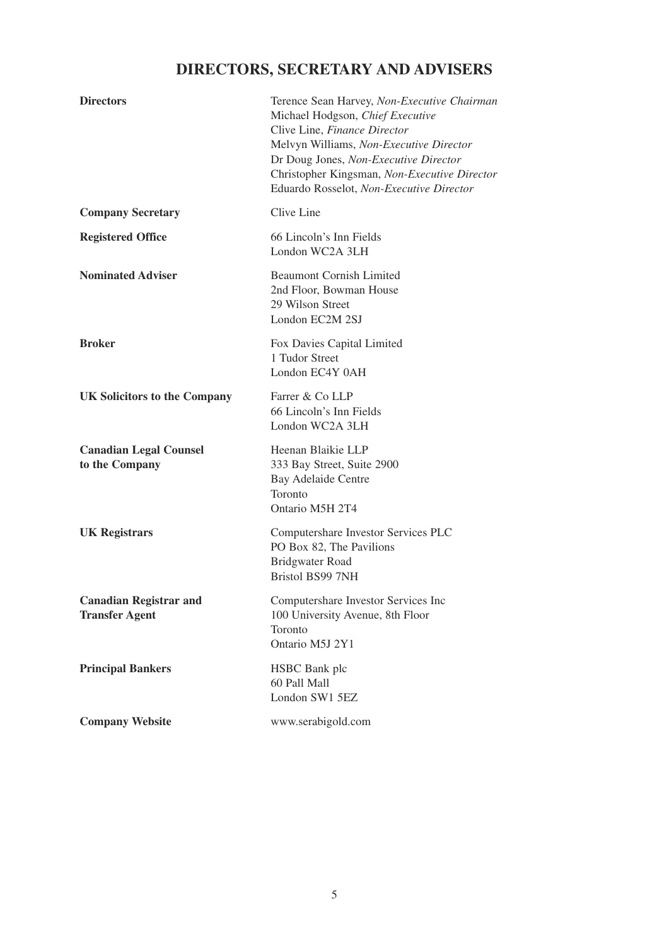# **DIRECTORS, SECRETARY AND ADVISERS**

| <b>Directors</b>                                       | Terence Sean Harvey, Non-Executive Chairman<br>Michael Hodgson, Chief Executive<br>Clive Line, Finance Director<br>Melvyn Williams, Non-Executive Director<br>Dr Doug Jones, Non-Executive Director<br>Christopher Kingsman, Non-Executive Director<br>Eduardo Rosselot, Non-Executive Director |
|--------------------------------------------------------|-------------------------------------------------------------------------------------------------------------------------------------------------------------------------------------------------------------------------------------------------------------------------------------------------|
| <b>Company Secretary</b>                               | Clive Line                                                                                                                                                                                                                                                                                      |
| <b>Registered Office</b>                               | 66 Lincoln's Inn Fields<br>London WC2A 3LH                                                                                                                                                                                                                                                      |
| <b>Nominated Adviser</b>                               | <b>Beaumont Cornish Limited</b><br>2nd Floor, Bowman House<br>29 Wilson Street<br>London EC2M 2SJ                                                                                                                                                                                               |
| <b>Broker</b>                                          | Fox Davies Capital Limited<br>1 Tudor Street<br>London EC4Y 0AH                                                                                                                                                                                                                                 |
| UK Solicitors to the Company                           | Farrer & Co LLP<br>66 Lincoln's Inn Fields<br>London WC2A 3LH                                                                                                                                                                                                                                   |
| <b>Canadian Legal Counsel</b><br>to the Company        | Heenan Blaikie LLP<br>333 Bay Street, Suite 2900<br>Bay Adelaide Centre<br>Toronto<br>Ontario M5H 2T4                                                                                                                                                                                           |
| <b>UK Registrars</b>                                   | Computershare Investor Services PLC<br>PO Box 82, The Pavilions<br><b>Bridgwater Road</b><br>Bristol BS99 7NH                                                                                                                                                                                   |
| <b>Canadian Registrar and</b><br><b>Transfer Agent</b> | Computershare Investor Services Inc<br>100 University Avenue, 8th Floor<br>Toronto<br>Ontario M5J 2Y1                                                                                                                                                                                           |
| <b>Principal Bankers</b>                               | <b>HSBC</b> Bank plc<br>60 Pall Mall<br>London SW1 5EZ                                                                                                                                                                                                                                          |
| <b>Company Website</b>                                 | www.serabigold.com                                                                                                                                                                                                                                                                              |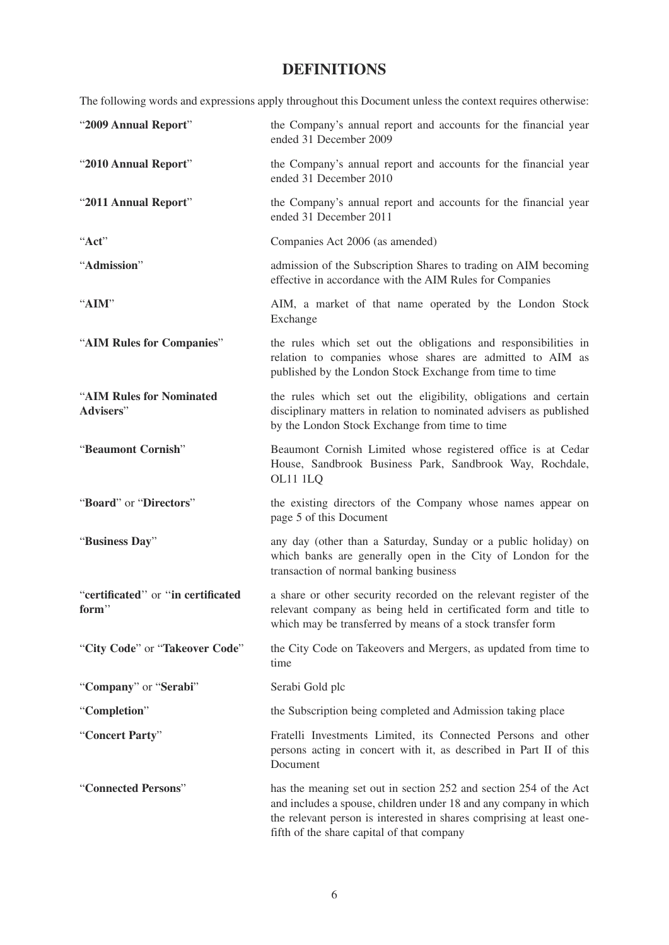# **DEFINITIONS**

The following words and expressions apply throughout this Document unless the context requires otherwise:

| "2009 Annual Report"                        | the Company's annual report and accounts for the financial year<br>ended 31 December 2009                                                                                                                                                                    |
|---------------------------------------------|--------------------------------------------------------------------------------------------------------------------------------------------------------------------------------------------------------------------------------------------------------------|
| "2010 Annual Report"                        | the Company's annual report and accounts for the financial year<br>ended 31 December 2010                                                                                                                                                                    |
| "2011 Annual Report"                        | the Company's annual report and accounts for the financial year<br>ended 31 December 2011                                                                                                                                                                    |
| "Act"                                       | Companies Act 2006 (as amended)                                                                                                                                                                                                                              |
| "Admission"                                 | admission of the Subscription Shares to trading on AIM becoming<br>effective in accordance with the AIM Rules for Companies                                                                                                                                  |
| "AIM"                                       | AIM, a market of that name operated by the London Stock<br>Exchange                                                                                                                                                                                          |
| "AIM Rules for Companies"                   | the rules which set out the obligations and responsibilities in<br>relation to companies whose shares are admitted to AIM as<br>published by the London Stock Exchange from time to time                                                                     |
| "AIM Rules for Nominated<br>Advisers"       | the rules which set out the eligibility, obligations and certain<br>disciplinary matters in relation to nominated advisers as published<br>by the London Stock Exchange from time to time                                                                    |
| "Beaumont Cornish"                          | Beaumont Cornish Limited whose registered office is at Cedar<br>House, Sandbrook Business Park, Sandbrook Way, Rochdale,<br>OL11 1LQ                                                                                                                         |
| "Board" or "Directors"                      | the existing directors of the Company whose names appear on<br>page 5 of this Document                                                                                                                                                                       |
| "Business Day"                              | any day (other than a Saturday, Sunday or a public holiday) on<br>which banks are generally open in the City of London for the<br>transaction of normal banking business                                                                                     |
| "certificated" or "in certificated<br>form" | a share or other security recorded on the relevant register of the<br>relevant company as being held in certificated form and title to<br>which may be transferred by means of a stock transfer form                                                         |
| "City Code" or "Takeover Code"              | the City Code on Takeovers and Mergers, as updated from time to<br>time                                                                                                                                                                                      |
| "Company" or "Serabi"                       | Serabi Gold plc                                                                                                                                                                                                                                              |
| "Completion"                                | the Subscription being completed and Admission taking place                                                                                                                                                                                                  |
| "Concert Party"                             | Fratelli Investments Limited, its Connected Persons and other<br>persons acting in concert with it, as described in Part II of this<br>Document                                                                                                              |
| "Connected Persons"                         | has the meaning set out in section 252 and section 254 of the Act<br>and includes a spouse, children under 18 and any company in which<br>the relevant person is interested in shares comprising at least one-<br>fifth of the share capital of that company |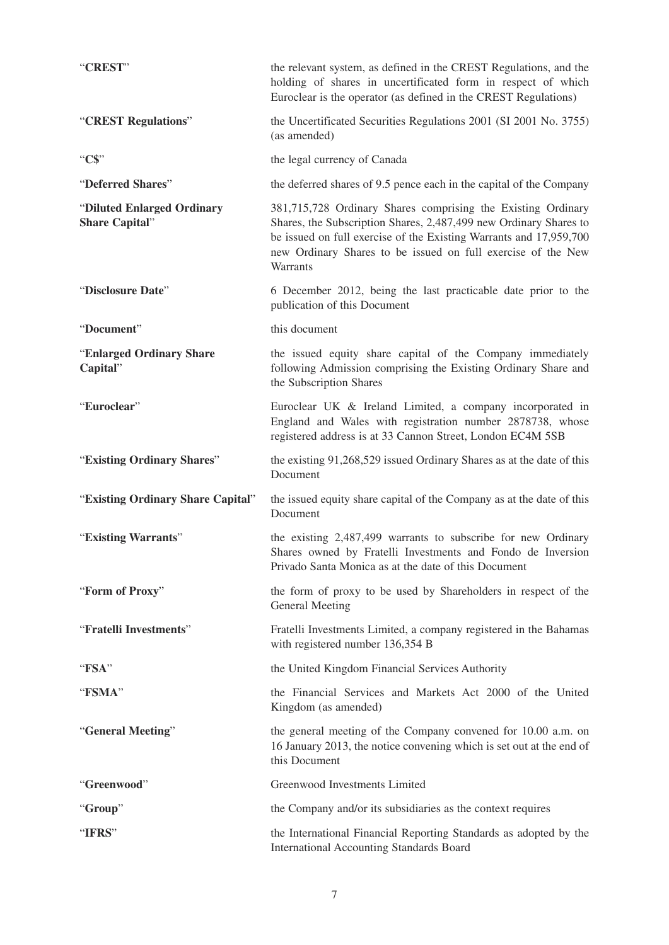| "CREST"                                             | the relevant system, as defined in the CREST Regulations, and the<br>holding of shares in uncertificated form in respect of which<br>Euroclear is the operator (as defined in the CREST Regulations)                                                                                       |
|-----------------------------------------------------|--------------------------------------------------------------------------------------------------------------------------------------------------------------------------------------------------------------------------------------------------------------------------------------------|
| "CREST Regulations"                                 | the Uncertificated Securities Regulations 2001 (SI 2001 No. 3755)<br>(as amended)                                                                                                                                                                                                          |
| " $CS$ "                                            | the legal currency of Canada                                                                                                                                                                                                                                                               |
| "Deferred Shares"                                   | the deferred shares of 9.5 pence each in the capital of the Company                                                                                                                                                                                                                        |
| "Diluted Enlarged Ordinary<br><b>Share Capital"</b> | 381,715,728 Ordinary Shares comprising the Existing Ordinary<br>Shares, the Subscription Shares, 2,487,499 new Ordinary Shares to<br>be issued on full exercise of the Existing Warrants and 17,959,700<br>new Ordinary Shares to be issued on full exercise of the New<br><b>Warrants</b> |
| "Disclosure Date"                                   | 6 December 2012, being the last practicable date prior to the<br>publication of this Document                                                                                                                                                                                              |
| "Document"                                          | this document                                                                                                                                                                                                                                                                              |
| "Enlarged Ordinary Share<br>Capital"                | the issued equity share capital of the Company immediately<br>following Admission comprising the Existing Ordinary Share and<br>the Subscription Shares                                                                                                                                    |
| "Euroclear"                                         | Euroclear UK & Ireland Limited, a company incorporated in<br>England and Wales with registration number 2878738, whose<br>registered address is at 33 Cannon Street, London EC4M 5SB                                                                                                       |
| "Existing Ordinary Shares"                          | the existing 91,268,529 issued Ordinary Shares as at the date of this<br>Document                                                                                                                                                                                                          |
| "Existing Ordinary Share Capital"                   | the issued equity share capital of the Company as at the date of this<br>Document                                                                                                                                                                                                          |
| "Existing Warrants"                                 | the existing 2,487,499 warrants to subscribe for new Ordinary<br>Shares owned by Fratelli Investments and Fondo de Inversion<br>Privado Santa Monica as at the date of this Document                                                                                                       |
| "Form of Proxy"                                     | the form of proxy to be used by Shareholders in respect of the<br><b>General Meeting</b>                                                                                                                                                                                                   |
| "Fratelli Investments"                              | Fratelli Investments Limited, a company registered in the Bahamas<br>with registered number 136,354 B                                                                                                                                                                                      |
| "FSA"                                               | the United Kingdom Financial Services Authority                                                                                                                                                                                                                                            |
| "FSMA"                                              | the Financial Services and Markets Act 2000 of the United<br>Kingdom (as amended)                                                                                                                                                                                                          |
| "General Meeting"                                   | the general meeting of the Company convened for 10.00 a.m. on<br>16 January 2013, the notice convening which is set out at the end of<br>this Document                                                                                                                                     |
| "Greenwood"                                         | Greenwood Investments Limited                                                                                                                                                                                                                                                              |
| "Group"                                             | the Company and/or its subsidiaries as the context requires                                                                                                                                                                                                                                |
| "IFRS"                                              | the International Financial Reporting Standards as adopted by the<br><b>International Accounting Standards Board</b>                                                                                                                                                                       |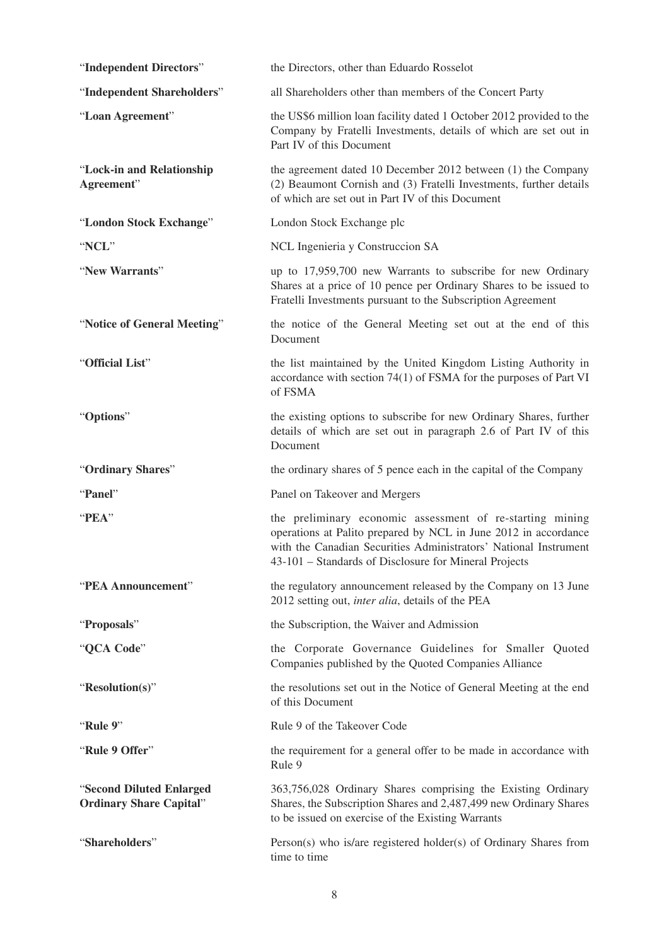| "Independent Directors"                                    | the Directors, other than Eduardo Rosselot                                                                                                                                                                                                                |
|------------------------------------------------------------|-----------------------------------------------------------------------------------------------------------------------------------------------------------------------------------------------------------------------------------------------------------|
| "Independent Shareholders"                                 | all Shareholders other than members of the Concert Party                                                                                                                                                                                                  |
| "Loan Agreement"                                           | the US\$6 million loan facility dated 1 October 2012 provided to the<br>Company by Fratelli Investments, details of which are set out in<br>Part IV of this Document                                                                                      |
| "Lock-in and Relationship<br>Agreement"                    | the agreement dated 10 December 2012 between (1) the Company<br>(2) Beaumont Cornish and (3) Fratelli Investments, further details<br>of which are set out in Part IV of this Document                                                                    |
| "London Stock Exchange"                                    | London Stock Exchange plc                                                                                                                                                                                                                                 |
| "NCL"                                                      | NCL Ingenieria y Construccion SA                                                                                                                                                                                                                          |
| "New Warrants"                                             | up to 17,959,700 new Warrants to subscribe for new Ordinary<br>Shares at a price of 10 pence per Ordinary Shares to be issued to<br>Fratelli Investments pursuant to the Subscription Agreement                                                           |
| "Notice of General Meeting"                                | the notice of the General Meeting set out at the end of this<br>Document                                                                                                                                                                                  |
| "Official List"                                            | the list maintained by the United Kingdom Listing Authority in<br>accordance with section 74(1) of FSMA for the purposes of Part VI<br>of FSMA                                                                                                            |
| "Options"                                                  | the existing options to subscribe for new Ordinary Shares, further<br>details of which are set out in paragraph 2.6 of Part IV of this<br>Document                                                                                                        |
| "Ordinary Shares"                                          | the ordinary shares of 5 pence each in the capital of the Company                                                                                                                                                                                         |
| "Panel"                                                    | Panel on Takeover and Mergers                                                                                                                                                                                                                             |
| "PEA"                                                      | the preliminary economic assessment of re-starting mining<br>operations at Palito prepared by NCL in June 2012 in accordance<br>with the Canadian Securities Administrators' National Instrument<br>43-101 – Standards of Disclosure for Mineral Projects |
| "PEA Announcement"                                         | the regulatory announcement released by the Company on 13 June<br>2012 setting out, <i>inter alia</i> , details of the PEA                                                                                                                                |
| "Proposals"                                                | the Subscription, the Waiver and Admission                                                                                                                                                                                                                |
| "QCA Code"                                                 | the Corporate Governance Guidelines for Smaller Quoted<br>Companies published by the Quoted Companies Alliance                                                                                                                                            |
| "Resolution(s)"                                            | the resolutions set out in the Notice of General Meeting at the end<br>of this Document                                                                                                                                                                   |
| "Rule 9"                                                   | Rule 9 of the Takeover Code                                                                                                                                                                                                                               |
| "Rule 9 Offer"                                             | the requirement for a general offer to be made in accordance with<br>Rule 9                                                                                                                                                                               |
| "Second Diluted Enlarged<br><b>Ordinary Share Capital"</b> | 363,756,028 Ordinary Shares comprising the Existing Ordinary<br>Shares, the Subscription Shares and 2,487,499 new Ordinary Shares<br>to be issued on exercise of the Existing Warrants                                                                    |
| "Shareholders"                                             | Person(s) who is/are registered holder(s) of Ordinary Shares from<br>time to time                                                                                                                                                                         |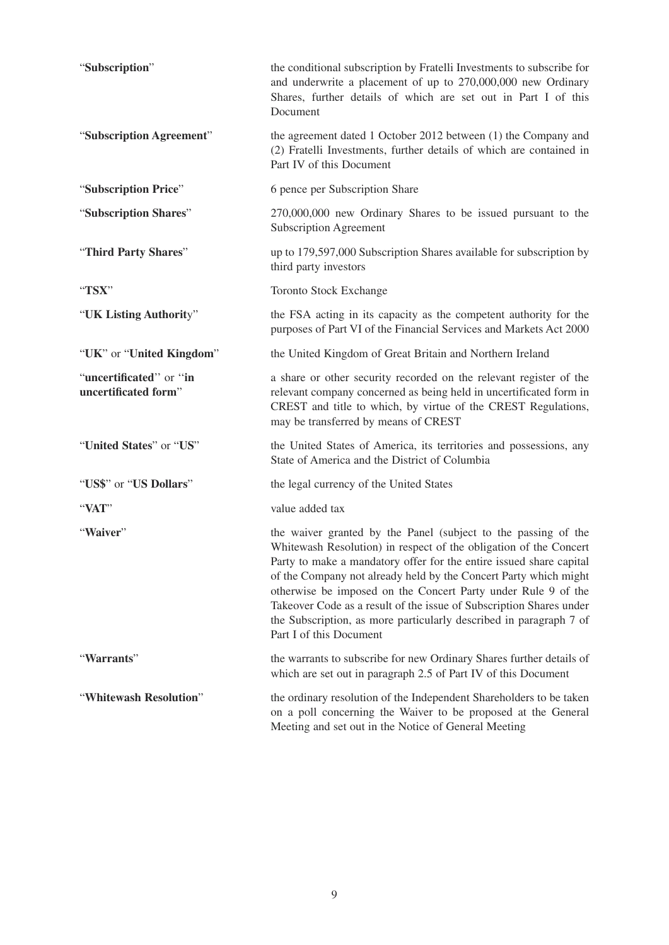| "Subscription"                                  | the conditional subscription by Fratelli Investments to subscribe for<br>and underwrite a placement of up to 270,000,000 new Ordinary<br>Shares, further details of which are set out in Part I of this<br>Document                                                                                                                                                                                                                                                                                                     |
|-------------------------------------------------|-------------------------------------------------------------------------------------------------------------------------------------------------------------------------------------------------------------------------------------------------------------------------------------------------------------------------------------------------------------------------------------------------------------------------------------------------------------------------------------------------------------------------|
| "Subscription Agreement"                        | the agreement dated 1 October 2012 between (1) the Company and<br>(2) Fratelli Investments, further details of which are contained in<br>Part IV of this Document                                                                                                                                                                                                                                                                                                                                                       |
| "Subscription Price"                            | 6 pence per Subscription Share                                                                                                                                                                                                                                                                                                                                                                                                                                                                                          |
| "Subscription Shares"                           | 270,000,000 new Ordinary Shares to be issued pursuant to the<br><b>Subscription Agreement</b>                                                                                                                                                                                                                                                                                                                                                                                                                           |
| "Third Party Shares"                            | up to 179,597,000 Subscription Shares available for subscription by<br>third party investors                                                                                                                                                                                                                                                                                                                                                                                                                            |
| "TSX"                                           | <b>Toronto Stock Exchange</b>                                                                                                                                                                                                                                                                                                                                                                                                                                                                                           |
| "UK Listing Authority"                          | the FSA acting in its capacity as the competent authority for the<br>purposes of Part VI of the Financial Services and Markets Act 2000                                                                                                                                                                                                                                                                                                                                                                                 |
| "UK" or "United Kingdom"                        | the United Kingdom of Great Britain and Northern Ireland                                                                                                                                                                                                                                                                                                                                                                                                                                                                |
| "uncertificated" or "in<br>uncertificated form" | a share or other security recorded on the relevant register of the<br>relevant company concerned as being held in uncertificated form in<br>CREST and title to which, by virtue of the CREST Regulations,<br>may be transferred by means of CREST                                                                                                                                                                                                                                                                       |
| "United States" or "US"                         | the United States of America, its territories and possessions, any<br>State of America and the District of Columbia                                                                                                                                                                                                                                                                                                                                                                                                     |
| "US\$" or "US Dollars"                          | the legal currency of the United States                                                                                                                                                                                                                                                                                                                                                                                                                                                                                 |
| "VAT"                                           | value added tax                                                                                                                                                                                                                                                                                                                                                                                                                                                                                                         |
| "Waiver"                                        | the waiver granted by the Panel (subject to the passing of the<br>Whitewash Resolution) in respect of the obligation of the Concert<br>Party to make a mandatory offer for the entire issued share capital<br>of the Company not already held by the Concert Party which might<br>otherwise be imposed on the Concert Party under Rule 9 of the<br>Takeover Code as a result of the issue of Subscription Shares under<br>the Subscription, as more particularly described in paragraph 7 of<br>Part I of this Document |
| "Warrants"                                      | the warrants to subscribe for new Ordinary Shares further details of<br>which are set out in paragraph 2.5 of Part IV of this Document                                                                                                                                                                                                                                                                                                                                                                                  |
| "Whitewash Resolution"                          | the ordinary resolution of the Independent Shareholders to be taken<br>on a poll concerning the Waiver to be proposed at the General<br>Meeting and set out in the Notice of General Meeting                                                                                                                                                                                                                                                                                                                            |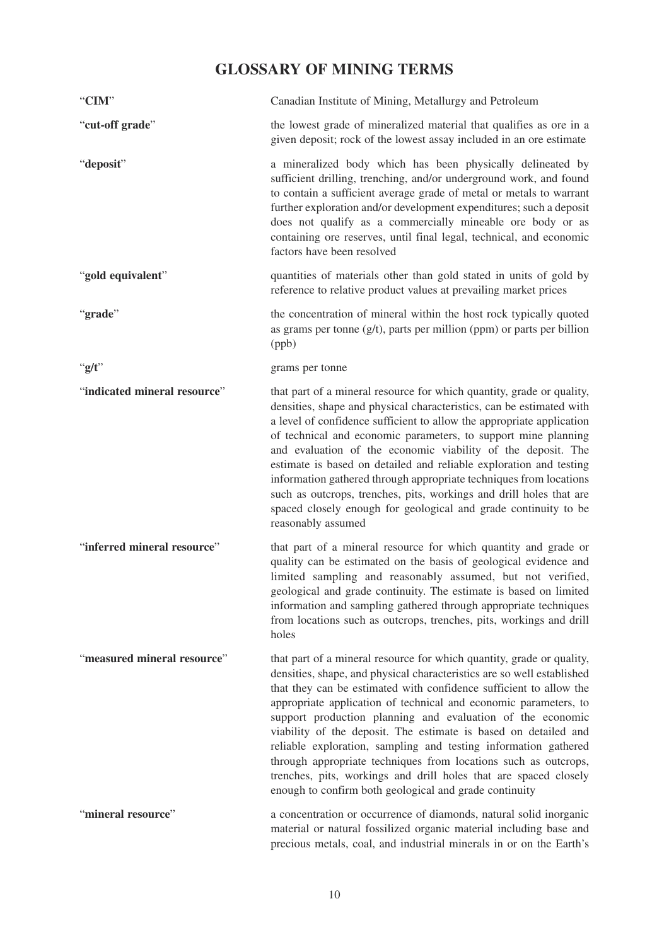## **GLOSSARY OF MINING TERMS**

| "CIM"                        | Canadian Institute of Mining, Metallurgy and Petroleum                                                                                                                                                                                                                                                                                                                                                                                                                                                                                                                                                                                                                                         |  |
|------------------------------|------------------------------------------------------------------------------------------------------------------------------------------------------------------------------------------------------------------------------------------------------------------------------------------------------------------------------------------------------------------------------------------------------------------------------------------------------------------------------------------------------------------------------------------------------------------------------------------------------------------------------------------------------------------------------------------------|--|
| "cut-off grade"              | the lowest grade of mineralized material that qualifies as ore in a<br>given deposit; rock of the lowest assay included in an ore estimate                                                                                                                                                                                                                                                                                                                                                                                                                                                                                                                                                     |  |
| "deposit"                    | a mineralized body which has been physically delineated by<br>sufficient drilling, trenching, and/or underground work, and found<br>to contain a sufficient average grade of metal or metals to warrant<br>further exploration and/or development expenditures; such a deposit<br>does not qualify as a commercially mineable ore body or as<br>containing ore reserves, until final legal, technical, and economic<br>factors have been resolved                                                                                                                                                                                                                                              |  |
| "gold equivalent"            | quantities of materials other than gold stated in units of gold by<br>reference to relative product values at prevailing market prices                                                                                                                                                                                                                                                                                                                                                                                                                                                                                                                                                         |  |
| "grade"                      | the concentration of mineral within the host rock typically quoted<br>as grams per tonne $(g/t)$ , parts per million (ppm) or parts per billion<br>(ppb)                                                                                                                                                                                                                                                                                                                                                                                                                                                                                                                                       |  |
| " $g/t$ "                    | grams per tonne                                                                                                                                                                                                                                                                                                                                                                                                                                                                                                                                                                                                                                                                                |  |
| "indicated mineral resource" | that part of a mineral resource for which quantity, grade or quality,<br>densities, shape and physical characteristics, can be estimated with<br>a level of confidence sufficient to allow the appropriate application<br>of technical and economic parameters, to support mine planning<br>and evaluation of the economic viability of the deposit. The<br>estimate is based on detailed and reliable exploration and testing<br>information gathered through appropriate techniques from locations<br>such as outcrops, trenches, pits, workings and drill holes that are<br>spaced closely enough for geological and grade continuity to be<br>reasonably assumed                           |  |
| "inferred mineral resource"  | that part of a mineral resource for which quantity and grade or<br>quality can be estimated on the basis of geological evidence and<br>limited sampling and reasonably assumed, but not verified,<br>geological and grade continuity. The estimate is based on limited<br>information and sampling gathered through appropriate techniques<br>from locations such as outcrops, trenches, pits, workings and drill<br>holes                                                                                                                                                                                                                                                                     |  |
| "measured mineral resource"  | that part of a mineral resource for which quantity, grade or quality,<br>densities, shape, and physical characteristics are so well established<br>that they can be estimated with confidence sufficient to allow the<br>appropriate application of technical and economic parameters, to<br>support production planning and evaluation of the economic<br>viability of the deposit. The estimate is based on detailed and<br>reliable exploration, sampling and testing information gathered<br>through appropriate techniques from locations such as outcrops,<br>trenches, pits, workings and drill holes that are spaced closely<br>enough to confirm both geological and grade continuity |  |
| "mineral resource"           | a concentration or occurrence of diamonds, natural solid inorganic<br>material or natural fossilized organic material including base and<br>precious metals, coal, and industrial minerals in or on the Earth's                                                                                                                                                                                                                                                                                                                                                                                                                                                                                |  |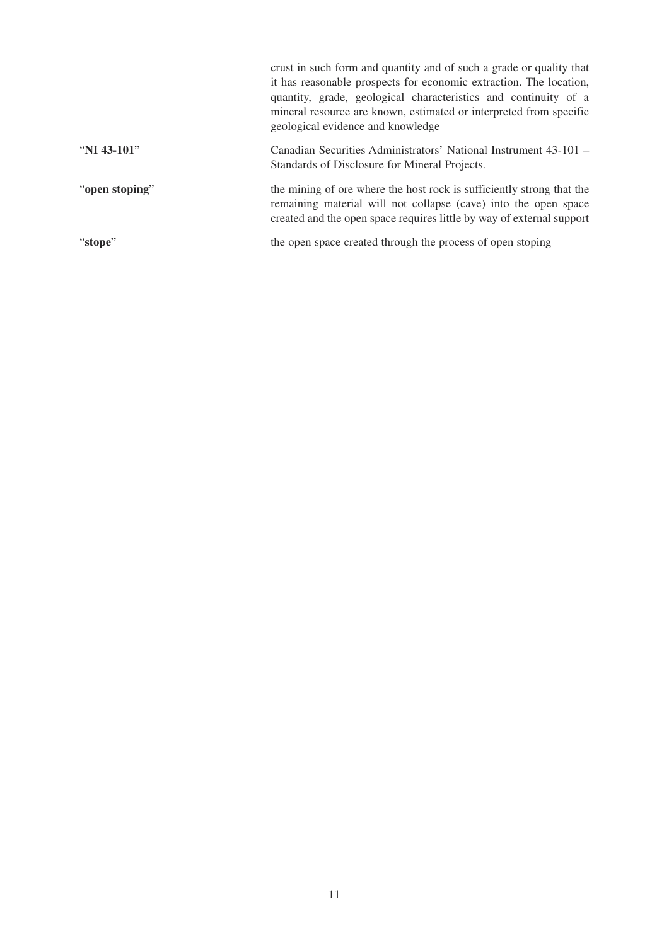|                | crust in such form and quantity and of such a grade or quality that<br>it has reasonable prospects for economic extraction. The location,<br>quantity, grade, geological characteristics and continuity of a<br>mineral resource are known, estimated or interpreted from specific<br>geological evidence and knowledge |
|----------------|-------------------------------------------------------------------------------------------------------------------------------------------------------------------------------------------------------------------------------------------------------------------------------------------------------------------------|
| "NI 43-101"    | Canadian Securities Administrators' National Instrument 43-101 –<br>Standards of Disclosure for Mineral Projects.                                                                                                                                                                                                       |
| "open stoping" | the mining of ore where the host rock is sufficiently strong that the<br>remaining material will not collapse (cave) into the open space<br>created and the open space requires little by way of external support                                                                                                       |
| "stope"        | the open space created through the process of open stoping                                                                                                                                                                                                                                                              |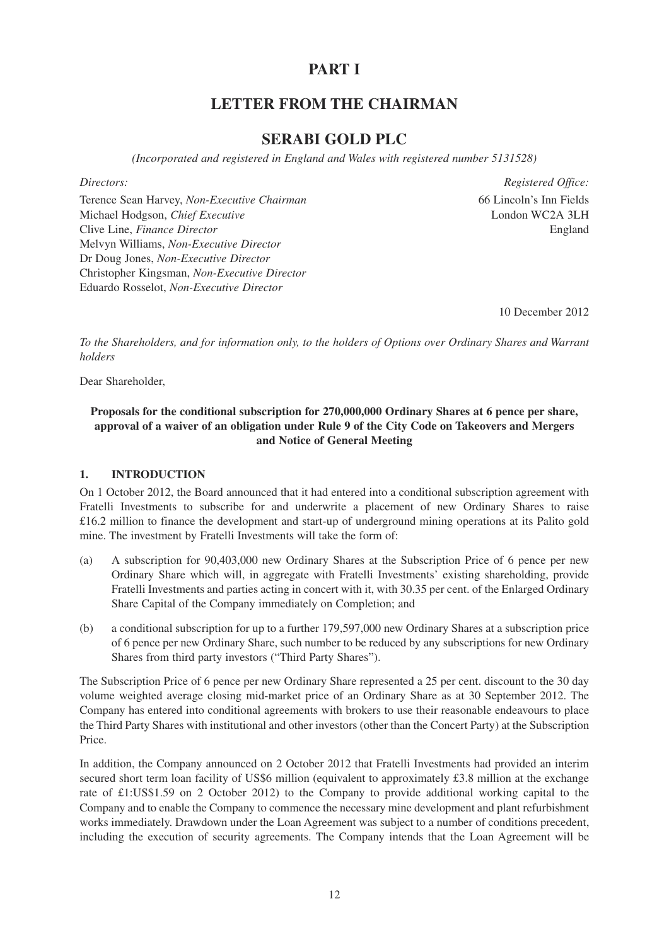### **PART I**

### **LETTER FROM THE CHAIRMAN**

### **SERABI GOLD PLC**

*(Incorporated and registered in England and Wales with registered number 5131528)*

*Directors: Registered Office:* Terence Sean Harvey, *Non-Executive Chairman* 66 Lincoln's Inn Fields Michael Hodgson, *Chief Executive* London WC2A 3LH Clive Line, *Finance Director* England Melvyn Williams, *Non-Executive Director* Dr Doug Jones, *Non-Executive Director* Christopher Kingsman, *Non-Executive Director* Eduardo Rosselot, *Non-Executive Director*

10 December 2012

*To the Shareholders, and for information only, to the holders of Options over Ordinary Shares and Warrant holders*

Dear Shareholder,

#### **Proposals for the conditional subscription for 270,000,000 Ordinary Shares at 6 pence per share, approval of a waiver of an obligation under Rule 9 of the City Code on Takeovers and Mergers and Notice of General Meeting**

#### **1. INTRODUCTION**

On 1 October 2012, the Board announced that it had entered into a conditional subscription agreement with Fratelli Investments to subscribe for and underwrite a placement of new Ordinary Shares to raise £16.2 million to finance the development and start-up of underground mining operations at its Palito gold mine. The investment by Fratelli Investments will take the form of:

- (a) A subscription for 90,403,000 new Ordinary Shares at the Subscription Price of 6 pence per new Ordinary Share which will, in aggregate with Fratelli Investments' existing shareholding, provide Fratelli Investments and parties acting in concert with it, with 30.35 per cent. of the Enlarged Ordinary Share Capital of the Company immediately on Completion; and
- (b) a conditional subscription for up to a further 179,597,000 new Ordinary Shares at a subscription price of 6 pence per new Ordinary Share, such number to be reduced by any subscriptions for new Ordinary Shares from third party investors ("Third Party Shares").

The Subscription Price of 6 pence per new Ordinary Share represented a 25 per cent. discount to the 30 day volume weighted average closing mid-market price of an Ordinary Share as at 30 September 2012. The Company has entered into conditional agreements with brokers to use their reasonable endeavours to place the Third Party Shares with institutional and other investors (other than the Concert Party) at the Subscription Price.

In addition, the Company announced on 2 October 2012 that Fratelli Investments had provided an interim secured short term loan facility of US\$6 million (equivalent to approximately £3.8 million at the exchange rate of £1:US\$1.59 on 2 October 2012) to the Company to provide additional working capital to the Company and to enable the Company to commence the necessary mine development and plant refurbishment works immediately. Drawdown under the Loan Agreement was subject to a number of conditions precedent, including the execution of security agreements. The Company intends that the Loan Agreement will be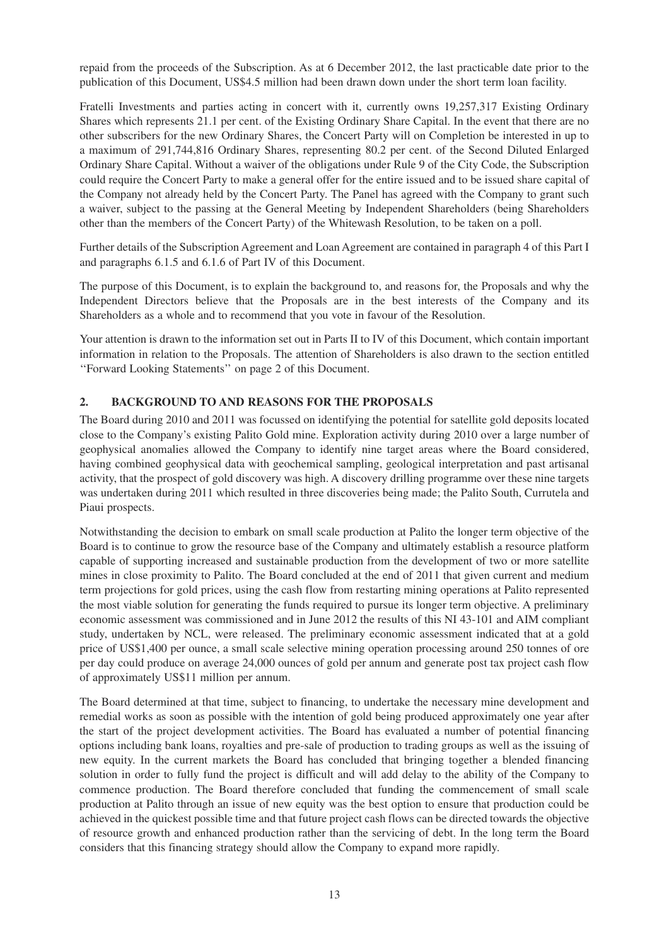repaid from the proceeds of the Subscription. As at 6 December 2012, the last practicable date prior to the publication of this Document, US\$4.5 million had been drawn down under the short term loan facility.

Fratelli Investments and parties acting in concert with it, currently owns 19,257,317 Existing Ordinary Shares which represents 21.1 per cent. of the Existing Ordinary Share Capital. In the event that there are no other subscribers for the new Ordinary Shares, the Concert Party will on Completion be interested in up to a maximum of 291,744,816 Ordinary Shares, representing 80.2 per cent. of the Second Diluted Enlarged Ordinary Share Capital. Without a waiver of the obligations under Rule 9 of the City Code, the Subscription could require the Concert Party to make a general offer for the entire issued and to be issued share capital of the Company not already held by the Concert Party. The Panel has agreed with the Company to grant such a waiver, subject to the passing at the General Meeting by Independent Shareholders (being Shareholders other than the members of the Concert Party) of the Whitewash Resolution, to be taken on a poll.

Further details of the Subscription Agreement and Loan Agreement are contained in paragraph 4 of this Part I and paragraphs 6.1.5 and 6.1.6 of Part IV of this Document.

The purpose of this Document, is to explain the background to, and reasons for, the Proposals and why the Independent Directors believe that the Proposals are in the best interests of the Company and its Shareholders as a whole and to recommend that you vote in favour of the Resolution.

Your attention is drawn to the information set out in Parts II to IV of this Document, which contain important information in relation to the Proposals. The attention of Shareholders is also drawn to the section entitled ''Forward Looking Statements'' on page 2 of this Document.

#### **2. BACKGROUND TO AND REASONS FOR THE PROPOSALS**

The Board during 2010 and 2011 was focussed on identifying the potential for satellite gold deposits located close to the Company's existing Palito Gold mine. Exploration activity during 2010 over a large number of geophysical anomalies allowed the Company to identify nine target areas where the Board considered, having combined geophysical data with geochemical sampling, geological interpretation and past artisanal activity, that the prospect of gold discovery was high. A discovery drilling programme over these nine targets was undertaken during 2011 which resulted in three discoveries being made; the Palito South, Currutela and Piaui prospects.

Notwithstanding the decision to embark on small scale production at Palito the longer term objective of the Board is to continue to grow the resource base of the Company and ultimately establish a resource platform capable of supporting increased and sustainable production from the development of two or more satellite mines in close proximity to Palito. The Board concluded at the end of 2011 that given current and medium term projections for gold prices, using the cash flow from restarting mining operations at Palito represented the most viable solution for generating the funds required to pursue its longer term objective. A preliminary economic assessment was commissioned and in June 2012 the results of this NI 43-101 and AIM compliant study, undertaken by NCL, were released. The preliminary economic assessment indicated that at a gold price of US\$1,400 per ounce, a small scale selective mining operation processing around 250 tonnes of ore per day could produce on average 24,000 ounces of gold per annum and generate post tax project cash flow of approximately US\$11 million per annum.

The Board determined at that time, subject to financing, to undertake the necessary mine development and remedial works as soon as possible with the intention of gold being produced approximately one year after the start of the project development activities. The Board has evaluated a number of potential financing options including bank loans, royalties and pre-sale of production to trading groups as well as the issuing of new equity. In the current markets the Board has concluded that bringing together a blended financing solution in order to fully fund the project is difficult and will add delay to the ability of the Company to commence production. The Board therefore concluded that funding the commencement of small scale production at Palito through an issue of new equity was the best option to ensure that production could be achieved in the quickest possible time and that future project cash flows can be directed towards the objective of resource growth and enhanced production rather than the servicing of debt. In the long term the Board considers that this financing strategy should allow the Company to expand more rapidly.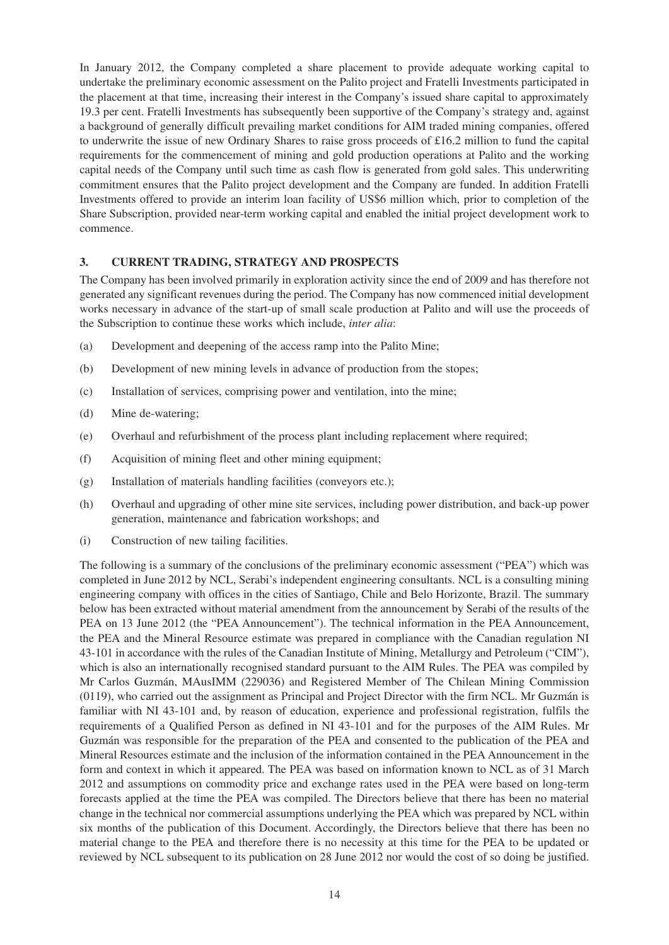In January 2012, the Company completed a share placement to provide adequate working capital to undertake the preliminary economic assessment on the Palito project and Fratelli Investments participated in the placement at that time, increasing their interest in the Company's issued share capital to approximately 19.3 per cent. Fratelli Investments has subsequently been supportive of the Company's strategy and, against a background of generally difficult prevailing market conditions for AIM traded mining companies, offered to underwrite the issue of new Ordinary Shares to raise gross proceeds of £16.2 million to fund the capital requirements for the commencement of mining and gold production operations at Palito and the working capital needs of the Company until such time as cash flow is generated from gold sales. This underwriting commitment ensures that the Palito project development and the Company are funded. In addition Fratelli Investments offered to provide an interim loan facility of US\$6 million which, prior to completion of the Share Subscription, provided near-term working capital and enabled the initial project development work to commence.

#### **3. CURRENT TRADING, STRATEGY AND PROSPECTS**

The Company has been involved primarily in exploration activity since the end of 2009 and has therefore not generated any significant revenues during the period. The Company has now commenced initial development works necessary in advance of the start-up of small scale production at Palito and will use the proceeds of the Subscription to continue these works which include, *inter alia*:

- (a) Development and deepening of the access ramp into the Palito Mine;
- (b) Development of new mining levels in advance of production from the stopes;
- (c) Installation of services, comprising power and ventilation, into the mine;
- (d) Mine de-watering;
- (e) Overhaul and refurbishment of the process plant including replacement where required;
- (f) Acquisition of mining fleet and other mining equipment;
- (g) Installation of materials handling facilities (conveyors etc.);
- (h) Overhaul and upgrading of other mine site services, including power distribution, and back-up power generation, maintenance and fabrication workshops; and
- (i) Construction of new tailing facilities.

The following is a summary of the conclusions of the preliminary economic assessment ("PEA") which was completed in June 2012 by NCL, Serabi's independent engineering consultants. NCL is a consulting mining engineering company with offices in the cities of Santiago, Chile and Belo Horizonte, Brazil. The summary below has been extracted without material amendment from the announcement by Serabi of the results of the PEA on 13 June 2012 (the "PEA Announcement"). The technical information in the PEA Announcement, the PEA and the Mineral Resource estimate was prepared in compliance with the Canadian regulation NI 43-101 in accordance with the rules of the Canadian Institute of Mining, Metallurgy and Petroleum ("CIM"), which is also an internationally recognised standard pursuant to the AIM Rules. The PEA was compiled by Mr Carlos Guzmán, MAusIMM (229036) and Registered Member of The Chilean Mining Commission (0119), who carried out the assignment as Principal and Project Director with the firm NCL. Mr Guzmán is familiar with NI 43-101 and, by reason of education, experience and professional registration, fulfils the requirements of a Qualified Person as defined in NI 43-101 and for the purposes of the AIM Rules. Mr Guzmán was responsible for the preparation of the PEA and consented to the publication of the PEA and Mineral Resources estimate and the inclusion of the information contained in the PEA Announcement in the form and context in which it appeared. The PEA was based on information known to NCL as of 31 March 2012 and assumptions on commodity price and exchange rates used in the PEA were based on long-term forecasts applied at the time the PEA was compiled. The Directors believe that there has been no material change in the technical nor commercial assumptions underlying the PEA which was prepared by NCL within six months of the publication of this Document. Accordingly, the Directors believe that there has been no material change to the PEA and therefore there is no necessity at this time for the PEA to be updated or reviewed by NCL subsequent to its publication on 28 June 2012 nor would the cost of so doing be justified.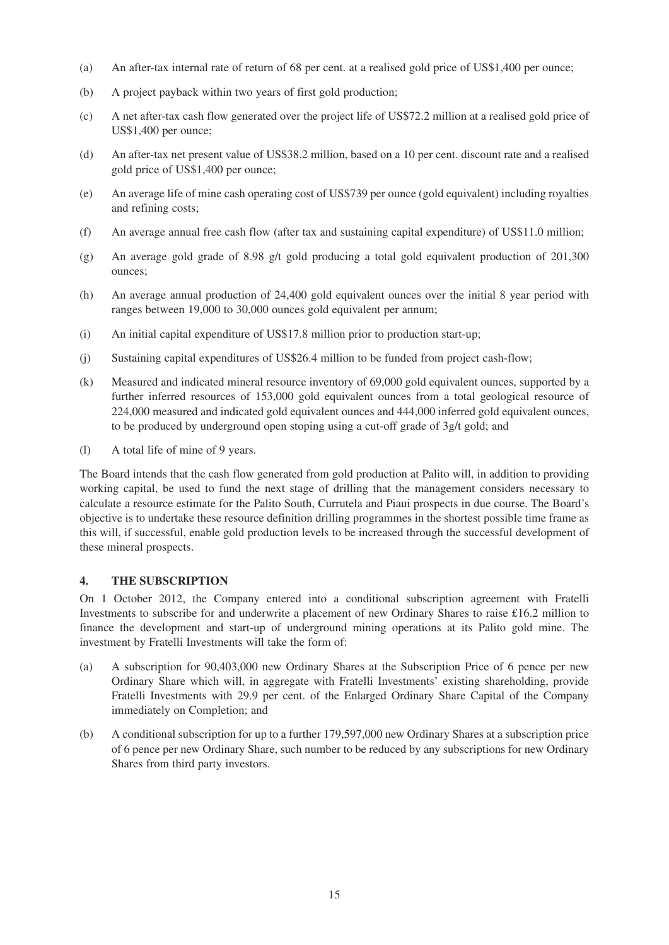- (a) An after-tax internal rate of return of 68 per cent. at a realised gold price of US\$1,400 per ounce;
- (b) A project payback within two years of first gold production;
- (c) A net after-tax cash flow generated over the project life of US\$72.2 million at a realised gold price of US\$1,400 per ounce;
- (d) An after-tax net present value of US\$38.2 million, based on a 10 per cent. discount rate and a realised gold price of US\$1,400 per ounce;
- (e) An average life of mine cash operating cost of US\$739 per ounce (gold equivalent) including royalties and refining costs;
- (f) An average annual free cash flow (after tax and sustaining capital expenditure) of US\$11.0 million;
- (g) An average gold grade of 8.98 g/t gold producing a total gold equivalent production of 201,300 ounces;
- (h) An average annual production of 24,400 gold equivalent ounces over the initial 8 year period with ranges between 19,000 to 30,000 ounces gold equivalent per annum;
- (i) An initial capital expenditure of US\$17.8 million prior to production start-up;
- (j) Sustaining capital expenditures of US\$26.4 million to be funded from project cash-flow;
- (k) Measured and indicated mineral resource inventory of 69,000 gold equivalent ounces, supported by a further inferred resources of 153,000 gold equivalent ounces from a total geological resource of 224,000 measured and indicated gold equivalent ounces and 444,000 inferred gold equivalent ounces, to be produced by underground open stoping using a cut-off grade of 3g/t gold; and
- (l) A total life of mine of 9 years.

The Board intends that the cash flow generated from gold production at Palito will, in addition to providing working capital, be used to fund the next stage of drilling that the management considers necessary to calculate a resource estimate for the Palito South, Currutela and Piaui prospects in due course. The Board's objective is to undertake these resource definition drilling programmes in the shortest possible time frame as this will, if successful, enable gold production levels to be increased through the successful development of these mineral prospects.

#### **4. THE SUBSCRIPTION**

On 1 October 2012, the Company entered into a conditional subscription agreement with Fratelli Investments to subscribe for and underwrite a placement of new Ordinary Shares to raise £16.2 million to finance the development and start-up of underground mining operations at its Palito gold mine. The investment by Fratelli Investments will take the form of:

- (a) A subscription for 90,403,000 new Ordinary Shares at the Subscription Price of 6 pence per new Ordinary Share which will, in aggregate with Fratelli Investments' existing shareholding, provide Fratelli Investments with 29.9 per cent. of the Enlarged Ordinary Share Capital of the Company immediately on Completion; and
- (b) A conditional subscription for up to a further 179,597,000 new Ordinary Shares at a subscription price of 6 pence per new Ordinary Share, such number to be reduced by any subscriptions for new Ordinary Shares from third party investors.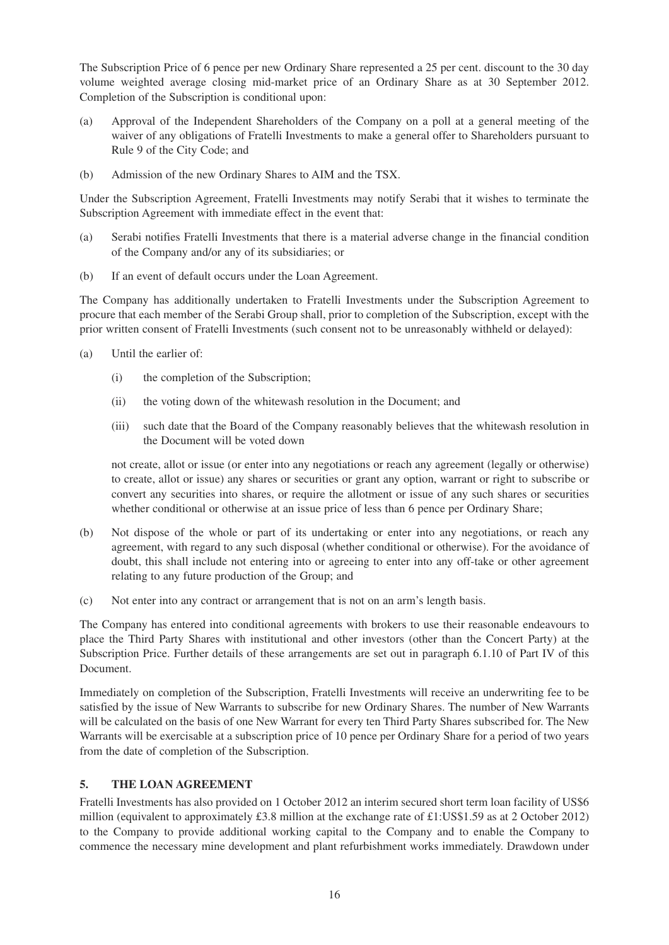The Subscription Price of 6 pence per new Ordinary Share represented a 25 per cent. discount to the 30 day volume weighted average closing mid-market price of an Ordinary Share as at 30 September 2012. Completion of the Subscription is conditional upon:

- (a) Approval of the Independent Shareholders of the Company on a poll at a general meeting of the waiver of any obligations of Fratelli Investments to make a general offer to Shareholders pursuant to Rule 9 of the City Code; and
- (b) Admission of the new Ordinary Shares to AIM and the TSX.

Under the Subscription Agreement, Fratelli Investments may notify Serabi that it wishes to terminate the Subscription Agreement with immediate effect in the event that:

- (a) Serabi notifies Fratelli Investments that there is a material adverse change in the financial condition of the Company and/or any of its subsidiaries; or
- (b) If an event of default occurs under the Loan Agreement.

The Company has additionally undertaken to Fratelli Investments under the Subscription Agreement to procure that each member of the Serabi Group shall, prior to completion of the Subscription, except with the prior written consent of Fratelli Investments (such consent not to be unreasonably withheld or delayed):

- (a) Until the earlier of:
	- (i) the completion of the Subscription;
	- (ii) the voting down of the whitewash resolution in the Document; and
	- (iii) such date that the Board of the Company reasonably believes that the whitewash resolution in the Document will be voted down

not create, allot or issue (or enter into any negotiations or reach any agreement (legally or otherwise) to create, allot or issue) any shares or securities or grant any option, warrant or right to subscribe or convert any securities into shares, or require the allotment or issue of any such shares or securities whether conditional or otherwise at an issue price of less than 6 pence per Ordinary Share;

- (b) Not dispose of the whole or part of its undertaking or enter into any negotiations, or reach any agreement, with regard to any such disposal (whether conditional or otherwise). For the avoidance of doubt, this shall include not entering into or agreeing to enter into any off-take or other agreement relating to any future production of the Group; and
- (c) Not enter into any contract or arrangement that is not on an arm's length basis.

The Company has entered into conditional agreements with brokers to use their reasonable endeavours to place the Third Party Shares with institutional and other investors (other than the Concert Party) at the Subscription Price. Further details of these arrangements are set out in paragraph 6.1.10 of Part IV of this Document.

Immediately on completion of the Subscription, Fratelli Investments will receive an underwriting fee to be satisfied by the issue of New Warrants to subscribe for new Ordinary Shares. The number of New Warrants will be calculated on the basis of one New Warrant for every ten Third Party Shares subscribed for. The New Warrants will be exercisable at a subscription price of 10 pence per Ordinary Share for a period of two years from the date of completion of the Subscription.

#### **5. THE LOAN AGREEMENT**

Fratelli Investments has also provided on 1 October 2012 an interim secured short term loan facility of US\$6 million (equivalent to approximately £3.8 million at the exchange rate of £1:US\$1.59 as at 2 October 2012) to the Company to provide additional working capital to the Company and to enable the Company to commence the necessary mine development and plant refurbishment works immediately. Drawdown under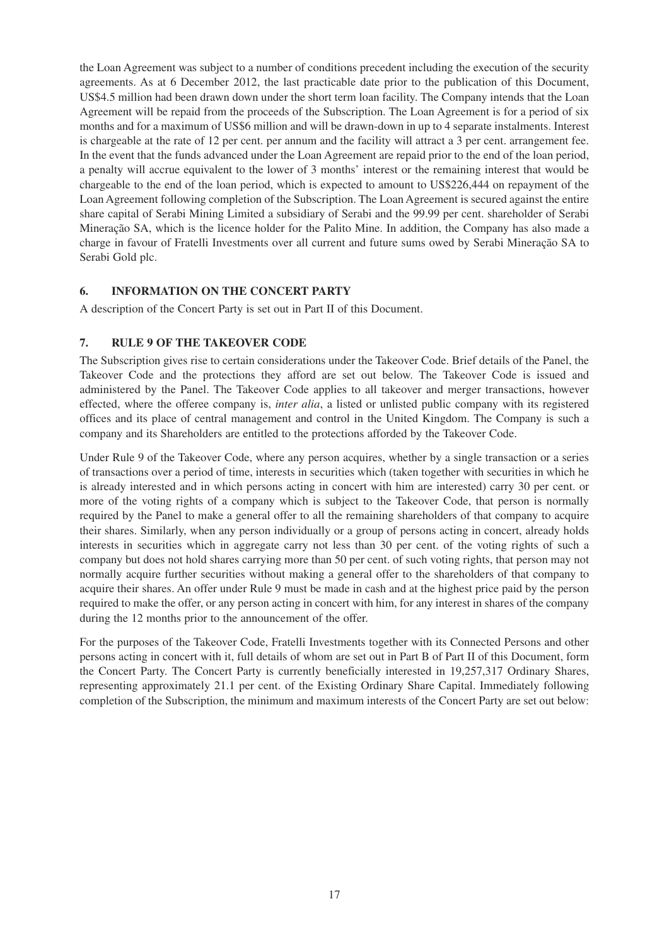the Loan Agreement was subject to a number of conditions precedent including the execution of the security agreements. As at 6 December 2012, the last practicable date prior to the publication of this Document, US\$4.5 million had been drawn down under the short term loan facility. The Company intends that the Loan Agreement will be repaid from the proceeds of the Subscription. The Loan Agreement is for a period of six months and for a maximum of US\$6 million and will be drawn-down in up to 4 separate instalments. Interest is chargeable at the rate of 12 per cent. per annum and the facility will attract a 3 per cent. arrangement fee. In the event that the funds advanced under the Loan Agreement are repaid prior to the end of the loan period, a penalty will accrue equivalent to the lower of 3 months' interest or the remaining interest that would be chargeable to the end of the loan period, which is expected to amount to US\$226,444 on repayment of the Loan Agreement following completion of the Subscription. The Loan Agreement is secured against the entire share capital of Serabi Mining Limited a subsidiary of Serabi and the 99.99 per cent. shareholder of Serabi Mineração SA, which is the licence holder for the Palito Mine. In addition, the Company has also made a charge in favour of Fratelli Investments over all current and future sums owed by Serabi Mineração SA to Serabi Gold plc.

#### **6. INFORMATION ON THE CONCERT PARTY**

A description of the Concert Party is set out in Part II of this Document.

#### **7. RULE 9 OF THE TAKEOVER CODE**

The Subscription gives rise to certain considerations under the Takeover Code. Brief details of the Panel, the Takeover Code and the protections they afford are set out below. The Takeover Code is issued and administered by the Panel. The Takeover Code applies to all takeover and merger transactions, however effected, where the offeree company is, *inter alia*, a listed or unlisted public company with its registered offices and its place of central management and control in the United Kingdom. The Company is such a company and its Shareholders are entitled to the protections afforded by the Takeover Code.

Under Rule 9 of the Takeover Code, where any person acquires, whether by a single transaction or a series of transactions over a period of time, interests in securities which (taken together with securities in which he is already interested and in which persons acting in concert with him are interested) carry 30 per cent. or more of the voting rights of a company which is subject to the Takeover Code, that person is normally required by the Panel to make a general offer to all the remaining shareholders of that company to acquire their shares. Similarly, when any person individually or a group of persons acting in concert, already holds interests in securities which in aggregate carry not less than 30 per cent. of the voting rights of such a company but does not hold shares carrying more than 50 per cent. of such voting rights, that person may not normally acquire further securities without making a general offer to the shareholders of that company to acquire their shares. An offer under Rule 9 must be made in cash and at the highest price paid by the person required to make the offer, or any person acting in concert with him, for any interest in shares of the company during the 12 months prior to the announcement of the offer.

For the purposes of the Takeover Code, Fratelli Investments together with its Connected Persons and other persons acting in concert with it, full details of whom are set out in Part B of Part II of this Document, form the Concert Party. The Concert Party is currently beneficially interested in 19,257,317 Ordinary Shares, representing approximately 21.1 per cent. of the Existing Ordinary Share Capital. Immediately following completion of the Subscription, the minimum and maximum interests of the Concert Party are set out below: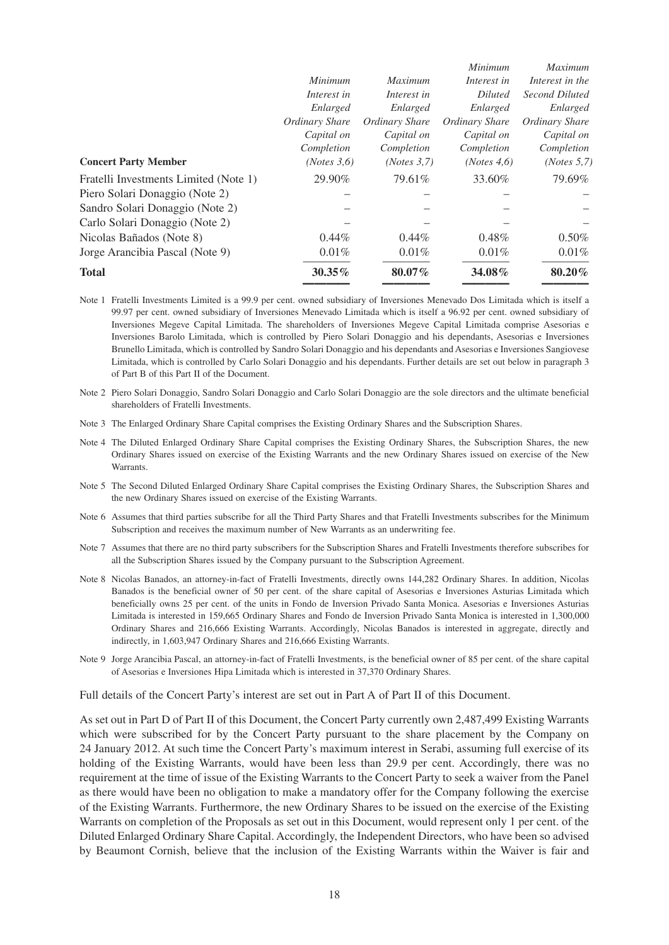|                                       |                |                | Minimum        | <i>Maximum</i>        |
|---------------------------------------|----------------|----------------|----------------|-----------------------|
|                                       | Minimum        | <b>Maximum</b> | Interest in    | Interest in the       |
|                                       | Interest in    | Interest in    | <b>Diluted</b> | <b>Second Diluted</b> |
|                                       | Enlarged       | Enlarged       | Enlarged       | Enlarged              |
|                                       | Ordinary Share | Ordinary Share | Ordinary Share | Ordinary Share        |
|                                       | Capital on     | Capital on     | Capital on     | Capital on            |
|                                       | Completion     | Completion     | Completion     | Completion            |
| <b>Concert Party Member</b>           | (Notes 3,6)    | (Notes 3,7)    | (Notes 4, 6)   | (Notes 5,7)           |
| Fratelli Investments Limited (Note 1) | 29.90%         | 79.61%         | 33.60%         | 79.69%                |
| Piero Solari Donaggio (Note 2)        |                |                |                |                       |
| Sandro Solari Donaggio (Note 2)       |                |                |                |                       |
| Carlo Solari Donaggio (Note 2)        |                |                |                |                       |
| Nicolas Bañados (Note 8)              | $0.44\%$       | $0.44\%$       | 0.48%          | $0.50\%$              |
| Jorge Arancibia Pascal (Note 9)       | 0.01%          | 0.01%          | 0.01%          | 0.01%                 |
| <b>Total</b>                          | $30.35\%$      | 80.07%         | 34.08%         | 80.20%                |

Note 1 Fratelli Investments Limited is a 99.9 per cent. owned subsidiary of Inversiones Menevado Dos Limitada which is itself a 99.97 per cent. owned subsidiary of Inversiones Menevado Limitada which is itself a 96.92 per cent. owned subsidiary of Inversiones Megeve Capital Limitada. The shareholders of Inversiones Megeve Capital Limitada comprise Asesorias e Inversiones Barolo Limitada, which is controlled by Piero Solari Donaggio and his dependants, Asesorias e Inversiones Brunello Limitada, which is controlled by Sandro Solari Donaggio and his dependants and Asesorias e Inversiones Sangiovese Limitada, which is controlled by Carlo Solari Donaggio and his dependants. Further details are set out below in paragraph 3 of Part B of this Part II of the Document.

———— ———— ———— ————

Note 2 Piero Solari Donaggio, Sandro Solari Donaggio and Carlo Solari Donaggio are the sole directors and the ultimate beneficial shareholders of Fratelli Investments.

Note 3 The Enlarged Ordinary Share Capital comprises the Existing Ordinary Shares and the Subscription Shares.

Note 4 The Diluted Enlarged Ordinary Share Capital comprises the Existing Ordinary Shares, the Subscription Shares, the new Ordinary Shares issued on exercise of the Existing Warrants and the new Ordinary Shares issued on exercise of the New **Warrants** 

Note 5 The Second Diluted Enlarged Ordinary Share Capital comprises the Existing Ordinary Shares, the Subscription Shares and the new Ordinary Shares issued on exercise of the Existing Warrants.

Note 6 Assumes that third parties subscribe for all the Third Party Shares and that Fratelli Investments subscribes for the Minimum Subscription and receives the maximum number of New Warrants as an underwriting fee.

- Note 7 Assumes that there are no third party subscribers for the Subscription Shares and Fratelli Investments therefore subscribes for all the Subscription Shares issued by the Company pursuant to the Subscription Agreement.
- Note 8 Nicolas Banados, an attorney-in-fact of Fratelli Investments, directly owns 144,282 Ordinary Shares. In addition, Nicolas Banados is the beneficial owner of 50 per cent. of the share capital of Asesorias e Inversiones Asturias Limitada which beneficially owns 25 per cent. of the units in Fondo de Inversion Privado Santa Monica. Asesorias e Inversiones Asturias Limitada is interested in 159,665 Ordinary Shares and Fondo de Inversion Privado Santa Monica is interested in 1,300,000 Ordinary Shares and 216,666 Existing Warrants. Accordingly, Nicolas Banados is interested in aggregate, directly and indirectly, in 1,603,947 Ordinary Shares and 216,666 Existing Warrants.
- Note 9 Jorge Arancibia Pascal, an attorney-in-fact of Fratelli Investments, is the beneficial owner of 85 per cent. of the share capital of Asesorias e Inversiones Hipa Limitada which is interested in 37,370 Ordinary Shares.

Full details of the Concert Party's interest are set out in Part A of Part II of this Document.

As set out in Part D of Part II of this Document, the Concert Party currently own 2,487,499 Existing Warrants which were subscribed for by the Concert Party pursuant to the share placement by the Company on 24 January 2012. At such time the Concert Party's maximum interest in Serabi, assuming full exercise of its holding of the Existing Warrants, would have been less than 29.9 per cent. Accordingly, there was no requirement at the time of issue of the Existing Warrants to the Concert Party to seek a waiver from the Panel as there would have been no obligation to make a mandatory offer for the Company following the exercise of the Existing Warrants. Furthermore, the new Ordinary Shares to be issued on the exercise of the Existing Warrants on completion of the Proposals as set out in this Document, would represent only 1 per cent. of the Diluted Enlarged Ordinary Share Capital. Accordingly, the Independent Directors, who have been so advised by Beaumont Cornish, believe that the inclusion of the Existing Warrants within the Waiver is fair and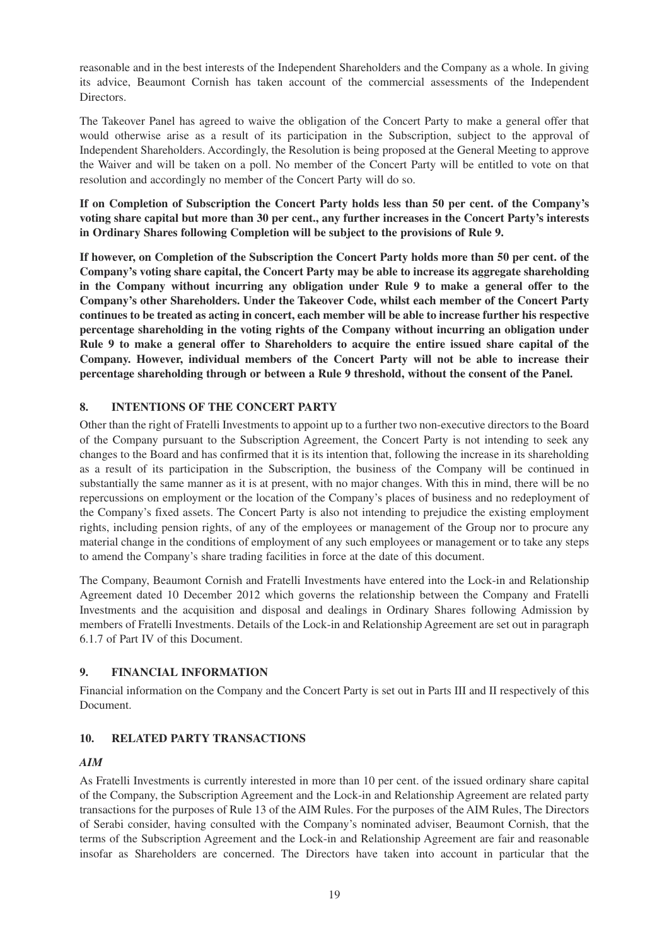reasonable and in the best interests of the Independent Shareholders and the Company as a whole. In giving its advice, Beaumont Cornish has taken account of the commercial assessments of the Independent **Directors** 

The Takeover Panel has agreed to waive the obligation of the Concert Party to make a general offer that would otherwise arise as a result of its participation in the Subscription, subject to the approval of Independent Shareholders. Accordingly, the Resolution is being proposed at the General Meeting to approve the Waiver and will be taken on a poll. No member of the Concert Party will be entitled to vote on that resolution and accordingly no member of the Concert Party will do so.

**If on Completion of Subscription the Concert Party holds less than 50 per cent. of the Company's voting share capital but more than 30 per cent., any further increases in the Concert Party's interests in Ordinary Shares following Completion will be subject to the provisions of Rule 9.**

**If however, on Completion of the Subscription the Concert Party holds more than 50 per cent. of the Company's voting share capital, the Concert Party may be able to increase its aggregate shareholding in the Company without incurring any obligation under Rule 9 to make a general offer to the Company's other Shareholders. Under the Takeover Code, whilst each member of the Concert Party continues to be treated as acting in concert, each member will be able to increase further his respective percentage shareholding in the voting rights of the Company without incurring an obligation under Rule 9 to make a general offer to Shareholders to acquire the entire issued share capital of the Company. However, individual members of the Concert Party will not be able to increase their percentage shareholding through or between a Rule 9 threshold, without the consent of the Panel.**

#### **8. INTENTIONS OF THE CONCERT PARTY**

Other than the right of Fratelli Investments to appoint up to a further two non-executive directors to the Board of the Company pursuant to the Subscription Agreement, the Concert Party is not intending to seek any changes to the Board and has confirmed that it is its intention that, following the increase in its shareholding as a result of its participation in the Subscription, the business of the Company will be continued in substantially the same manner as it is at present, with no major changes. With this in mind, there will be no repercussions on employment or the location of the Company's places of business and no redeployment of the Company's fixed assets. The Concert Party is also not intending to prejudice the existing employment rights, including pension rights, of any of the employees or management of the Group nor to procure any material change in the conditions of employment of any such employees or management or to take any steps to amend the Company's share trading facilities in force at the date of this document.

The Company, Beaumont Cornish and Fratelli Investments have entered into the Lock-in and Relationship Agreement dated 10 December 2012 which governs the relationship between the Company and Fratelli Investments and the acquisition and disposal and dealings in Ordinary Shares following Admission by members of Fratelli Investments. Details of the Lock-in and Relationship Agreement are set out in paragraph 6.1.7 of Part IV of this Document.

#### **9. FINANCIAL INFORMATION**

Financial information on the Company and the Concert Party is set out in Parts III and II respectively of this Document.

#### **10. RELATED PARTY TRANSACTIONS**

#### *AIM*

As Fratelli Investments is currently interested in more than 10 per cent. of the issued ordinary share capital of the Company, the Subscription Agreement and the Lock-in and Relationship Agreement are related party transactions for the purposes of Rule 13 of the AIM Rules. For the purposes of the AIM Rules, The Directors of Serabi consider, having consulted with the Company's nominated adviser, Beaumont Cornish, that the terms of the Subscription Agreement and the Lock-in and Relationship Agreement are fair and reasonable insofar as Shareholders are concerned. The Directors have taken into account in particular that the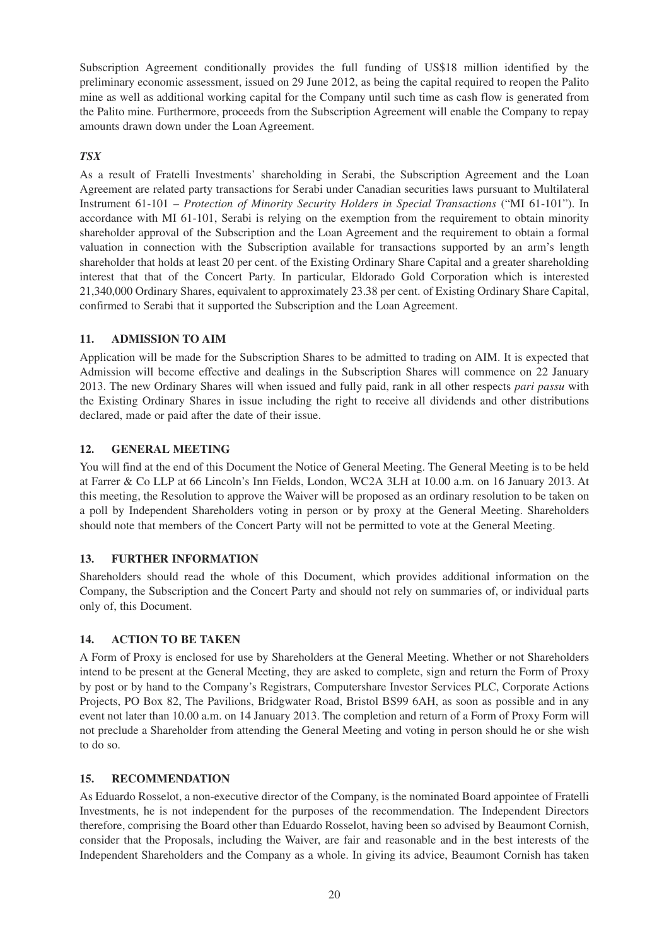Subscription Agreement conditionally provides the full funding of US\$18 million identified by the preliminary economic assessment, issued on 29 June 2012, as being the capital required to reopen the Palito mine as well as additional working capital for the Company until such time as cash flow is generated from the Palito mine. Furthermore, proceeds from the Subscription Agreement will enable the Company to repay amounts drawn down under the Loan Agreement.

#### *TSX*

As a result of Fratelli Investments' shareholding in Serabi, the Subscription Agreement and the Loan Agreement are related party transactions for Serabi under Canadian securities laws pursuant to Multilateral Instrument 61-101 – *Protection of Minority Security Holders in Special Transactions* ("MI 61-101"). In accordance with MI 61-101, Serabi is relying on the exemption from the requirement to obtain minority shareholder approval of the Subscription and the Loan Agreement and the requirement to obtain a formal valuation in connection with the Subscription available for transactions supported by an arm's length shareholder that holds at least 20 per cent. of the Existing Ordinary Share Capital and a greater shareholding interest that that of the Concert Party. In particular, Eldorado Gold Corporation which is interested 21,340,000 Ordinary Shares, equivalent to approximately 23.38 per cent. of Existing Ordinary Share Capital, confirmed to Serabi that it supported the Subscription and the Loan Agreement.

#### **11. ADMISSION TO AIM**

Application will be made for the Subscription Shares to be admitted to trading on AIM. It is expected that Admission will become effective and dealings in the Subscription Shares will commence on 22 January 2013. The new Ordinary Shares will when issued and fully paid, rank in all other respects *pari passu* with the Existing Ordinary Shares in issue including the right to receive all dividends and other distributions declared, made or paid after the date of their issue.

#### **12. GENERAL MEETING**

You will find at the end of this Document the Notice of General Meeting. The General Meeting is to be held at Farrer & Co LLP at 66 Lincoln's Inn Fields, London, WC2A 3LH at 10.00 a.m. on 16 January 2013. At this meeting, the Resolution to approve the Waiver will be proposed as an ordinary resolution to be taken on a poll by Independent Shareholders voting in person or by proxy at the General Meeting. Shareholders should note that members of the Concert Party will not be permitted to vote at the General Meeting.

#### **13. FURTHER INFORMATION**

Shareholders should read the whole of this Document, which provides additional information on the Company, the Subscription and the Concert Party and should not rely on summaries of, or individual parts only of, this Document.

#### **14. ACTION TO BE TAKEN**

A Form of Proxy is enclosed for use by Shareholders at the General Meeting. Whether or not Shareholders intend to be present at the General Meeting, they are asked to complete, sign and return the Form of Proxy by post or by hand to the Company's Registrars, Computershare Investor Services PLC, Corporate Actions Projects, PO Box 82, The Pavilions, Bridgwater Road, Bristol BS99 6AH, as soon as possible and in any event not later than 10.00 a.m. on 14 January 2013. The completion and return of a Form of Proxy Form will not preclude a Shareholder from attending the General Meeting and voting in person should he or she wish to do so.

#### **15. RECOMMENDATION**

As Eduardo Rosselot, a non-executive director of the Company, is the nominated Board appointee of Fratelli Investments, he is not independent for the purposes of the recommendation. The Independent Directors therefore, comprising the Board other than Eduardo Rosselot, having been so advised by Beaumont Cornish, consider that the Proposals, including the Waiver, are fair and reasonable and in the best interests of the Independent Shareholders and the Company as a whole. In giving its advice, Beaumont Cornish has taken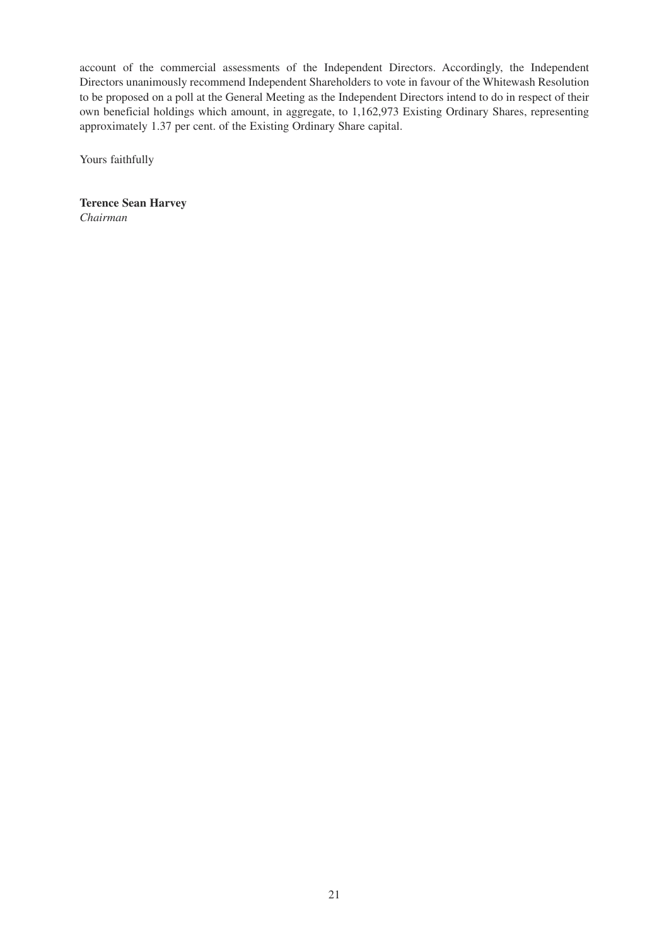account of the commercial assessments of the Independent Directors. Accordingly, the Independent Directors unanimously recommend Independent Shareholders to vote in favour of the Whitewash Resolution to be proposed on a poll at the General Meeting as the Independent Directors intend to do in respect of their own beneficial holdings which amount, in aggregate, to 1,162,973 Existing Ordinary Shares, representing approximately 1.37 per cent. of the Existing Ordinary Share capital.

Yours faithfully

**Terence Sean Harvey** *Chairman*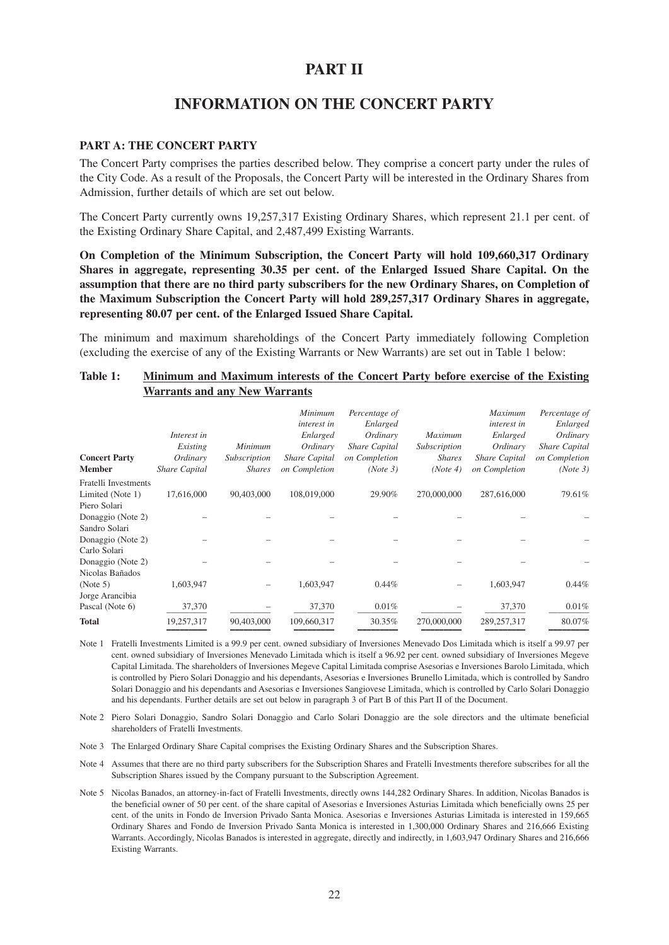### **PART II**

### **INFORMATION ON THE CONCERT PARTY**

#### **PART A: THE CONCERT PARTY**

The Concert Party comprises the parties described below. They comprise a concert party under the rules of the City Code. As a result of the Proposals, the Concert Party will be interested in the Ordinary Shares from Admission, further details of which are set out below.

The Concert Party currently owns 19,257,317 Existing Ordinary Shares, which represent 21.1 per cent. of the Existing Ordinary Share Capital, and 2,487,499 Existing Warrants.

**On Completion of the Minimum Subscription, the Concert Party will hold 109,660,317 Ordinary Shares in aggregate, representing 30.35 per cent. of the Enlarged Issued Share Capital. On the assumption that there are no third party subscribers for the new Ordinary Shares, on Completion of the Maximum Subscription the Concert Party will hold 289,257,317 Ordinary Shares in aggregate, representing 80.07 per cent. of the Enlarged Issued Share Capital.**

The minimum and maximum shareholdings of the Concert Party immediately following Completion (excluding the exercise of any of the Existing Warrants or New Warrants) are set out in Table 1 below:

#### **Table 1: Minimum and Maximum interests of the Concert Party before exercise of the Existing Warrants and any New Warrants**

| <b>Concert Party</b><br><b>Member</b> | Interest in<br>Existing<br>Ordinary<br><b>Share Capital</b> | Minimum<br>Subscription<br><b>Shares</b> | Minimum<br>interest in<br>Enlarged<br>Ordinary<br>Share Capital<br>on Completion | Percentage of<br>Enlarged<br>Ordinary<br><b>Share Capital</b><br>on Completion<br>(Note 3) | <i>Maximum</i><br>Subscription<br><b>Shares</b><br>(Note 4) | Maximum<br>interest in<br>Enlarged<br>Ordinary<br><b>Share Capital</b><br>on Completion | Percentage of<br>Enlarged<br>Ordinary<br>Share Capital<br>on Completion<br>(Note 3) |
|---------------------------------------|-------------------------------------------------------------|------------------------------------------|----------------------------------------------------------------------------------|--------------------------------------------------------------------------------------------|-------------------------------------------------------------|-----------------------------------------------------------------------------------------|-------------------------------------------------------------------------------------|
| Fratelli Investments                  |                                                             |                                          |                                                                                  |                                                                                            |                                                             |                                                                                         |                                                                                     |
| Limited (Note 1)                      | 17,616,000                                                  | 90,403,000                               | 108,019,000                                                                      | 29.90%                                                                                     | 270,000,000                                                 | 287,616,000                                                                             | 79.61%                                                                              |
| Piero Solari                          |                                                             |                                          |                                                                                  |                                                                                            |                                                             |                                                                                         |                                                                                     |
| Donaggio (Note 2)                     |                                                             |                                          |                                                                                  |                                                                                            |                                                             |                                                                                         |                                                                                     |
| Sandro Solari                         |                                                             |                                          |                                                                                  |                                                                                            |                                                             |                                                                                         |                                                                                     |
| Donaggio (Note 2)                     |                                                             |                                          |                                                                                  |                                                                                            |                                                             |                                                                                         |                                                                                     |
| Carlo Solari                          |                                                             |                                          |                                                                                  |                                                                                            |                                                             |                                                                                         |                                                                                     |
| Donaggio (Note 2)                     |                                                             |                                          |                                                                                  |                                                                                            |                                                             |                                                                                         |                                                                                     |
| Nicolas Bañados                       |                                                             |                                          |                                                                                  |                                                                                            |                                                             |                                                                                         |                                                                                     |
| (Note 5)                              | 1,603,947                                                   |                                          | 1,603,947                                                                        | $0.44\%$                                                                                   |                                                             | 1,603,947                                                                               | $0.44\%$                                                                            |
| Jorge Arancibia                       |                                                             |                                          |                                                                                  |                                                                                            |                                                             |                                                                                         |                                                                                     |
| Pascal (Note 6)                       | 37,370                                                      |                                          | 37,370                                                                           | 0.01%                                                                                      |                                                             | 37,370                                                                                  | 0.01%                                                                               |
| <b>Total</b>                          | 19,257,317                                                  | 90,403,000                               | 109,660,317                                                                      | 30.35%                                                                                     | 270,000,000                                                 | 289, 257, 317                                                                           | 80.07%                                                                              |

Note 1 Fratelli Investments Limited is a 99.9 per cent. owned subsidiary of Inversiones Menevado Dos Limitada which is itself a 99.97 per cent. owned subsidiary of Inversiones Menevado Limitada which is itself a 96.92 per cent. owned subsidiary of Inversiones Megeve Capital Limitada. The shareholders of Inversiones Megeve Capital Limitada comprise Asesorias e Inversiones Barolo Limitada, which is controlled by Piero Solari Donaggio and his dependants, Asesorias e Inversiones Brunello Limitada, which is controlled by Sandro Solari Donaggio and his dependants and Asesorias e Inversiones Sangiovese Limitada, which is controlled by Carlo Solari Donaggio and his dependants. Further details are set out below in paragraph 3 of Part B of this Part II of the Document.

- Note 2 Piero Solari Donaggio, Sandro Solari Donaggio and Carlo Solari Donaggio are the sole directors and the ultimate beneficial shareholders of Fratelli Investments.
- Note 3 The Enlarged Ordinary Share Capital comprises the Existing Ordinary Shares and the Subscription Shares.
- Note 4 Assumes that there are no third party subscribers for the Subscription Shares and Fratelli Investments therefore subscribes for all the Subscription Shares issued by the Company pursuant to the Subscription Agreement.
- Note 5 Nicolas Banados, an attorney-in-fact of Fratelli Investments, directly owns 144,282 Ordinary Shares. In addition, Nicolas Banados is the beneficial owner of 50 per cent. of the share capital of Asesorias e Inversiones Asturias Limitada which beneficially owns 25 per cent. of the units in Fondo de Inversion Privado Santa Monica. Asesorias e Inversiones Asturias Limitada is interested in 159,665 Ordinary Shares and Fondo de Inversion Privado Santa Monica is interested in 1,300,000 Ordinary Shares and 216,666 Existing Warrants. Accordingly, Nicolas Banados is interested in aggregate, directly and indirectly, in 1,603,947 Ordinary Shares and 216,666 Existing Warrants.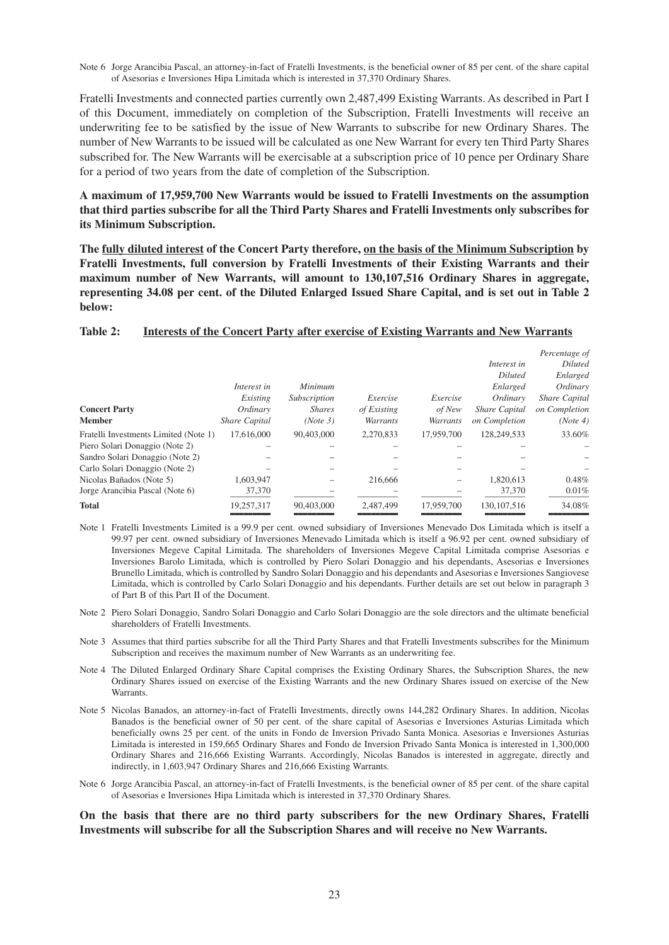Note 6 Jorge Arancibia Pascal, an attorney-in-fact of Fratelli Investments, is the beneficial owner of 85 per cent. of the share capital of Asesorias e Inversiones Hipa Limitada which is interested in 37,370 Ordinary Shares.

Fratelli Investments and connected parties currently own 2,487,499 Existing Warrants. As described in Part I of this Document, immediately on completion of the Subscription, Fratelli Investments will receive an underwriting fee to be satisfied by the issue of New Warrants to subscribe for new Ordinary Shares. The number of New Warrants to be issued will be calculated as one New Warrant for every ten Third Party Shares subscribed for. The New Warrants will be exercisable at a subscription price of 10 pence per Ordinary Share for a period of two years from the date of completion of the Subscription.

#### **A maximum of 17,959,700 New Warrants would be issued to Fratelli Investments on the assumption that third parties subscribe for all the Third Party Shares and Fratelli Investments only subscribes for its Minimum Subscription.**

**The fully diluted interest of the Concert Party therefore, on the basis of the Minimum Subscription by Fratelli Investments, full conversion by Fratelli Investments of their Existing Warrants and their maximum number of New Warrants, will amount to 130,107,516 Ordinary Shares in aggregate, representing 34.08 per cent. of the Diluted Enlarged Issued Share Capital, and is set out in Table 2 below:**

| <b>Concert Party</b><br><b>Member</b> | Interest in<br>Existing<br>Ordinary<br><b>Share Capital</b> | Minimum<br>Subscription<br><b>Shares</b><br>(Note 3) | Exercise<br>of Existing<br>Warrants | Exercise<br>of New<br>Warrants | Interest in<br><b>Diluted</b><br>Enlarged<br>Ordinary<br><b>Share Capital</b><br>on Completion | Percentage of<br>Diluted<br>Enlarged<br>Ordinary<br>Share Capital<br>on Completion<br>(Note 4) |
|---------------------------------------|-------------------------------------------------------------|------------------------------------------------------|-------------------------------------|--------------------------------|------------------------------------------------------------------------------------------------|------------------------------------------------------------------------------------------------|
| Fratelli Investments Limited (Note 1) | 17.616,000                                                  | 90,403,000                                           | 2,270,833                           | 17,959,700                     | 128,249,533                                                                                    | 33.60%                                                                                         |
| Piero Solari Donaggio (Note 2)        |                                                             |                                                      |                                     |                                |                                                                                                |                                                                                                |
| Sandro Solari Donaggio (Note 2)       |                                                             |                                                      |                                     |                                |                                                                                                |                                                                                                |
| Carlo Solari Donaggio (Note 2)        |                                                             |                                                      |                                     |                                |                                                                                                |                                                                                                |
| Nicolas Bañados (Note 5)              | 1,603,947                                                   |                                                      | 216,666                             |                                | 1,820,613                                                                                      | 0.48%                                                                                          |
| Jorge Arancibia Pascal (Note 6)       | 37,370                                                      |                                                      |                                     |                                | 37,370                                                                                         | 0.01%                                                                                          |
| <b>Total</b>                          | 19,257,317                                                  | 90,403,000                                           | 2.487.499                           | 17,959,700                     | 130, 107, 516                                                                                  | 34.08%                                                                                         |

#### **Table 2: Interests of the Concert Party after exercise of Existing Warrants and New Warrants**

Note 1 Fratelli Investments Limited is a 99.9 per cent. owned subsidiary of Inversiones Menevado Dos Limitada which is itself a 99.97 per cent. owned subsidiary of Inversiones Menevado Limitada which is itself a 96.92 per cent. owned subsidiary of Inversiones Megeve Capital Limitada. The shareholders of Inversiones Megeve Capital Limitada comprise Asesorias e Inversiones Barolo Limitada, which is controlled by Piero Solari Donaggio and his dependants, Asesorias e Inversiones Brunello Limitada, which is controlled by Sandro Solari Donaggio and his dependants and Asesorias e Inversiones Sangiovese Limitada, which is controlled by Carlo Solari Donaggio and his dependants. Further details are set out below in paragraph 3 of Part B of this Part II of the Document.

- Note 2 Piero Solari Donaggio, Sandro Solari Donaggio and Carlo Solari Donaggio are the sole directors and the ultimate beneficial shareholders of Fratelli Investments.
- Note 3 Assumes that third parties subscribe for all the Third Party Shares and that Fratelli Investments subscribes for the Minimum Subscription and receives the maximum number of New Warrants as an underwriting fee.
- Note 4 The Diluted Enlarged Ordinary Share Capital comprises the Existing Ordinary Shares, the Subscription Shares, the new Ordinary Shares issued on exercise of the Existing Warrants and the new Ordinary Shares issued on exercise of the New Warrants.
- Note 5 Nicolas Banados, an attorney-in-fact of Fratelli Investments, directly owns 144,282 Ordinary Shares. In addition, Nicolas Banados is the beneficial owner of 50 per cent. of the share capital of Asesorias e Inversiones Asturias Limitada which beneficially owns 25 per cent. of the units in Fondo de Inversion Privado Santa Monica. Asesorias e Inversiones Asturias Limitada is interested in 159,665 Ordinary Shares and Fondo de Inversion Privado Santa Monica is interested in 1,300,000 Ordinary Shares and 216,666 Existing Warrants. Accordingly, Nicolas Banados is interested in aggregate, directly and indirectly, in 1,603,947 Ordinary Shares and 216,666 Existing Warrants.
- Note 6 Jorge Arancibia Pascal, an attorney-in-fact of Fratelli Investments, is the beneficial owner of 85 per cent. of the share capital of Asesorias e Inversiones Hipa Limitada which is interested in 37,370 Ordinary Shares.

#### **On the basis that there are no third party subscribers for the new Ordinary Shares, Fratelli Investments will subscribe for all the Subscription Shares and will receive no New Warrants.**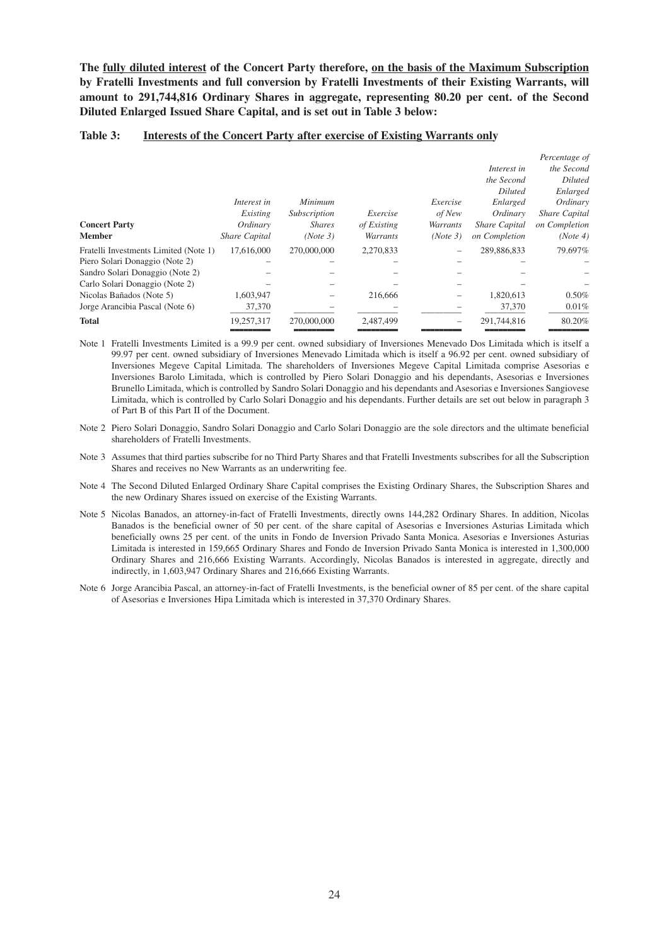**The fully diluted interest of the Concert Party therefore, on the basis of the Maximum Subscription by Fratelli Investments and full conversion by Fratelli Investments of their Existing Warrants, will amount to 291,744,816 Ordinary Shares in aggregate, representing 80.20 per cent. of the Second Diluted Enlarged Issued Share Capital, and is set out in Table 3 below:**

#### **Table 3: Interests of the Concert Party after exercise of Existing Warrants only**

| <b>Concert Party</b><br><b>Member</b> | Interest in<br>Existing<br>Ordinary<br><b>Share Capital</b> | <i>Minimum</i><br>Subscription<br><i>Shares</i><br>(Note 3) | Exercise<br>of Existing<br>Warrants | Exercise<br>of New<br>Warrants<br>(Note 3) | Interest in<br>the Second<br>Diluted<br>Enlarged<br>Ordinary<br><b>Share Capital</b><br>on Completion | Percentage of<br>the Second<br>Diluted<br>Enlarged<br>Ordinary<br>Share Capital<br>on Completion<br>(Note 4) |
|---------------------------------------|-------------------------------------------------------------|-------------------------------------------------------------|-------------------------------------|--------------------------------------------|-------------------------------------------------------------------------------------------------------|--------------------------------------------------------------------------------------------------------------|
| Fratelli Investments Limited (Note 1) | 17,616,000                                                  | 270,000,000                                                 | 2,270,833                           |                                            | 289,886,833                                                                                           | 79.697%                                                                                                      |
| Piero Solari Donaggio (Note 2)        |                                                             |                                                             |                                     |                                            |                                                                                                       |                                                                                                              |
| Sandro Solari Donaggio (Note 2)       |                                                             |                                                             |                                     |                                            |                                                                                                       |                                                                                                              |
| Carlo Solari Donaggio (Note 2)        |                                                             |                                                             |                                     |                                            |                                                                                                       |                                                                                                              |
| Nicolas Bañados (Note 5)              | 1,603,947                                                   |                                                             | 216,666                             |                                            | 1,820,613                                                                                             | 0.50%                                                                                                        |
| Jorge Arancibia Pascal (Note 6)       | 37,370                                                      |                                                             |                                     |                                            | 37,370                                                                                                | 0.01%                                                                                                        |
| <b>Total</b>                          | 19,257,317                                                  | 270,000,000                                                 | 2,487,499                           |                                            | 291,744,816                                                                                           | 80.20%                                                                                                       |

Note 1 Fratelli Investments Limited is a 99.9 per cent. owned subsidiary of Inversiones Menevado Dos Limitada which is itself a 99.97 per cent. owned subsidiary of Inversiones Menevado Limitada which is itself a 96.92 per cent. owned subsidiary of Inversiones Megeve Capital Limitada. The shareholders of Inversiones Megeve Capital Limitada comprise Asesorias e Inversiones Barolo Limitada, which is controlled by Piero Solari Donaggio and his dependants, Asesorias e Inversiones Brunello Limitada, which is controlled by Sandro Solari Donaggio and his dependants and Asesorias e Inversiones Sangiovese Limitada, which is controlled by Carlo Solari Donaggio and his dependants. Further details are set out below in paragraph 3 of Part B of this Part II of the Document.

- Note 2 Piero Solari Donaggio, Sandro Solari Donaggio and Carlo Solari Donaggio are the sole directors and the ultimate beneficial shareholders of Fratelli Investments.
- Note 3 Assumes that third parties subscribe for no Third Party Shares and that Fratelli Investments subscribes for all the Subscription Shares and receives no New Warrants as an underwriting fee.
- Note 4 The Second Diluted Enlarged Ordinary Share Capital comprises the Existing Ordinary Shares, the Subscription Shares and the new Ordinary Shares issued on exercise of the Existing Warrants.
- Note 5 Nicolas Banados, an attorney-in-fact of Fratelli Investments, directly owns 144,282 Ordinary Shares. In addition, Nicolas Banados is the beneficial owner of 50 per cent. of the share capital of Asesorias e Inversiones Asturias Limitada which beneficially owns 25 per cent. of the units in Fondo de Inversion Privado Santa Monica. Asesorias e Inversiones Asturias Limitada is interested in 159,665 Ordinary Shares and Fondo de Inversion Privado Santa Monica is interested in 1,300,000 Ordinary Shares and 216,666 Existing Warrants. Accordingly, Nicolas Banados is interested in aggregate, directly and indirectly, in 1,603,947 Ordinary Shares and 216,666 Existing Warrants.
- Note 6 Jorge Arancibia Pascal, an attorney-in-fact of Fratelli Investments, is the beneficial owner of 85 per cent. of the share capital of Asesorias e Inversiones Hipa Limitada which is interested in 37,370 Ordinary Shares.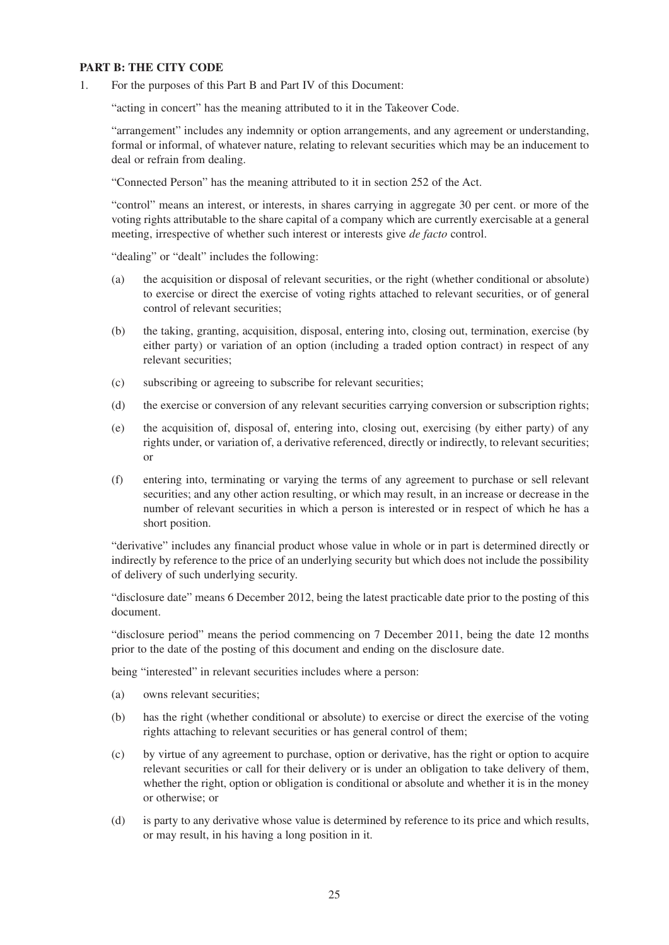#### **PART B: THE CITY CODE**

1. For the purposes of this Part B and Part IV of this Document:

"acting in concert" has the meaning attributed to it in the Takeover Code.

"arrangement" includes any indemnity or option arrangements, and any agreement or understanding, formal or informal, of whatever nature, relating to relevant securities which may be an inducement to deal or refrain from dealing.

"Connected Person" has the meaning attributed to it in section 252 of the Act.

"control" means an interest, or interests, in shares carrying in aggregate 30 per cent. or more of the voting rights attributable to the share capital of a company which are currently exercisable at a general meeting, irrespective of whether such interest or interests give *de facto* control.

"dealing" or "dealt" includes the following:

- (a) the acquisition or disposal of relevant securities, or the right (whether conditional or absolute) to exercise or direct the exercise of voting rights attached to relevant securities, or of general control of relevant securities;
- (b) the taking, granting, acquisition, disposal, entering into, closing out, termination, exercise (by either party) or variation of an option (including a traded option contract) in respect of any relevant securities;
- (c) subscribing or agreeing to subscribe for relevant securities;
- (d) the exercise or conversion of any relevant securities carrying conversion or subscription rights;
- (e) the acquisition of, disposal of, entering into, closing out, exercising (by either party) of any rights under, or variation of, a derivative referenced, directly or indirectly, to relevant securities; or
- (f) entering into, terminating or varying the terms of any agreement to purchase or sell relevant securities; and any other action resulting, or which may result, in an increase or decrease in the number of relevant securities in which a person is interested or in respect of which he has a short position.

"derivative" includes any financial product whose value in whole or in part is determined directly or indirectly by reference to the price of an underlying security but which does not include the possibility of delivery of such underlying security.

"disclosure date" means 6 December 2012, being the latest practicable date prior to the posting of this document.

"disclosure period" means the period commencing on 7 December 2011, being the date 12 months prior to the date of the posting of this document and ending on the disclosure date.

being "interested" in relevant securities includes where a person:

- (a) owns relevant securities;
- (b) has the right (whether conditional or absolute) to exercise or direct the exercise of the voting rights attaching to relevant securities or has general control of them;
- (c) by virtue of any agreement to purchase, option or derivative, has the right or option to acquire relevant securities or call for their delivery or is under an obligation to take delivery of them, whether the right, option or obligation is conditional or absolute and whether it is in the money or otherwise; or
- (d) is party to any derivative whose value is determined by reference to its price and which results, or may result, in his having a long position in it.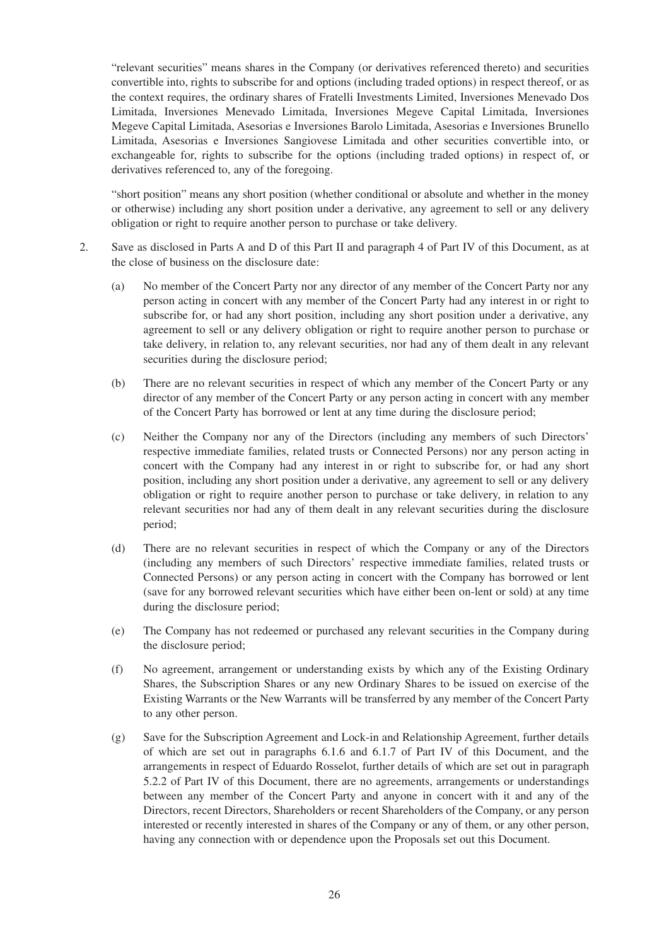"relevant securities" means shares in the Company (or derivatives referenced thereto) and securities convertible into, rights to subscribe for and options (including traded options) in respect thereof, or as the context requires, the ordinary shares of Fratelli Investments Limited, Inversiones Menevado Dos Limitada, Inversiones Menevado Limitada, Inversiones Megeve Capital Limitada, Inversiones Megeve Capital Limitada, Asesorias e Inversiones Barolo Limitada, Asesorias e Inversiones Brunello Limitada, Asesorias e Inversiones Sangiovese Limitada and other securities convertible into, or exchangeable for, rights to subscribe for the options (including traded options) in respect of, or derivatives referenced to, any of the foregoing.

"short position" means any short position (whether conditional or absolute and whether in the money or otherwise) including any short position under a derivative, any agreement to sell or any delivery obligation or right to require another person to purchase or take delivery.

- 2. Save as disclosed in Parts A and D of this Part II and paragraph 4 of Part IV of this Document, as at the close of business on the disclosure date:
	- (a) No member of the Concert Party nor any director of any member of the Concert Party nor any person acting in concert with any member of the Concert Party had any interest in or right to subscribe for, or had any short position, including any short position under a derivative, any agreement to sell or any delivery obligation or right to require another person to purchase or take delivery, in relation to, any relevant securities, nor had any of them dealt in any relevant securities during the disclosure period;
	- (b) There are no relevant securities in respect of which any member of the Concert Party or any director of any member of the Concert Party or any person acting in concert with any member of the Concert Party has borrowed or lent at any time during the disclosure period;
	- (c) Neither the Company nor any of the Directors (including any members of such Directors' respective immediate families, related trusts or Connected Persons) nor any person acting in concert with the Company had any interest in or right to subscribe for, or had any short position, including any short position under a derivative, any agreement to sell or any delivery obligation or right to require another person to purchase or take delivery, in relation to any relevant securities nor had any of them dealt in any relevant securities during the disclosure period;
	- (d) There are no relevant securities in respect of which the Company or any of the Directors (including any members of such Directors' respective immediate families, related trusts or Connected Persons) or any person acting in concert with the Company has borrowed or lent (save for any borrowed relevant securities which have either been on-lent or sold) at any time during the disclosure period;
	- (e) The Company has not redeemed or purchased any relevant securities in the Company during the disclosure period;
	- (f) No agreement, arrangement or understanding exists by which any of the Existing Ordinary Shares, the Subscription Shares or any new Ordinary Shares to be issued on exercise of the Existing Warrants or the New Warrants will be transferred by any member of the Concert Party to any other person.
	- (g) Save for the Subscription Agreement and Lock-in and Relationship Agreement, further details of which are set out in paragraphs 6.1.6 and 6.1.7 of Part IV of this Document, and the arrangements in respect of Eduardo Rosselot, further details of which are set out in paragraph 5.2.2 of Part IV of this Document, there are no agreements, arrangements or understandings between any member of the Concert Party and anyone in concert with it and any of the Directors, recent Directors, Shareholders or recent Shareholders of the Company, or any person interested or recently interested in shares of the Company or any of them, or any other person, having any connection with or dependence upon the Proposals set out this Document.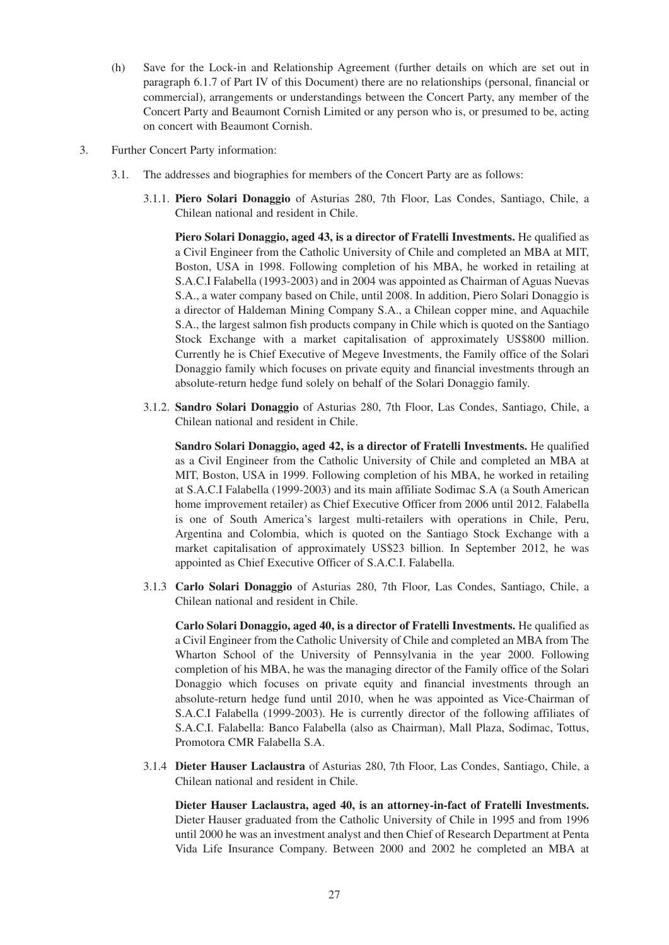- (h) Save for the Lock-in and Relationship Agreement (further details on which are set out in paragraph 6.1.7 of Part IV of this Document) there are no relationships (personal, financial or commercial), arrangements or understandings between the Concert Party, any member of the Concert Party and Beaumont Cornish Limited or any person who is, or presumed to be, acting on concert with Beaumont Cornish.
- 3. Further Concert Party information:
	- 3.1. The addresses and biographies for members of the Concert Party are as follows:
		- 3.1.1. **Piero Solari Donaggio** of Asturias 280, 7th Floor, Las Condes, Santiago, Chile, a Chilean national and resident in Chile.

**Piero Solari Donaggio, aged 43, is a director of Fratelli Investments.** He qualified as a Civil Engineer from the Catholic University of Chile and completed an MBA at MIT, Boston, USA in 1998. Following completion of his MBA, he worked in retailing at S.A.C.I Falabella (1993-2003) and in 2004 was appointed as Chairman of Aguas Nuevas S.A., a water company based on Chile, until 2008. In addition, Piero Solari Donaggio is a director of Haldeman Mining Company S.A., a Chilean copper mine, and Aquachile S.A., the largest salmon fish products company in Chile which is quoted on the Santiago Stock Exchange with a market capitalisation of approximately US\$800 million. Currently he is Chief Executive of Megeve Investments, the Family office of the Solari Donaggio family which focuses on private equity and financial investments through an absolute-return hedge fund solely on behalf of the Solari Donaggio family.

3.1.2. **Sandro Solari Donaggio** of Asturias 280, 7th Floor, Las Condes, Santiago, Chile, a Chilean national and resident in Chile.

**Sandro Solari Donaggio, aged 42, is a director of Fratelli Investments.** He qualified as a Civil Engineer from the Catholic University of Chile and completed an MBA at MIT, Boston, USA in 1999. Following completion of his MBA, he worked in retailing at S.A.C.I Falabella (1999-2003) and its main affiliate Sodimac S.A (a South American home improvement retailer) as Chief Executive Officer from 2006 until 2012. Falabella is one of South America's largest multi-retailers with operations in Chile, Peru, Argentina and Colombia, which is quoted on the Santiago Stock Exchange with a market capitalisation of approximately US\$23 billion. In September 2012, he was appointed as Chief Executive Officer of S.A.C.I. Falabella.

3.1.3 **Carlo Solari Donaggio** of Asturias 280, 7th Floor, Las Condes, Santiago, Chile, a Chilean national and resident in Chile.

**Carlo Solari Donaggio, aged 40, is a director of Fratelli Investments.** He qualified as a Civil Engineer from the Catholic University of Chile and completed an MBA from The Wharton School of the University of Pennsylvania in the year 2000. Following completion of his MBA, he was the managing director of the Family office of the Solari Donaggio which focuses on private equity and financial investments through an absolute-return hedge fund until 2010, when he was appointed as Vice-Chairman of S.A.C.I Falabella (1999-2003). He is currently director of the following affiliates of S.A.C.I. Falabella: Banco Falabella (also as Chairman), Mall Plaza, Sodimac, Tottus, Promotora CMR Falabella S.A.

3.1.4 **Dieter Hauser Laclaustra** of Asturias 280, 7th Floor, Las Condes, Santiago, Chile, a Chilean national and resident in Chile.

**Dieter Hauser Laclaustra, aged 40, is an attorney-in-fact of Fratelli Investments.** Dieter Hauser graduated from the Catholic University of Chile in 1995 and from 1996 until 2000 he was an investment analyst and then Chief of Research Department at Penta Vida Life Insurance Company. Between 2000 and 2002 he completed an MBA at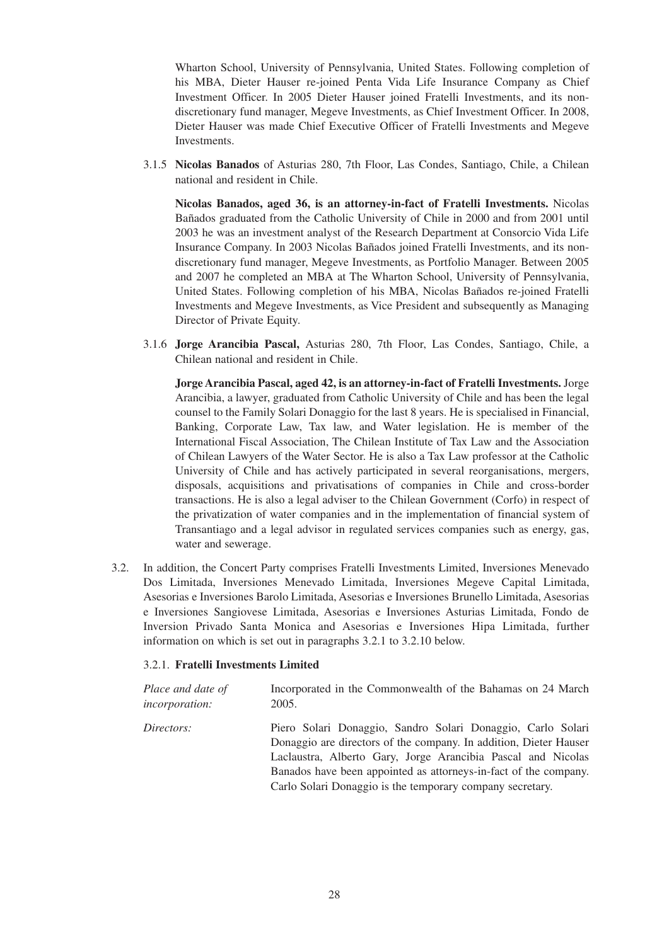Wharton School, University of Pennsylvania, United States. Following completion of his MBA, Dieter Hauser re-joined Penta Vida Life Insurance Company as Chief Investment Officer. In 2005 Dieter Hauser joined Fratelli Investments, and its nondiscretionary fund manager, Megeve Investments, as Chief Investment Officer. In 2008, Dieter Hauser was made Chief Executive Officer of Fratelli Investments and Megeve Investments.

3.1.5 **Nicolas Banados** of Asturias 280, 7th Floor, Las Condes, Santiago, Chile, a Chilean national and resident in Chile.

**Nicolas Banados, aged 36, is an attorney-in-fact of Fratelli Investments.** Nicolas Bañados graduated from the Catholic University of Chile in 2000 and from 2001 until 2003 he was an investment analyst of the Research Department at Consorcio Vida Life Insurance Company. In 2003 Nicolas Bañados joined Fratelli Investments, and its nondiscretionary fund manager, Megeve Investments, as Portfolio Manager. Between 2005 and 2007 he completed an MBA at The Wharton School, University of Pennsylvania, United States. Following completion of his MBA, Nicolas Bañados re-joined Fratelli Investments and Megeve Investments, as Vice President and subsequently as Managing Director of Private Equity.

3.1.6 **Jorge Arancibia Pascal,** Asturias 280, 7th Floor, Las Condes, Santiago, Chile, a Chilean national and resident in Chile.

**Jorge Arancibia Pascal, aged 42, is an attorney-in-fact of Fratelli Investments.** Jorge Arancibia, a lawyer, graduated from Catholic University of Chile and has been the legal counsel to the Family Solari Donaggio for the last 8 years. He is specialised in Financial, Banking, Corporate Law, Tax law, and Water legislation. He is member of the International Fiscal Association, The Chilean Institute of Tax Law and the Association of Chilean Lawyers of the Water Sector. He is also a Tax Law professor at the Catholic University of Chile and has actively participated in several reorganisations, mergers, disposals, acquisitions and privatisations of companies in Chile and cross-border transactions. He is also a legal adviser to the Chilean Government (Corfo) in respect of the privatization of water companies and in the implementation of financial system of Transantiago and a legal advisor in regulated services companies such as energy, gas, water and sewerage.

3.2. In addition, the Concert Party comprises Fratelli Investments Limited, Inversiones Menevado Dos Limitada, Inversiones Menevado Limitada, Inversiones Megeve Capital Limitada, Asesorias e Inversiones Barolo Limitada, Asesorias e Inversiones Brunello Limitada, Asesorias e Inversiones Sangiovese Limitada, Asesorias e Inversiones Asturias Limitada, Fondo de Inversion Privado Santa Monica and Asesorias e Inversiones Hipa Limitada, further information on which is set out in paragraphs 3.2.1 to 3.2.10 below.

#### 3.2.1. **Fratelli Investments Limited**

| Place and date of     | Incorporated in the Commonwealth of the Bahamas on 24 March                                                                                                                                                                                                                                                                       |
|-----------------------|-----------------------------------------------------------------------------------------------------------------------------------------------------------------------------------------------------------------------------------------------------------------------------------------------------------------------------------|
| <i>incorporation:</i> | 2005.                                                                                                                                                                                                                                                                                                                             |
| Directors:            | Piero Solari Donaggio, Sandro Solari Donaggio, Carlo Solari<br>Donaggio are directors of the company. In addition, Dieter Hauser<br>Laclaustra, Alberto Gary, Jorge Arancibia Pascal and Nicolas<br>Banados have been appointed as attorneys-in-fact of the company.<br>Carlo Solari Donaggio is the temporary company secretary. |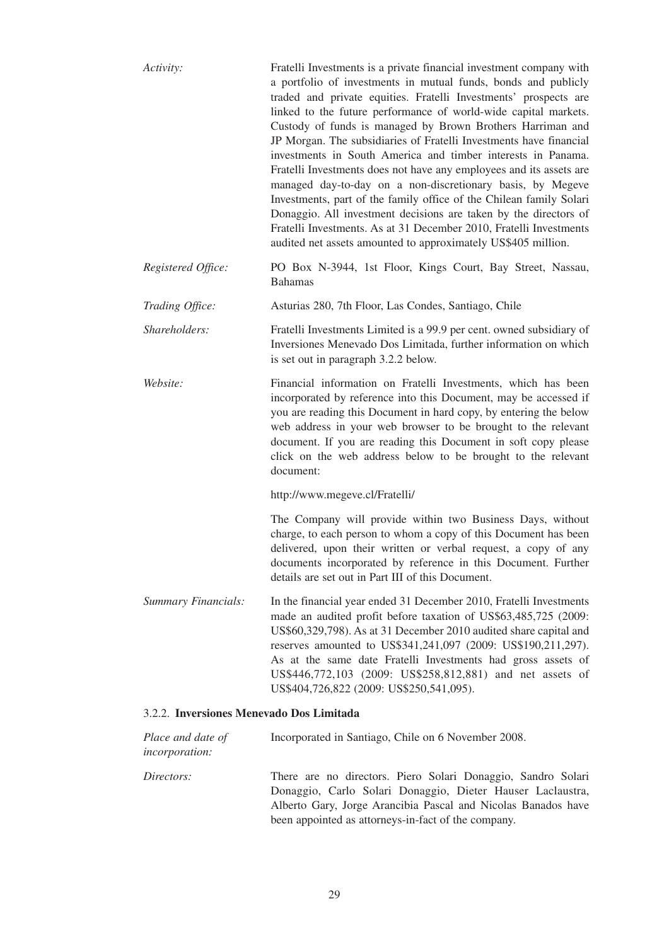| Activity:           | Fratelli Investments is a private financial investment company with<br>a portfolio of investments in mutual funds, bonds and publicly<br>traded and private equities. Fratelli Investments' prospects are<br>linked to the future performance of world-wide capital markets.<br>Custody of funds is managed by Brown Brothers Harriman and<br>JP Morgan. The subsidiaries of Fratelli Investments have financial<br>investments in South America and timber interests in Panama.<br>Fratelli Investments does not have any employees and its assets are<br>managed day-to-day on a non-discretionary basis, by Megeve<br>Investments, part of the family office of the Chilean family Solari<br>Donaggio. All investment decisions are taken by the directors of<br>Fratelli Investments. As at 31 December 2010, Fratelli Investments<br>audited net assets amounted to approximately US\$405 million. |
|---------------------|---------------------------------------------------------------------------------------------------------------------------------------------------------------------------------------------------------------------------------------------------------------------------------------------------------------------------------------------------------------------------------------------------------------------------------------------------------------------------------------------------------------------------------------------------------------------------------------------------------------------------------------------------------------------------------------------------------------------------------------------------------------------------------------------------------------------------------------------------------------------------------------------------------|
| Registered Office:  | PO Box N-3944, 1st Floor, Kings Court, Bay Street, Nassau,<br><b>Bahamas</b>                                                                                                                                                                                                                                                                                                                                                                                                                                                                                                                                                                                                                                                                                                                                                                                                                            |
| Trading Office:     | Asturias 280, 7th Floor, Las Condes, Santiago, Chile                                                                                                                                                                                                                                                                                                                                                                                                                                                                                                                                                                                                                                                                                                                                                                                                                                                    |
| Shareholders:       | Fratelli Investments Limited is a 99.9 per cent. owned subsidiary of<br>Inversiones Menevado Dos Limitada, further information on which<br>is set out in paragraph 3.2.2 below.                                                                                                                                                                                                                                                                                                                                                                                                                                                                                                                                                                                                                                                                                                                         |
| Website:            | Financial information on Fratelli Investments, which has been<br>incorporated by reference into this Document, may be accessed if<br>you are reading this Document in hard copy, by entering the below<br>web address in your web browser to be brought to the relevant<br>document. If you are reading this Document in soft copy please<br>click on the web address below to be brought to the relevant<br>document:                                                                                                                                                                                                                                                                                                                                                                                                                                                                                  |
|                     | http://www.megeve.cl/Fratelli/                                                                                                                                                                                                                                                                                                                                                                                                                                                                                                                                                                                                                                                                                                                                                                                                                                                                          |
|                     | The Company will provide within two Business Days, without<br>charge, to each person to whom a copy of this Document has been<br>delivered, upon their written or verbal request, a copy of any<br>documents incorporated by reference in this Document. Further<br>details are set out in Part III of this Document.                                                                                                                                                                                                                                                                                                                                                                                                                                                                                                                                                                                   |
| Summary Financials: | In the financial year ended 31 December 2010, Fratelli Investments<br>made an audited profit before taxation of US\$63,485,725 (2009:<br>US\$60,329,798). As at 31 December 2010 audited share capital and<br>reserves amounted to US\$341,241,097 (2009: US\$190,211,297).<br>As at the same date Fratelli Investments had gross assets of<br>US\$446,772,103 (2009: US\$258,812,881) and net assets of<br>US\$404,726,822 (2009: US\$250,541,095).                                                                                                                                                                                                                                                                                                                                                                                                                                                    |
|                     |                                                                                                                                                                                                                                                                                                                                                                                                                                                                                                                                                                                                                                                                                                                                                                                                                                                                                                         |

#### 3.2.2. **Inversiones Menevado Dos Limitada**

| Place and date of<br><i>incorporation:</i> | Incorporated in Santiago, Chile on 6 November 2008.                                                                                                                                                                                                |
|--------------------------------------------|----------------------------------------------------------------------------------------------------------------------------------------------------------------------------------------------------------------------------------------------------|
| Directors:                                 | There are no directors. Piero Solari Donaggio, Sandro Solari<br>Donaggio, Carlo Solari Donaggio, Dieter Hauser Laclaustra,<br>Alberto Gary, Jorge Arancibia Pascal and Nicolas Banados have<br>been appointed as attorneys-in-fact of the company. |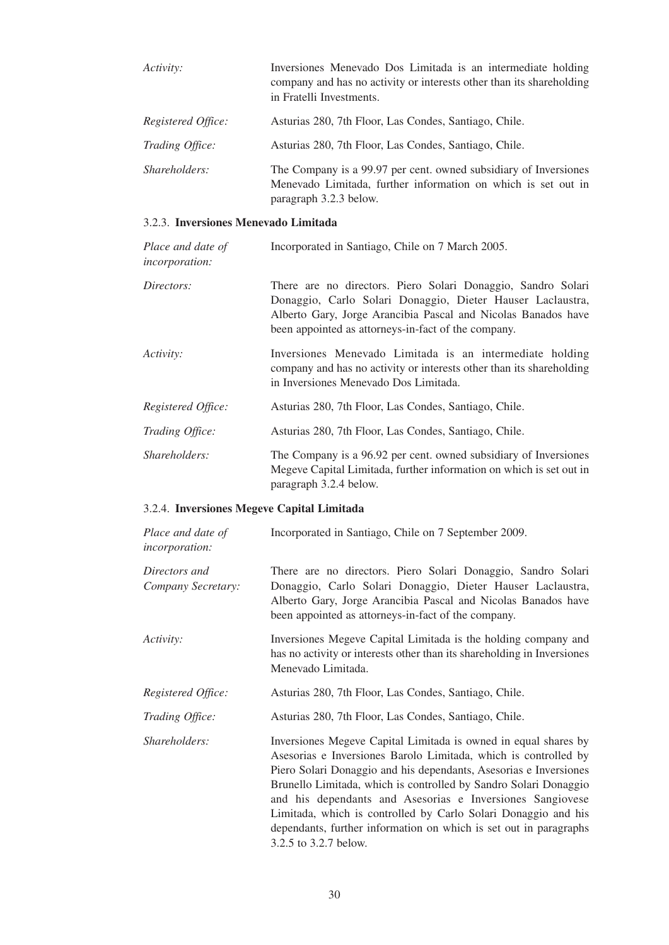| <i>Activity:</i>          | Inversiones Menevado Dos Limitada is an intermediate holding<br>company and has no activity or interests other than its shareholding<br>in Fratelli Investments. |
|---------------------------|------------------------------------------------------------------------------------------------------------------------------------------------------------------|
| <i>Registered Office:</i> | Asturias 280, 7th Floor, Las Condes, Santiago, Chile.                                                                                                            |
| Trading Office:           | Asturias 280, 7th Floor, Las Condes, Santiago, Chile.                                                                                                            |
| Shareholders:             | The Company is a 99.97 per cent. owned subsidiary of Inversiones<br>Menevado Limitada, further information on which is set out in<br>paragraph 3.2.3 below.      |

#### 3.2.3. **Inversiones Menevado Limitada**

| Place and date of<br>incorporation: | Incorporated in Santiago, Chile on 7 March 2005.                                                                                                                                                                                                   |
|-------------------------------------|----------------------------------------------------------------------------------------------------------------------------------------------------------------------------------------------------------------------------------------------------|
| Directors:                          | There are no directors. Piero Solari Donaggio, Sandro Solari<br>Donaggio, Carlo Solari Donaggio, Dieter Hauser Laclaustra,<br>Alberto Gary, Jorge Arancibia Pascal and Nicolas Banados have<br>been appointed as attorneys-in-fact of the company. |
| Activity:                           | Inversiones Menevado Limitada is an intermediate holding<br>company and has no activity or interests other than its shareholding<br>in Inversiones Menevado Dos Limitada.                                                                          |
| Registered Office:                  | Asturias 280, 7th Floor, Las Condes, Santiago, Chile.                                                                                                                                                                                              |
| Trading Office:                     | Asturias 280, 7th Floor, Las Condes, Santiago, Chile.                                                                                                                                                                                              |
| Shareholders:                       | The Company is a 96.92 per cent. owned subsidiary of Inversiones<br>Megeve Capital Limitada, further information on which is set out in<br>paragraph 3.2.4 below.                                                                                  |

### 3.2.4. **Inversiones Megeve Capital Limitada**

| Place and date of<br>incorporation: | Incorporated in Santiago, Chile on 7 September 2009.                                                                                                                                                                                                                                                                                                                                                                                                                                                     |
|-------------------------------------|----------------------------------------------------------------------------------------------------------------------------------------------------------------------------------------------------------------------------------------------------------------------------------------------------------------------------------------------------------------------------------------------------------------------------------------------------------------------------------------------------------|
| Directors and<br>Company Secretary: | There are no directors. Piero Solari Donaggio, Sandro Solari<br>Donaggio, Carlo Solari Donaggio, Dieter Hauser Laclaustra,<br>Alberto Gary, Jorge Arancibia Pascal and Nicolas Banados have<br>been appointed as attorneys-in-fact of the company.                                                                                                                                                                                                                                                       |
| <i>Activity:</i>                    | Inversiones Megeve Capital Limitada is the holding company and<br>has no activity or interests other than its shareholding in Inversiones<br>Menevado Limitada.                                                                                                                                                                                                                                                                                                                                          |
| Registered Office:                  | Asturias 280, 7th Floor, Las Condes, Santiago, Chile.                                                                                                                                                                                                                                                                                                                                                                                                                                                    |
| Trading Office:                     | Asturias 280, 7th Floor, Las Condes, Santiago, Chile.                                                                                                                                                                                                                                                                                                                                                                                                                                                    |
| Shareholders:                       | Inversiones Megeve Capital Limitada is owned in equal shares by<br>Asesorias e Inversiones Barolo Limitada, which is controlled by<br>Piero Solari Donaggio and his dependants, Asesorias e Inversiones<br>Brunello Limitada, which is controlled by Sandro Solari Donaggio<br>and his dependants and Asesorias e Inversiones Sangiovese<br>Limitada, which is controlled by Carlo Solari Donaggio and his<br>dependants, further information on which is set out in paragraphs<br>3.2.5 to 3.2.7 below. |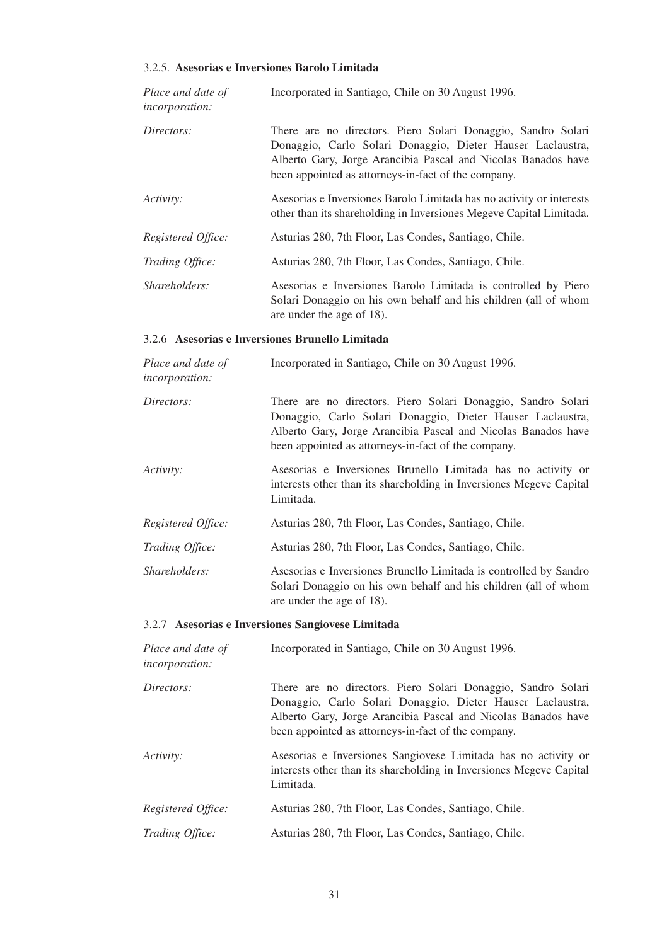#### 3.2.5. **Asesorias e Inversiones Barolo Limitada**

| Place and date of<br>incorporation: | Incorporated in Santiago, Chile on 30 August 1996.                                                                                                                                                                                                 |
|-------------------------------------|----------------------------------------------------------------------------------------------------------------------------------------------------------------------------------------------------------------------------------------------------|
| Directors:                          | There are no directors. Piero Solari Donaggio, Sandro Solari<br>Donaggio, Carlo Solari Donaggio, Dieter Hauser Laclaustra,<br>Alberto Gary, Jorge Arancibia Pascal and Nicolas Banados have<br>been appointed as attorneys-in-fact of the company. |
| Activity:                           | Asesorias e Inversiones Barolo Limitada has no activity or interests<br>other than its shareholding in Inversiones Megeve Capital Limitada.                                                                                                        |
| Registered Office:                  | Asturias 280, 7th Floor, Las Condes, Santiago, Chile.                                                                                                                                                                                              |
| Trading Office:                     | Asturias 280, 7th Floor, Las Condes, Santiago, Chile.                                                                                                                                                                                              |
| Shareholders:                       | Asesorias e Inversiones Barolo Limitada is controlled by Piero<br>Solari Donaggio on his own behalf and his children (all of whom<br>are under the age of 18).                                                                                     |

#### 3.2.6 **Asesorias e Inversiones Brunello Limitada**

| Place and date of<br>incorporation: | Incorporated in Santiago, Chile on 30 August 1996.                                                                                                                                                                                                 |
|-------------------------------------|----------------------------------------------------------------------------------------------------------------------------------------------------------------------------------------------------------------------------------------------------|
| Directors:                          | There are no directors. Piero Solari Donaggio, Sandro Solari<br>Donaggio, Carlo Solari Donaggio, Dieter Hauser Laclaustra,<br>Alberto Gary, Jorge Arancibia Pascal and Nicolas Banados have<br>been appointed as attorneys-in-fact of the company. |
| Activity:                           | Asesorias e Inversiones Brunello Limitada has no activity or<br>interests other than its shareholding in Inversiones Megeve Capital<br>Limitada.                                                                                                   |
| Registered Office:                  | Asturias 280, 7th Floor, Las Condes, Santiago, Chile.                                                                                                                                                                                              |
| <i>Trading Office:</i>              | Asturias 280, 7th Floor, Las Condes, Santiago, Chile.                                                                                                                                                                                              |
| Shareholders:                       | Asesorias e Inversiones Brunello Limitada is controlled by Sandro<br>Solari Donaggio on his own behalf and his children (all of whom<br>are under the age of 18).                                                                                  |

#### 3.2.7 **Asesorias e Inversiones Sangiovese Limitada**

| Place and date of<br>incorporation: | Incorporated in Santiago, Chile on 30 August 1996.                                                                                                                                                                                                 |
|-------------------------------------|----------------------------------------------------------------------------------------------------------------------------------------------------------------------------------------------------------------------------------------------------|
| Directors:                          | There are no directors. Piero Solari Donaggio, Sandro Solari<br>Donaggio, Carlo Solari Donaggio, Dieter Hauser Laclaustra,<br>Alberto Gary, Jorge Arancibia Pascal and Nicolas Banados have<br>been appointed as attorneys-in-fact of the company. |
| <i>Activity:</i>                    | Asesorias e Inversiones Sangiovese Limitada has no activity or<br>interests other than its shareholding in Inversiones Megeve Capital<br>Limitada.                                                                                                 |
| <i>Registered Office:</i>           | Asturias 280, 7th Floor, Las Condes, Santiago, Chile.                                                                                                                                                                                              |
| Trading Office:                     | Asturias 280, 7th Floor, Las Condes, Santiago, Chile.                                                                                                                                                                                              |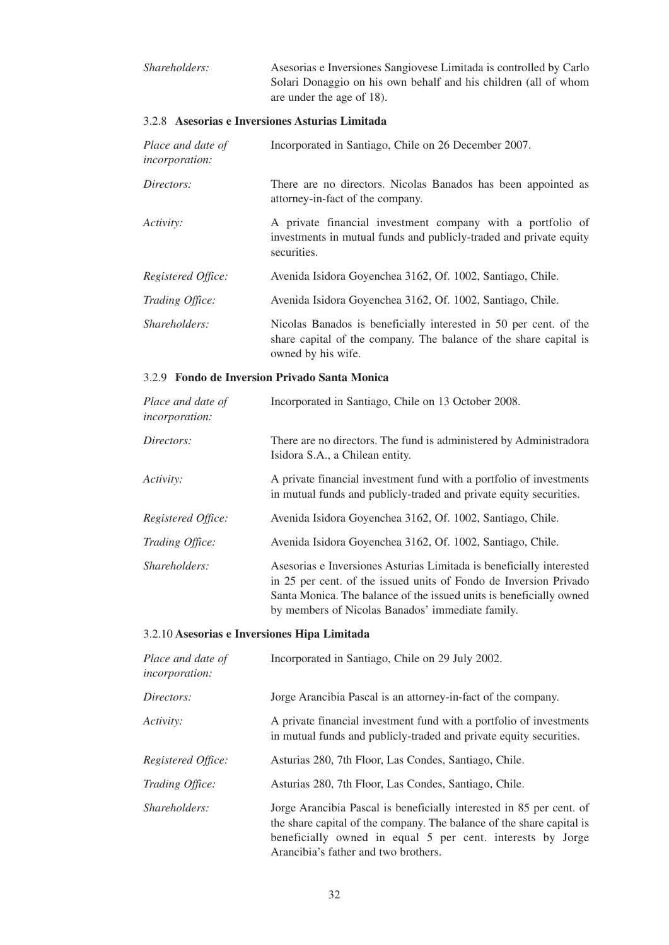| Shareholders:                                   | Asesorias e Inversiones Sangiovese Limitada is controlled by Carlo<br>Solari Donaggio on his own behalf and his children (all of whom<br>are under the age of 18). |
|-------------------------------------------------|--------------------------------------------------------------------------------------------------------------------------------------------------------------------|
| 3.2.8 Asesorias e Inversiones Asturias Limitada |                                                                                                                                                                    |
| Place and date of<br>incorporation:             | Incorporated in Santiago, Chile on 26 December 2007.                                                                                                               |
| Directors:                                      | There are no directors. Nicolas Banados has been appointed as<br>attorney-in-fact of the company.                                                                  |
| Activity:                                       | A private financial investment company with a portfolio of<br>investments in mutual funds and publicly-traded and private equity<br>securities.                    |
| <i>Registered Office:</i>                       | Avenida Isidora Goyenchea 3162, Of. 1002, Santiago, Chile.                                                                                                         |
| Trading Office:                                 | Avenida Isidora Goyenchea 3162, Of. 1002, Santiago, Chile.                                                                                                         |
| Shareholders:                                   | Nicolas Banados is beneficially interested in 50 per cent. of the<br>share capital of the company. The balance of the share capital is<br>owned by his wife.       |

### 3.2.9 **Fondo de Inversion Privado Santa Monica**

| Place and date of<br>incorporation: | Incorporated in Santiago, Chile on 13 October 2008.                                                                                                                                                                                                                  |
|-------------------------------------|----------------------------------------------------------------------------------------------------------------------------------------------------------------------------------------------------------------------------------------------------------------------|
| Directors:                          | There are no directors. The fund is administered by Administradora<br>Isidora S.A., a Chilean entity.                                                                                                                                                                |
| Activity:                           | A private financial investment fund with a portfolio of investments<br>in mutual funds and publicly-traded and private equity securities.                                                                                                                            |
| Registered Office:                  | Avenida Isidora Goyenchea 3162, Of. 1002, Santiago, Chile.                                                                                                                                                                                                           |
| Trading Office:                     | Avenida Isidora Goyenchea 3162, Of. 1002, Santiago, Chile.                                                                                                                                                                                                           |
| Shareholders:                       | Asesorias e Inversiones Asturias Limitada is beneficially interested<br>in 25 per cent. of the issued units of Fondo de Inversion Privado<br>Santa Monica. The balance of the issued units is beneficially owned<br>by members of Nicolas Banados' immediate family. |

### 3.2.10 **Asesorias e Inversiones Hipa Limitada**

| Place and date of<br>incorporation: | Incorporated in Santiago, Chile on 29 July 2002.                                                                                                                                                                                                    |
|-------------------------------------|-----------------------------------------------------------------------------------------------------------------------------------------------------------------------------------------------------------------------------------------------------|
| Directors:                          | Jorge Arancibia Pascal is an attorney-in-fact of the company.                                                                                                                                                                                       |
| <i>Activity:</i>                    | A private financial investment fund with a portfolio of investments<br>in mutual funds and publicly-traded and private equity securities.                                                                                                           |
| Registered Office:                  | Asturias 280, 7th Floor, Las Condes, Santiago, Chile.                                                                                                                                                                                               |
| Trading Office:                     | Asturias 280, 7th Floor, Las Condes, Santiago, Chile.                                                                                                                                                                                               |
| Shareholders:                       | Jorge Arancibia Pascal is beneficially interested in 85 per cent. of<br>the share capital of the company. The balance of the share capital is<br>beneficially owned in equal 5 per cent. interests by Jorge<br>Arancibia's father and two brothers. |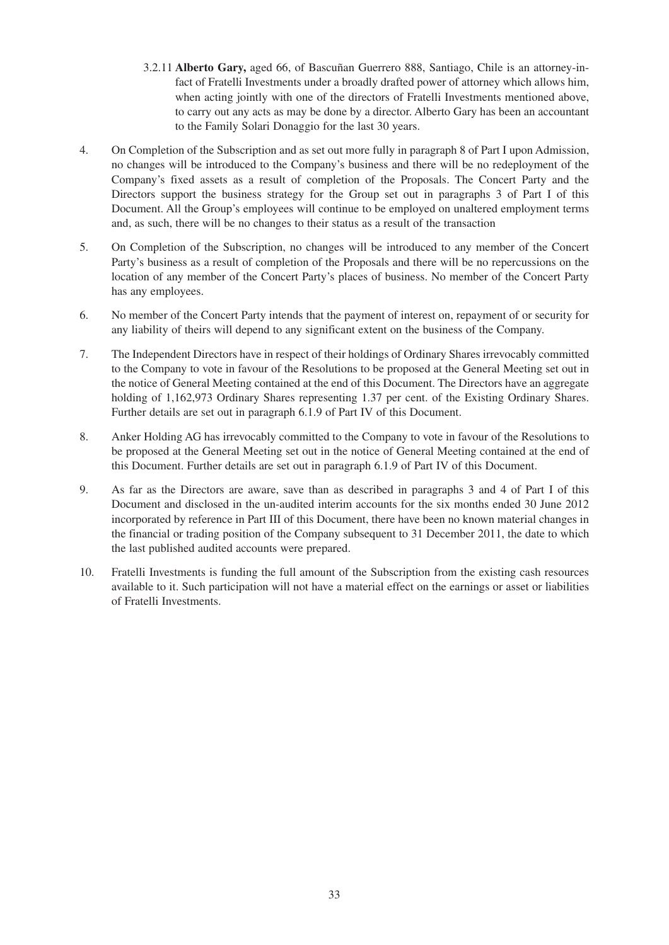- 3.2.11 **Alberto Gary,** aged 66, of Bascuñan Guerrero 888, Santiago, Chile is an attorney-infact of Fratelli Investments under a broadly drafted power of attorney which allows him, when acting jointly with one of the directors of Fratelli Investments mentioned above, to carry out any acts as may be done by a director. Alberto Gary has been an accountant to the Family Solari Donaggio for the last 30 years.
- 4. On Completion of the Subscription and as set out more fully in paragraph 8 of Part I upon Admission, no changes will be introduced to the Company's business and there will be no redeployment of the Company's fixed assets as a result of completion of the Proposals. The Concert Party and the Directors support the business strategy for the Group set out in paragraphs 3 of Part I of this Document. All the Group's employees will continue to be employed on unaltered employment terms and, as such, there will be no changes to their status as a result of the transaction
- 5. On Completion of the Subscription, no changes will be introduced to any member of the Concert Party's business as a result of completion of the Proposals and there will be no repercussions on the location of any member of the Concert Party's places of business. No member of the Concert Party has any employees.
- 6. No member of the Concert Party intends that the payment of interest on, repayment of or security for any liability of theirs will depend to any significant extent on the business of the Company.
- 7. The Independent Directors have in respect of their holdings of Ordinary Shares irrevocably committed to the Company to vote in favour of the Resolutions to be proposed at the General Meeting set out in the notice of General Meeting contained at the end of this Document. The Directors have an aggregate holding of 1,162,973 Ordinary Shares representing 1.37 per cent. of the Existing Ordinary Shares. Further details are set out in paragraph 6.1.9 of Part IV of this Document.
- 8. Anker Holding AG has irrevocably committed to the Company to vote in favour of the Resolutions to be proposed at the General Meeting set out in the notice of General Meeting contained at the end of this Document. Further details are set out in paragraph 6.1.9 of Part IV of this Document.
- 9. As far as the Directors are aware, save than as described in paragraphs 3 and 4 of Part I of this Document and disclosed in the un-audited interim accounts for the six months ended 30 June 2012 incorporated by reference in Part III of this Document, there have been no known material changes in the financial or trading position of the Company subsequent to 31 December 2011, the date to which the last published audited accounts were prepared.
- 10. Fratelli Investments is funding the full amount of the Subscription from the existing cash resources available to it. Such participation will not have a material effect on the earnings or asset or liabilities of Fratelli Investments.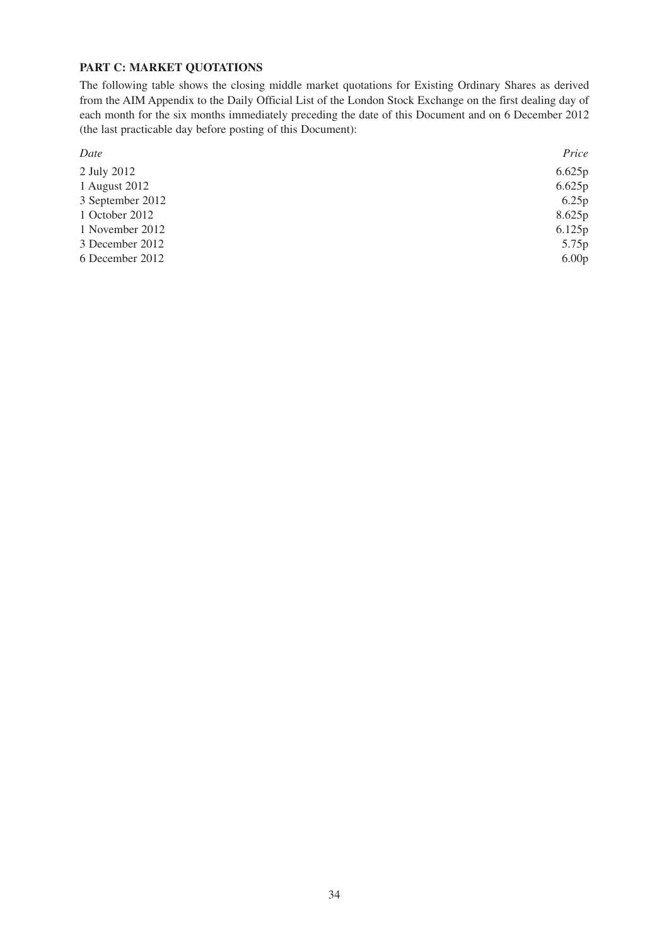#### **PART C: MARKET QUOTATIONS**

The following table shows the closing middle market quotations for Existing Ordinary Shares as derived from the AIM Appendix to the Daily Official List of the London Stock Exchange on the first dealing day of each month for the six months immediately preceding the date of this Document and on 6 December 2012 (the last practicable day before posting of this Document):

| Date             | Price             |
|------------------|-------------------|
| 2 July 2012      | 6.625p            |
| 1 August 2012    | 6.625p            |
| 3 September 2012 | 6.25p             |
| 1 October 2012   | 8.625p            |
| 1 November 2012  | 6.125p            |
| 3 December 2012  | 5.75 <sub>p</sub> |
| 6 December 2012  | 6.00 <sub>p</sub> |
|                  |                   |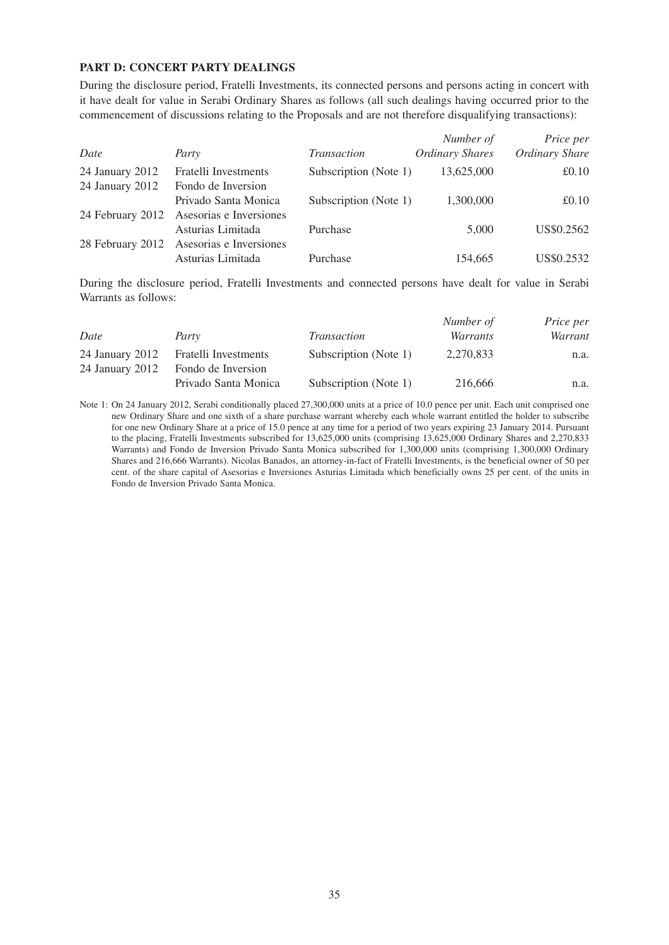#### **PART D: CONCERT PARTY DEALINGS**

During the disclosure period, Fratelli Investments, its connected persons and persons acting in concert with it have dealt for value in Serabi Ordinary Shares as follows (all such dealings having occurred prior to the commencement of discussions relating to the Proposals and are not therefore disqualifying transactions):

|                  |                         |                       | Number of              | Price per             |
|------------------|-------------------------|-----------------------|------------------------|-----------------------|
| Date             | Party                   | <b>Transaction</b>    | <b>Ordinary Shares</b> | <b>Ordinary Share</b> |
| 24 January 2012  | Fratelli Investments    | Subscription (Note 1) | 13,625,000             | £0.10                 |
| 24 January 2012  | Fondo de Inversion      |                       |                        |                       |
|                  | Privado Santa Monica    | Subscription (Note 1) | 1,300,000              | £0.10                 |
| 24 February 2012 | Asesorias e Inversiones |                       |                        |                       |
|                  | Asturias Limitada       | Purchase              | 5,000                  | US\$0.2562            |
| 28 February 2012 | Asesorias e Inversiones |                       |                        |                       |
|                  | Asturias Limitada       | Purchase              | 154,665                | US\$0.2532            |

During the disclosure period, Fratelli Investments and connected persons have dealt for value in Serabi Warrants as follows:

|                 |                      |                       | Number of | <i>Price per</i> |
|-----------------|----------------------|-----------------------|-----------|------------------|
| Date            | Party                | <i>Transaction</i>    | Warrants  | Warrant          |
| 24 January 2012 | Fratelli Investments | Subscription (Note 1) | 2,270,833 | n.a.             |
| 24 January 2012 | Fondo de Inversion   |                       |           |                  |
|                 | Privado Santa Monica | Subscription (Note 1) | 216,666   | n.a.             |

Note 1: On 24 January 2012, Serabi conditionally placed 27,300,000 units at a price of 10.0 pence per unit. Each unit comprised one new Ordinary Share and one sixth of a share purchase warrant whereby each whole warrant entitled the holder to subscribe for one new Ordinary Share at a price of 15.0 pence at any time for a period of two years expiring 23 January 2014. Pursuant to the placing, Fratelli Investments subscribed for 13,625,000 units (comprising 13,625,000 Ordinary Shares and 2,270,833 Warrants) and Fondo de Inversion Privado Santa Monica subscribed for 1,300,000 units (comprising 1,300,000 Ordinary Shares and 216,666 Warrants). Nicolas Banados, an attorney-in-fact of Fratelli Investments, is the beneficial owner of 50 per cent. of the share capital of Asesorias e Inversiones Asturias Limitada which beneficially owns 25 per cent. of the units in Fondo de Inversion Privado Santa Monica.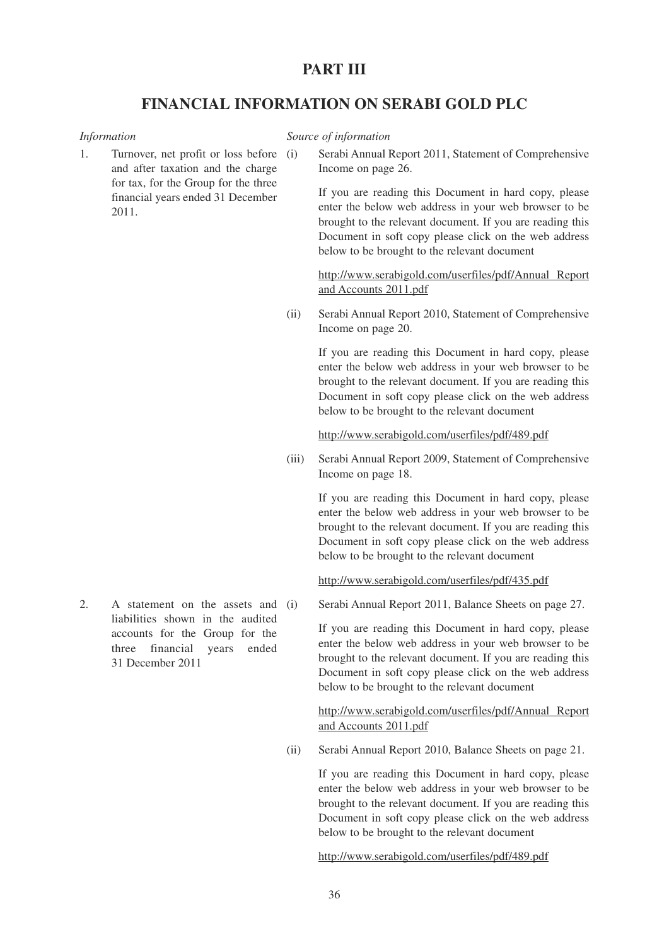### **PART III**

### **FINANCIAL INFORMATION ON SERABI GOLD PLC**

Turnover, net profit or loss before (i) and after taxation and the charge for tax, for the Group for the three financial years ended 31 December 2011.

*Information Source of information* 

1. Turnover, net profit or loss before (i) Serabi Annual Report 2011, Statement of Comprehensive Income on page 26.

> If you are reading this Document in hard copy, please enter the below web address in your web browser to be brought to the relevant document. If you are reading this Document in soft copy please click on the web address below to be brought to the relevant document

> http://www.serabigold.com/userfiles/pdf/Annual Report and Accounts 2011.pdf

 (ii) Serabi Annual Report 2010, Statement of Comprehensive Income on page 20.

> If you are reading this Document in hard copy, please enter the below web address in your web browser to be brought to the relevant document. If you are reading this Document in soft copy please click on the web address below to be brought to the relevant document

http://www.serabigold.com/userfiles/pdf/489.pdf

 (iii) Serabi Annual Report 2009, Statement of Comprehensive Income on page 18.

> If you are reading this Document in hard copy, please enter the below web address in your web browser to be brought to the relevant document. If you are reading this Document in soft copy please click on the web address below to be brought to the relevant document

#### http://www.serabigold.com/userfiles/pdf/435.pdf

2. A statement on the assets and (i) Serabi Annual Report 2011, Balance Sheets on page 27.

If you are reading this Document in hard copy, please enter the below web address in your web browser to be brought to the relevant document. If you are reading this Document in soft copy please click on the web address below to be brought to the relevant document

http://www.serabigold.com/userfiles/pdf/Annual Report and Accounts 2011.pdf

(ii) Serabi Annual Report 2010, Balance Sheets on page 21.

If you are reading this Document in hard copy, please enter the below web address in your web browser to be brought to the relevant document. If you are reading this Document in soft copy please click on the web address below to be brought to the relevant document

http://www.serabigold.com/userfiles/pdf/489.pdf

A statement on the assets and liabilities shown in the audited accounts for the Group for the three financial years ended 31 December 2011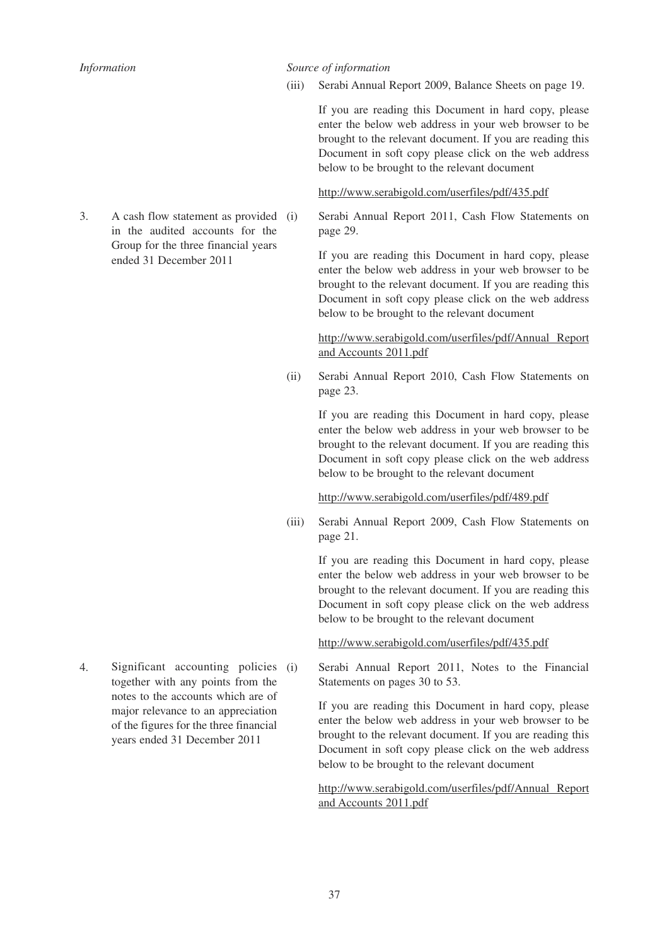#### *Information Source of information*

(iii) Serabi Annual Report 2009, Balance Sheets on page 19.

If you are reading this Document in hard copy, please enter the below web address in your web browser to be brought to the relevant document. If you are reading this Document in soft copy please click on the web address below to be brought to the relevant document

#### http://www.serabigold.com/userfiles/pdf/435.pdf

3. A cash flow statement as provided (i) Serabi Annual Report 2011, Cash Flow Statements on page 29.

> If you are reading this Document in hard copy, please enter the below web address in your web browser to be brought to the relevant document. If you are reading this Document in soft copy please click on the web address below to be brought to the relevant document

#### http://www.serabigold.com/userfiles/pdf/Annual Report and Accounts 2011.pdf

 (ii) Serabi Annual Report 2010, Cash Flow Statements on page 23.

> If you are reading this Document in hard copy, please enter the below web address in your web browser to be brought to the relevant document. If you are reading this Document in soft copy please click on the web address below to be brought to the relevant document

#### http://www.serabigold.com/userfiles/pdf/489.pdf

 (iii) Serabi Annual Report 2009, Cash Flow Statements on page 21.

> If you are reading this Document in hard copy, please enter the below web address in your web browser to be brought to the relevant document. If you are reading this Document in soft copy please click on the web address below to be brought to the relevant document

#### http://www.serabigold.com/userfiles/pdf/435.pdf

4. Significant accounting policies (i) Serabi Annual Report 2011, Notes to the Financial Statements on pages 30 to 53.

> If you are reading this Document in hard copy, please enter the below web address in your web browser to be brought to the relevant document. If you are reading this Document in soft copy please click on the web address below to be brought to the relevant document

#### http://www.serabigold.com/userfiles/pdf/Annual Report and Accounts 2011.pdf

A cash flow statement as provided in the audited accounts for the Group for the three financial years ended 31 December 2011

notes to the accounts which are of major relevance to an appreciation of the figures for the three financial years ended 31 December 2011

Significant accounting policies (i) together with any points from the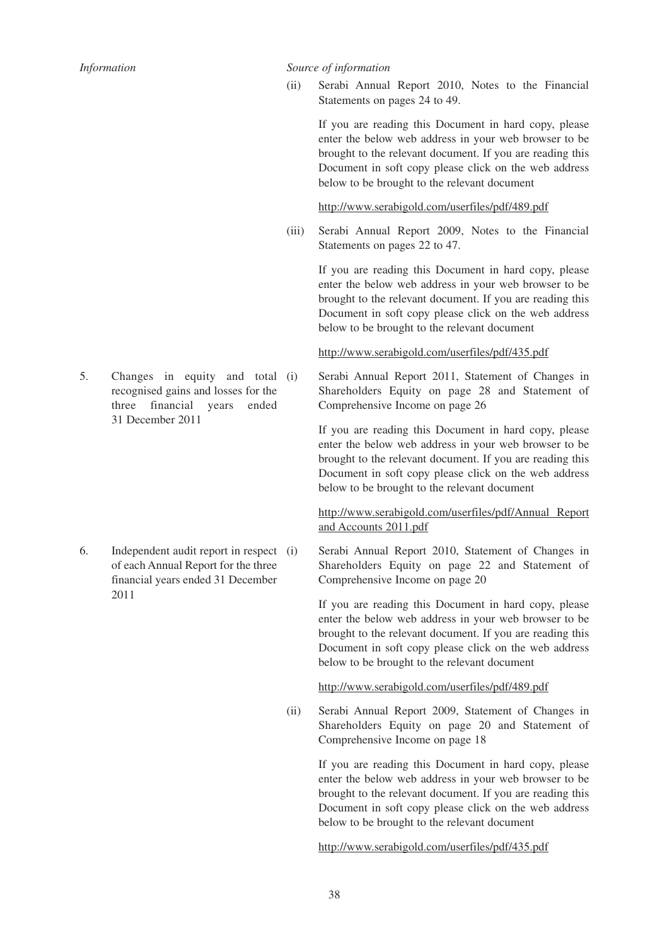#### *Information Source of information*

 (ii) Serabi Annual Report 2010, Notes to the Financial Statements on pages 24 to 49.

> If you are reading this Document in hard copy, please enter the below web address in your web browser to be brought to the relevant document. If you are reading this Document in soft copy please click on the web address below to be brought to the relevant document

#### http://www.serabigold.com/userfiles/pdf/489.pdf

 (iii) Serabi Annual Report 2009, Notes to the Financial Statements on pages 22 to 47.

> If you are reading this Document in hard copy, please enter the below web address in your web browser to be brought to the relevant document. If you are reading this Document in soft copy please click on the web address below to be brought to the relevant document

#### http://www.serabigold.com/userfiles/pdf/435.pdf

5. Changes in equity and total (i) Serabi Annual Report 2011, Statement of Changes in Shareholders Equity on page 28 and Statement of Comprehensive Income on page 26

> If you are reading this Document in hard copy, please enter the below web address in your web browser to be brought to the relevant document. If you are reading this Document in soft copy please click on the web address below to be brought to the relevant document

#### http://www.serabigold.com/userfiles/pdf/Annual Report and Accounts 2011.pdf

6. Independent audit report in respect (i) Serabi Annual Report 2010, Statement of Changes in Shareholders Equity on page 22 and Statement of Comprehensive Income on page 20

> If you are reading this Document in hard copy, please enter the below web address in your web browser to be brought to the relevant document. If you are reading this Document in soft copy please click on the web address below to be brought to the relevant document

#### http://www.serabigold.com/userfiles/pdf/489.pdf

 (ii) Serabi Annual Report 2009, Statement of Changes in Shareholders Equity on page 20 and Statement of Comprehensive Income on page 18

> If you are reading this Document in hard copy, please enter the below web address in your web browser to be brought to the relevant document. If you are reading this Document in soft copy please click on the web address below to be brought to the relevant document

#### http://www.serabigold.com/userfiles/pdf/435.pdf

Changes in equity and total (i) recognised gains and losses for the three financial years ended 31 December 2011

Independent audit report in respect (i) of each Annual Report for the three financial years ended 31 December 2011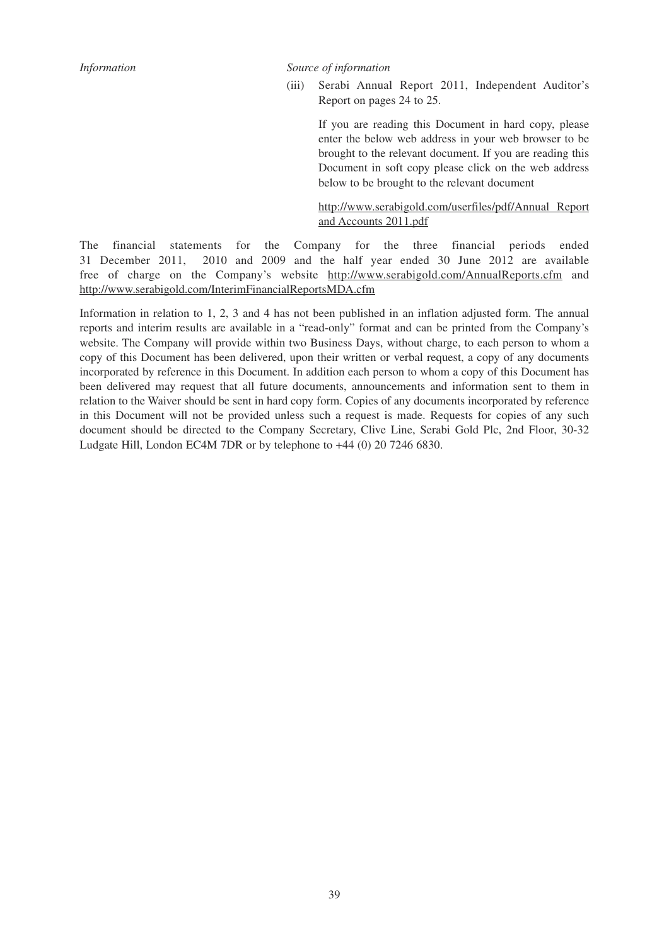#### *Information Source of information*

 (iii) Serabi Annual Report 2011, Independent Auditor's Report on pages 24 to 25.

> If you are reading this Document in hard copy, please enter the below web address in your web browser to be brought to the relevant document. If you are reading this Document in soft copy please click on the web address below to be brought to the relevant document

#### http://www.serabigold.com/userfiles/pdf/Annual Report and Accounts 2011.pdf

The financial statements for the Company for the three financial periods ended 31 December 2011, 2010 and 2009 and the half year ended 30 June 2012 are available free of charge on the Company's website http://www.serabigold.com/AnnualReports.cfm and http://www.serabigold.com/InterimFinancialReportsMDA.cfm

Information in relation to 1, 2, 3 and 4 has not been published in an inflation adjusted form. The annual reports and interim results are available in a "read-only" format and can be printed from the Company's website. The Company will provide within two Business Days, without charge, to each person to whom a copy of this Document has been delivered, upon their written or verbal request, a copy of any documents incorporated by reference in this Document. In addition each person to whom a copy of this Document has been delivered may request that all future documents, announcements and information sent to them in relation to the Waiver should be sent in hard copy form. Copies of any documents incorporated by reference in this Document will not be provided unless such a request is made. Requests for copies of any such document should be directed to the Company Secretary, Clive Line, Serabi Gold Plc, 2nd Floor, 30-32 Ludgate Hill, London EC4M 7DR or by telephone to +44 (0) 20 7246 6830.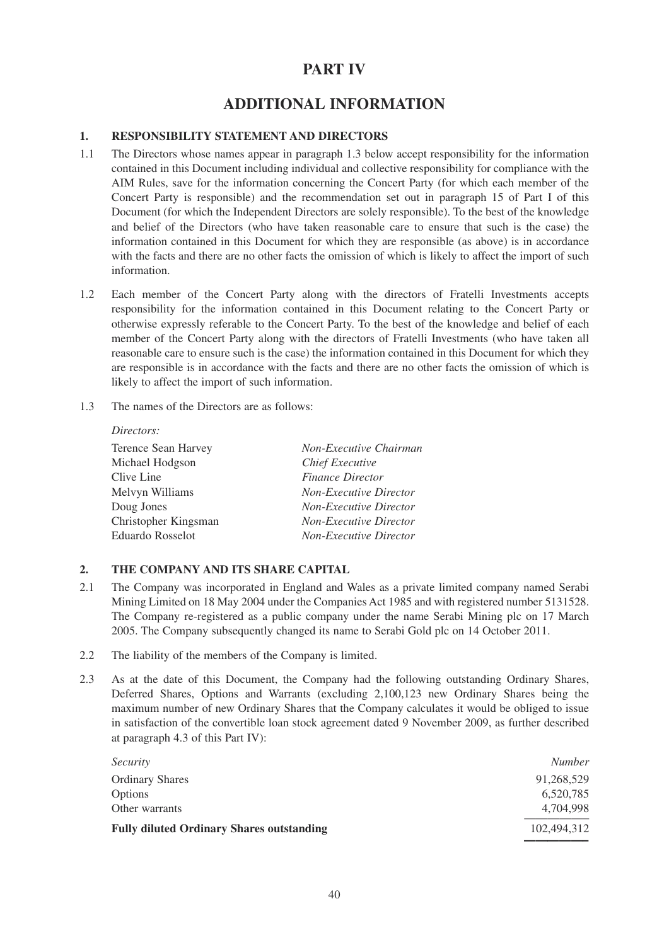### **PART IV**

### **ADDITIONAL INFORMATION**

#### **1. RESPONSIBILITY STATEMENT AND DIRECTORS**

- 1.1 The Directors whose names appear in paragraph 1.3 below accept responsibility for the information contained in this Document including individual and collective responsibility for compliance with the AIM Rules, save for the information concerning the Concert Party (for which each member of the Concert Party is responsible) and the recommendation set out in paragraph 15 of Part I of this Document (for which the Independent Directors are solely responsible). To the best of the knowledge and belief of the Directors (who have taken reasonable care to ensure that such is the case) the information contained in this Document for which they are responsible (as above) is in accordance with the facts and there are no other facts the omission of which is likely to affect the import of such information.
- 1.2 Each member of the Concert Party along with the directors of Fratelli Investments accepts responsibility for the information contained in this Document relating to the Concert Party or otherwise expressly referable to the Concert Party. To the best of the knowledge and belief of each member of the Concert Party along with the directors of Fratelli Investments (who have taken all reasonable care to ensure such is the case) the information contained in this Document for which they are responsible is in accordance with the facts and there are no other facts the omission of which is likely to affect the import of such information.
- 1.3 The names of the Directors are as follows:

*Directors:*

| Non-Executive Chairman        |
|-------------------------------|
| Chief Executive               |
| <b>Finance Director</b>       |
| <b>Non-Executive Director</b> |
| <b>Non-Executive Director</b> |
| <b>Non-Executive Director</b> |
| <b>Non-Executive Director</b> |
|                               |

#### **2. THE COMPANY AND ITS SHARE CAPITAL**

- 2.1 The Company was incorporated in England and Wales as a private limited company named Serabi Mining Limited on 18 May 2004 under the Companies Act 1985 and with registered number 5131528. The Company re-registered as a public company under the name Serabi Mining plc on 17 March 2005. The Company subsequently changed its name to Serabi Gold plc on 14 October 2011.
- 2.2 The liability of the members of the Company is limited.
- 2.3 As at the date of this Document, the Company had the following outstanding Ordinary Shares, Deferred Shares, Options and Warrants (excluding 2,100,123 new Ordinary Shares being the maximum number of new Ordinary Shares that the Company calculates it would be obliged to issue in satisfaction of the convertible loan stock agreement dated 9 November 2009, as further described at paragraph 4.3 of this Part IV):

| Security                                         | <i>Number</i> |
|--------------------------------------------------|---------------|
| <b>Ordinary Shares</b>                           | 91,268,529    |
| Options                                          | 6,520,785     |
| Other warrants                                   | 4,704,998     |
| <b>Fully diluted Ordinary Shares outstanding</b> | 102,494,312   |
|                                                  |               |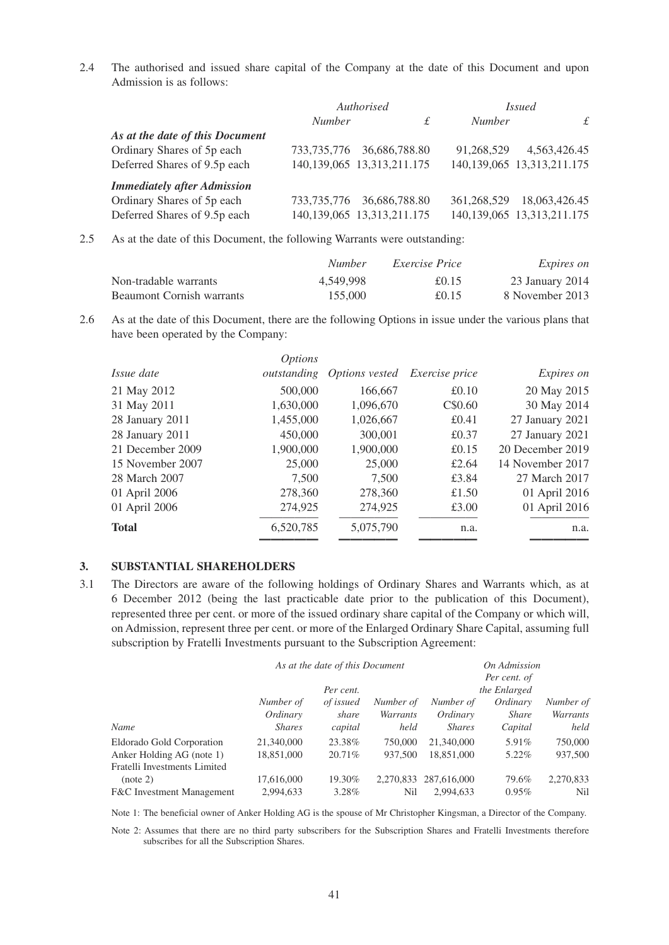2.4 The authorised and issued share capital of the Company at the date of this Document and upon Admission is as follows:

|                                    |               | Authorised                      | <i>Issued</i> |                                 |
|------------------------------------|---------------|---------------------------------|---------------|---------------------------------|
|                                    | <b>Number</b> | £                               | <b>Number</b> | £                               |
| As at the date of this Document    |               |                                 |               |                                 |
| Ordinary Shares of 5p each         |               | 733, 735, 776 36, 686, 788.80   | 91.268.529    | 4,563,426.45                    |
| Deferred Shares of 9.5p each       |               | 140, 139, 065 13, 313, 211. 175 |               | 140, 139, 065 13, 313, 211. 175 |
| <b>Immediately after Admission</b> |               |                                 |               |                                 |
| Ordinary Shares of 5p each         |               | 733, 735, 776 36, 686, 788.80   |               | 361,268,529 18,063,426.45       |
| Deferred Shares of 9.5p each       |               | 140, 139, 065 13, 313, 211. 175 |               | 140, 139, 065 13, 313, 211. 175 |

2.5 As at the date of this Document, the following Warrants were outstanding:

|                                  | <i>Number</i> | <i>Exercise Price</i> | <i>Expires on</i> |
|----------------------------------|---------------|-----------------------|-------------------|
| Non-tradable warrants            | 4.549.998     | £0.15                 | 23 January 2014   |
| <b>Beaumont Cornish warrants</b> | 155,000       | £0.15                 | 8 November 2013   |

2.6 As at the date of this Document, there are the following Options in issue under the various plans that have been operated by the Company:

|                   | <i>Options</i> |                       |                       |                   |
|-------------------|----------------|-----------------------|-----------------------|-------------------|
| <i>Issue date</i> | outstanding    | <i>Options vested</i> | <i>Exercise price</i> | <i>Expires on</i> |
| 21 May 2012       | 500,000        | 166,667               | £0.10                 | 20 May 2015       |
| 31 May 2011       | 1,630,000      | 1,096,670             | C\$0.60               | 30 May 2014       |
| 28 January 2011   | 1,455,000      | 1,026,667             | £0.41                 | 27 January 2021   |
| 28 January 2011   | 450,000        | 300,001               | £0.37                 | 27 January 2021   |
| 21 December 2009  | 1,900,000      | 1,900,000             | £0.15                 | 20 December 2019  |
| 15 November 2007  | 25,000         | 25,000                | £2.64                 | 14 November 2017  |
| 28 March 2007     | 7.500          | 7.500                 | £3.84                 | 27 March 2017     |
| 01 April 2006     | 278,360        | 278,360               | £1.50                 | 01 April 2016     |
| 01 April 2006     | 274,925        | 274,925               | £3.00                 | 01 April 2016     |
| <b>Total</b>      | 6,520,785      | 5,075,790             | n.a.                  | n.a.              |
|                   |                |                       |                       |                   |

#### **3. SUBSTANTIAL SHAREHOLDERS**

3.1 The Directors are aware of the following holdings of Ordinary Shares and Warrants which, as at 6 December 2012 (being the last practicable date prior to the publication of this Document), represented three per cent. or more of the issued ordinary share capital of the Company or which will, on Admission, represent three per cent. or more of the Enlarged Ordinary Share Capital, assuming full subscription by Fratelli Investments pursuant to the Subscription Agreement:

|                                      | As at the date of this Document     |         |           | On Admission  |              |           |
|--------------------------------------|-------------------------------------|---------|-----------|---------------|--------------|-----------|
|                                      |                                     |         |           | Per cent. of  |              |           |
|                                      | Per cent.                           |         |           | the Enlarged  |              |           |
|                                      | Number of<br>Number of<br>of issued |         | Number of | Ordinary      | Number of    |           |
|                                      | Ordinary                            | share   | Warrants  | Ordinary      | <b>Share</b> | Warrants  |
| Name                                 | <b>Shares</b>                       | capital | held      | <b>Shares</b> | Capital      | held      |
| Eldorado Gold Corporation            | 21,340,000                          | 23.38%  | 750,000   | 21,340,000    | 5.91%        | 750,000   |
| Anker Holding AG (note 1)            | 18,851,000                          | 20.71%  | 937,500   | 18.851,000    | 5.22%        | 937,500   |
| Fratelli Investments Limited         |                                     |         |           |               |              |           |
| (note 2)                             | 17,616,000                          | 19.30%  | 2,270,833 | 287,616,000   | 79.6%        | 2,270,833 |
| <b>F&amp;C</b> Investment Management | 2,994,633                           | 3.28%   | Nil       | 2.994.633     | $0.95\%$     | Nil       |

Note 1: The beneficial owner of Anker Holding AG is the spouse of Mr Christopher Kingsman, a Director of the Company.

Note 2: Assumes that there are no third party subscribers for the Subscription Shares and Fratelli Investments therefore subscribes for all the Subscription Shares.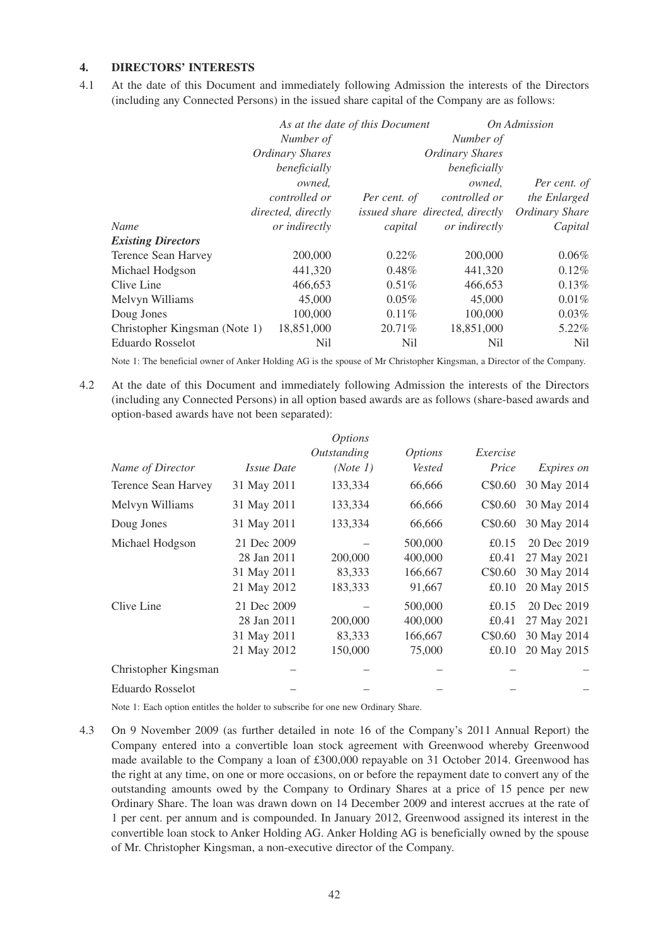#### **4. DIRECTORS' INTERESTS**

4.1 At the date of this Document and immediately following Admission the interests of the Directors (including any Connected Persons) in the issued share capital of the Company are as follows:

|                               |                        | As at the date of this Document |                                 | On Admission   |  |
|-------------------------------|------------------------|---------------------------------|---------------------------------|----------------|--|
|                               | Number of              |                                 | Number of                       |                |  |
|                               | <b>Ordinary Shares</b> |                                 | <b>Ordinary Shares</b>          |                |  |
|                               | beneficially           |                                 | beneficially                    |                |  |
|                               | owned,                 |                                 | owned,                          | Per cent. of   |  |
|                               | controlled or          | Per cent. of                    | controlled or                   | the Enlarged   |  |
|                               | directed, directly     |                                 | issued share directed, directly | Ordinary Share |  |
| Name                          | <i>or indirectly</i>   | capital                         | <i>or indirectly</i>            | Capital        |  |
| <b>Existing Directors</b>     |                        |                                 |                                 |                |  |
| Terence Sean Harvey           | 200,000                | $0.22\%$                        | 200,000                         | $0.06\%$       |  |
| Michael Hodgson               | 441,320                | $0.48\%$                        | 441,320                         | $0.12\%$       |  |
| Clive Line                    | 466,653                | 0.51%                           | 466,653                         | 0.13%          |  |
| Melvyn Williams               | 45,000                 | 0.05%                           | 45,000                          | 0.01%          |  |
| Doug Jones                    | 100,000                | $0.11\%$                        | 100,000                         | $0.03\%$       |  |
| Christopher Kingsman (Note 1) | 18,851,000             | 20.71%                          | 18,851,000                      | 5.22%          |  |
| Eduardo Rosselot              | Nil                    | <b>Nil</b>                      | <b>Nil</b>                      | Nil            |  |

Note 1: The beneficial owner of Anker Holding AG is the spouse of Mr Christopher Kingsman, a Director of the Company.

4.2 At the date of this Document and immediately following Admission the interests of the Directors (including any Connected Persons) in all option based awards are as follows (share-based awards and option-based awards have not been separated):

|                      |                   | <i>Options</i> |                |          |                   |
|----------------------|-------------------|----------------|----------------|----------|-------------------|
|                      |                   | Outstanding    | <i>Options</i> | Exercise |                   |
| Name of Director     | <i>Issue Date</i> | (Note 1)       | <b>Vested</b>  | Price    | <i>Expires on</i> |
| Terence Sean Harvey  | 31 May 2011       | 133,334        | 66,666         | C\$0.60  | 30 May 2014       |
| Melvyn Williams      | 31 May 2011       | 133,334        | 66,666         | C\$0.60  | 30 May 2014       |
| Doug Jones           | 31 May 2011       | 133,334        | 66,666         | C\$0.60  | 30 May 2014       |
| Michael Hodgson      | 21 Dec 2009       |                | 500,000        | £0.15    | 20 Dec 2019       |
|                      | 28 Jan 2011       | 200,000        | 400,000        | £0.41    | 27 May 2021       |
|                      | 31 May 2011       | 83,333         | 166,667        | C\$0.60  | 30 May 2014       |
|                      | 21 May 2012       | 183,333        | 91,667         | £0.10    | 20 May 2015       |
| Clive Line           | 21 Dec 2009       |                | 500,000        | £0.15    | 20 Dec 2019       |
|                      | 28 Jan 2011       | 200,000        | 400,000        | £0.41    | 27 May 2021       |
|                      | 31 May 2011       | 83,333         | 166,667        | C\$0.60  | 30 May 2014       |
|                      | 21 May 2012       | 150,000        | 75,000         | £0.10    | 20 May 2015       |
| Christopher Kingsman |                   |                |                |          |                   |
| Eduardo Rosselot     |                   |                |                |          |                   |

Note 1: Each option entitles the holder to subscribe for one new Ordinary Share.

4.3 On 9 November 2009 (as further detailed in note 16 of the Company's 2011 Annual Report) the Company entered into a convertible loan stock agreement with Greenwood whereby Greenwood made available to the Company a loan of £300,000 repayable on 31 October 2014. Greenwood has the right at any time, on one or more occasions, on or before the repayment date to convert any of the outstanding amounts owed by the Company to Ordinary Shares at a price of 15 pence per new Ordinary Share. The loan was drawn down on 14 December 2009 and interest accrues at the rate of 1 per cent. per annum and is compounded. In January 2012, Greenwood assigned its interest in the convertible loan stock to Anker Holding AG. Anker Holding AG is beneficially owned by the spouse of Mr. Christopher Kingsman, a non-executive director of the Company.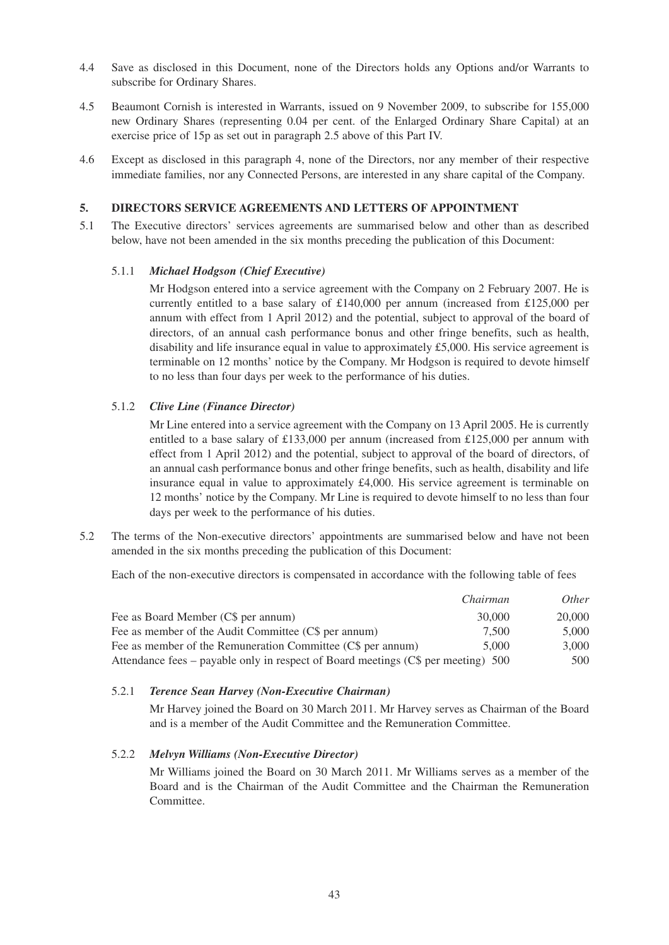- 4.4 Save as disclosed in this Document, none of the Directors holds any Options and/or Warrants to subscribe for Ordinary Shares.
- 4.5 Beaumont Cornish is interested in Warrants, issued on 9 November 2009, to subscribe for 155,000 new Ordinary Shares (representing 0.04 per cent. of the Enlarged Ordinary Share Capital) at an exercise price of 15p as set out in paragraph 2.5 above of this Part IV.
- 4.6 Except as disclosed in this paragraph 4, none of the Directors, nor any member of their respective immediate families, nor any Connected Persons, are interested in any share capital of the Company.

#### **5. DIRECTORS SERVICE AGREEMENTS AND LETTERS OF APPOINTMENT**

5.1 The Executive directors' services agreements are summarised below and other than as described below, have not been amended in the six months preceding the publication of this Document:

#### 5.1.1 *Michael Hodgson (Chief Executive)*

Mr Hodgson entered into a service agreement with the Company on 2 February 2007. He is currently entitled to a base salary of £140,000 per annum (increased from £125,000 per annum with effect from 1 April 2012) and the potential, subject to approval of the board of directors, of an annual cash performance bonus and other fringe benefits, such as health, disability and life insurance equal in value to approximately £5,000. His service agreement is terminable on 12 months' notice by the Company. Mr Hodgson is required to devote himself to no less than four days per week to the performance of his duties.

#### 5.1.2 *Clive Line (Finance Director)*

Mr Line entered into a service agreement with the Company on 13 April 2005. He is currently entitled to a base salary of £133,000 per annum (increased from £125,000 per annum with effect from 1 April 2012) and the potential, subject to approval of the board of directors, of an annual cash performance bonus and other fringe benefits, such as health, disability and life insurance equal in value to approximately £4,000. His service agreement is terminable on 12 months' notice by the Company. Mr Line is required to devote himself to no less than four days per week to the performance of his duties.

5.2 The terms of the Non-executive directors' appointments are summarised below and have not been amended in the six months preceding the publication of this Document:

Each of the non-executive directors is compensated in accordance with the following table of fees

|                                                                                   | Chairman | <i>Other</i> |
|-----------------------------------------------------------------------------------|----------|--------------|
| Fee as Board Member (C\$ per annum)                                               | 30,000   | 20,000       |
| Fee as member of the Audit Committee (C\$ per annum)                              | 7.500    | 5,000        |
| Fee as member of the Remuneration Committee (C\$ per annum)                       | 5,000    | 3,000        |
| Attendance fees – payable only in respect of Board meetings (C\$ per meeting) 500 |          | 500          |

#### 5.2.1 *Terence Sean Harvey (Non-Executive Chairman)*

Mr Harvey joined the Board on 30 March 2011. Mr Harvey serves as Chairman of the Board and is a member of the Audit Committee and the Remuneration Committee.

#### 5.2.2 *Melvyn Williams (Non-Executive Director)*

Mr Williams joined the Board on 30 March 2011. Mr Williams serves as a member of the Board and is the Chairman of the Audit Committee and the Chairman the Remuneration Committee.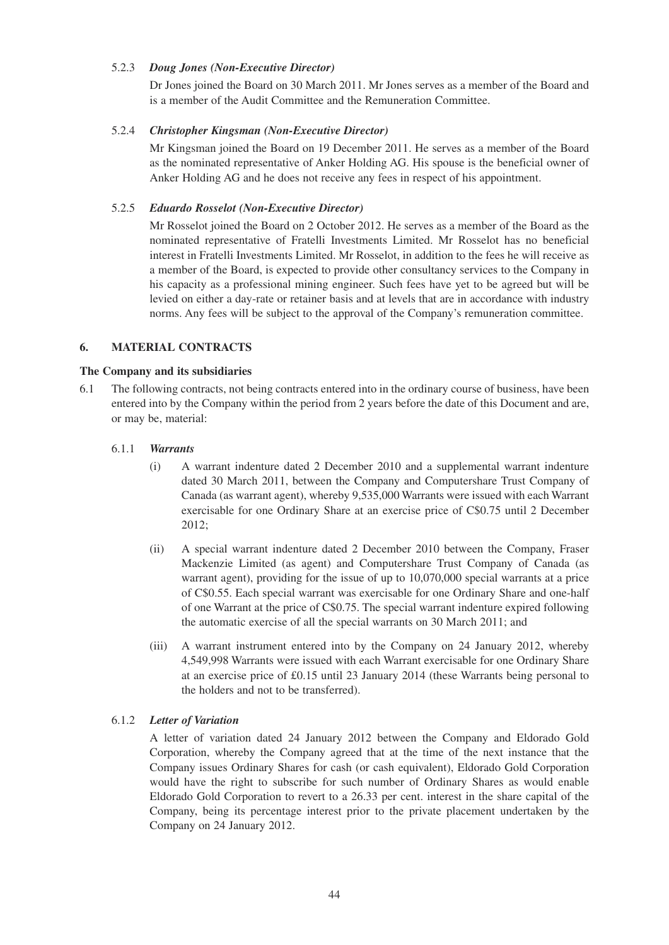#### 5.2.3 *Doug Jones (Non-Executive Director)*

Dr Jones joined the Board on 30 March 2011. Mr Jones serves as a member of the Board and is a member of the Audit Committee and the Remuneration Committee.

#### 5.2.4 *Christopher Kingsman (Non-Executive Director)*

Mr Kingsman joined the Board on 19 December 2011. He serves as a member of the Board as the nominated representative of Anker Holding AG. His spouse is the beneficial owner of Anker Holding AG and he does not receive any fees in respect of his appointment.

#### 5.2.5 *Eduardo Rosselot (Non-Executive Director)*

Mr Rosselot joined the Board on 2 October 2012. He serves as a member of the Board as the nominated representative of Fratelli Investments Limited. Mr Rosselot has no beneficial interest in Fratelli Investments Limited. Mr Rosselot, in addition to the fees he will receive as a member of the Board, is expected to provide other consultancy services to the Company in his capacity as a professional mining engineer. Such fees have yet to be agreed but will be levied on either a day-rate or retainer basis and at levels that are in accordance with industry norms. Any fees will be subject to the approval of the Company's remuneration committee.

#### **6. MATERIAL CONTRACTS**

#### **The Company and its subsidiaries**

6.1 The following contracts, not being contracts entered into in the ordinary course of business, have been entered into by the Company within the period from 2 years before the date of this Document and are, or may be, material:

#### 6.1.1 *Warrants*

- (i) A warrant indenture dated 2 December 2010 and a supplemental warrant indenture dated 30 March 2011, between the Company and Computershare Trust Company of Canada (as warrant agent), whereby 9,535,000 Warrants were issued with each Warrant exercisable for one Ordinary Share at an exercise price of C\$0.75 until 2 December 2012;
- (ii) A special warrant indenture dated 2 December 2010 between the Company, Fraser Mackenzie Limited (as agent) and Computershare Trust Company of Canada (as warrant agent), providing for the issue of up to 10,070,000 special warrants at a price of C\$0.55. Each special warrant was exercisable for one Ordinary Share and one-half of one Warrant at the price of C\$0.75. The special warrant indenture expired following the automatic exercise of all the special warrants on 30 March 2011; and
- (iii) A warrant instrument entered into by the Company on 24 January 2012, whereby 4,549,998 Warrants were issued with each Warrant exercisable for one Ordinary Share at an exercise price of £0.15 until 23 January 2014 (these Warrants being personal to the holders and not to be transferred).

#### 6.1.2 *Letter of Variation*

A letter of variation dated 24 January 2012 between the Company and Eldorado Gold Corporation, whereby the Company agreed that at the time of the next instance that the Company issues Ordinary Shares for cash (or cash equivalent), Eldorado Gold Corporation would have the right to subscribe for such number of Ordinary Shares as would enable Eldorado Gold Corporation to revert to a 26.33 per cent. interest in the share capital of the Company, being its percentage interest prior to the private placement undertaken by the Company on 24 January 2012.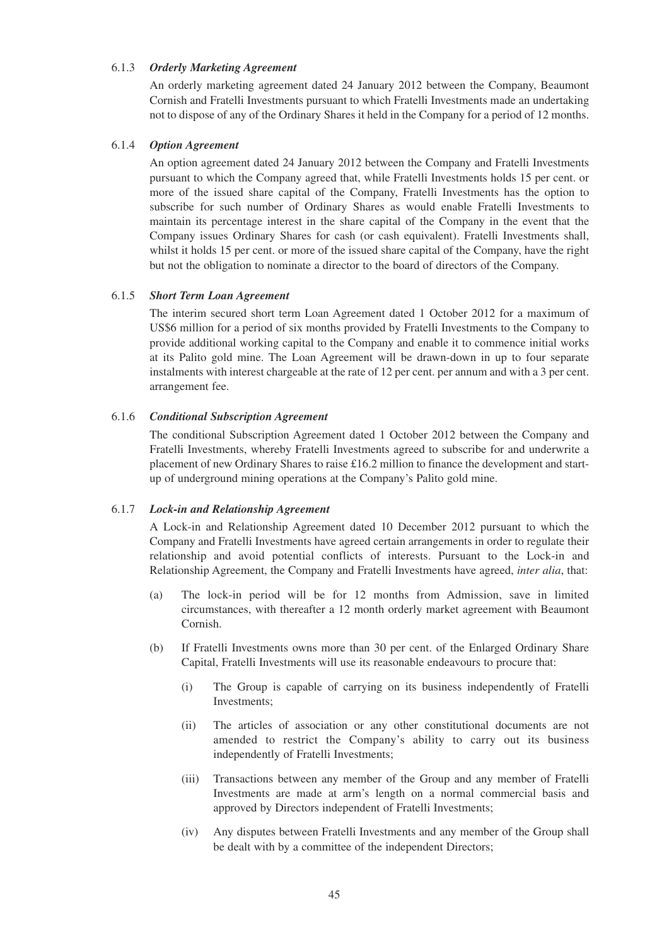#### 6.1.3 *Orderly Marketing Agreement*

An orderly marketing agreement dated 24 January 2012 between the Company, Beaumont Cornish and Fratelli Investments pursuant to which Fratelli Investments made an undertaking not to dispose of any of the Ordinary Shares it held in the Company for a period of 12 months.

#### 6.1.4 *Option Agreement*

An option agreement dated 24 January 2012 between the Company and Fratelli Investments pursuant to which the Company agreed that, while Fratelli Investments holds 15 per cent. or more of the issued share capital of the Company, Fratelli Investments has the option to subscribe for such number of Ordinary Shares as would enable Fratelli Investments to maintain its percentage interest in the share capital of the Company in the event that the Company issues Ordinary Shares for cash (or cash equivalent). Fratelli Investments shall, whilst it holds 15 per cent. or more of the issued share capital of the Company, have the right but not the obligation to nominate a director to the board of directors of the Company.

#### 6.1.5 *Short Term Loan Agreement*

The interim secured short term Loan Agreement dated 1 October 2012 for a maximum of US\$6 million for a period of six months provided by Fratelli Investments to the Company to provide additional working capital to the Company and enable it to commence initial works at its Palito gold mine. The Loan Agreement will be drawn-down in up to four separate instalments with interest chargeable at the rate of 12 per cent. per annum and with a 3 per cent. arrangement fee.

#### 6.1.6 *Conditional Subscription Agreement*

The conditional Subscription Agreement dated 1 October 2012 between the Company and Fratelli Investments, whereby Fratelli Investments agreed to subscribe for and underwrite a placement of new Ordinary Shares to raise £16.2 million to finance the development and startup of underground mining operations at the Company's Palito gold mine.

#### 6.1.7 *Lock-in and Relationship Agreement*

A Lock-in and Relationship Agreement dated 10 December 2012 pursuant to which the Company and Fratelli Investments have agreed certain arrangements in order to regulate their relationship and avoid potential conflicts of interests. Pursuant to the Lock-in and Relationship Agreement, the Company and Fratelli Investments have agreed, *inter alia*, that:

- (a) The lock-in period will be for 12 months from Admission, save in limited circumstances, with thereafter a 12 month orderly market agreement with Beaumont Cornish.
- (b) If Fratelli Investments owns more than 30 per cent. of the Enlarged Ordinary Share Capital, Fratelli Investments will use its reasonable endeavours to procure that:
	- (i) The Group is capable of carrying on its business independently of Fratelli Investments;
	- (ii) The articles of association or any other constitutional documents are not amended to restrict the Company's ability to carry out its business independently of Fratelli Investments;
	- (iii) Transactions between any member of the Group and any member of Fratelli Investments are made at arm's length on a normal commercial basis and approved by Directors independent of Fratelli Investments;
	- (iv) Any disputes between Fratelli Investments and any member of the Group shall be dealt with by a committee of the independent Directors;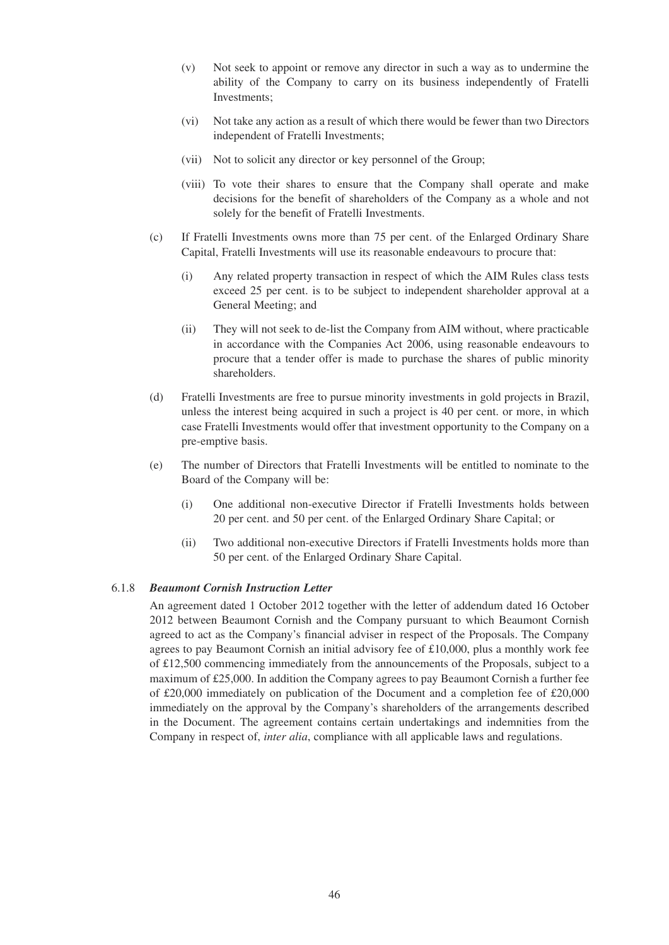- (v) Not seek to appoint or remove any director in such a way as to undermine the ability of the Company to carry on its business independently of Fratelli Investments;
- (vi) Not take any action as a result of which there would be fewer than two Directors independent of Fratelli Investments;
- (vii) Not to solicit any director or key personnel of the Group;
- (viii) To vote their shares to ensure that the Company shall operate and make decisions for the benefit of shareholders of the Company as a whole and not solely for the benefit of Fratelli Investments.
- (c) If Fratelli Investments owns more than 75 per cent. of the Enlarged Ordinary Share Capital, Fratelli Investments will use its reasonable endeavours to procure that:
	- (i) Any related property transaction in respect of which the AIM Rules class tests exceed 25 per cent. is to be subject to independent shareholder approval at a General Meeting; and
	- (ii) They will not seek to de-list the Company from AIM without, where practicable in accordance with the Companies Act 2006, using reasonable endeavours to procure that a tender offer is made to purchase the shares of public minority shareholders.
- (d) Fratelli Investments are free to pursue minority investments in gold projects in Brazil, unless the interest being acquired in such a project is 40 per cent. or more, in which case Fratelli Investments would offer that investment opportunity to the Company on a pre-emptive basis.
- (e) The number of Directors that Fratelli Investments will be entitled to nominate to the Board of the Company will be:
	- (i) One additional non-executive Director if Fratelli Investments holds between 20 per cent. and 50 per cent. of the Enlarged Ordinary Share Capital; or
	- (ii) Two additional non-executive Directors if Fratelli Investments holds more than 50 per cent. of the Enlarged Ordinary Share Capital.

#### 6.1.8 *Beaumont Cornish Instruction Letter*

An agreement dated 1 October 2012 together with the letter of addendum dated 16 October 2012 between Beaumont Cornish and the Company pursuant to which Beaumont Cornish agreed to act as the Company's financial adviser in respect of the Proposals. The Company agrees to pay Beaumont Cornish an initial advisory fee of £10,000, plus a monthly work fee of £12,500 commencing immediately from the announcements of the Proposals, subject to a maximum of £25,000. In addition the Company agrees to pay Beaumont Cornish a further fee of £20,000 immediately on publication of the Document and a completion fee of £20,000 immediately on the approval by the Company's shareholders of the arrangements described in the Document. The agreement contains certain undertakings and indemnities from the Company in respect of, *inter alia*, compliance with all applicable laws and regulations.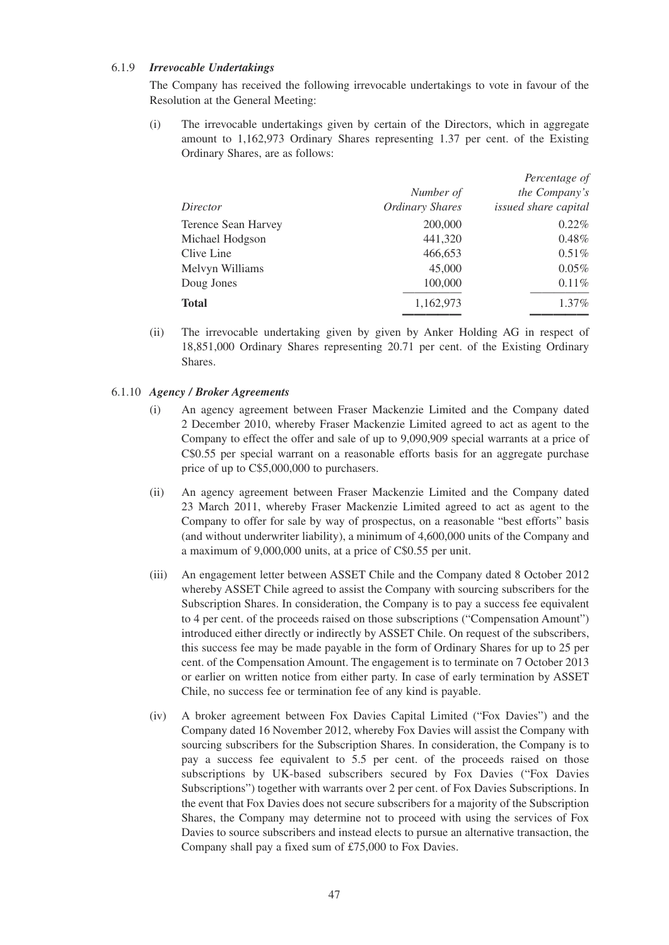#### 6.1.9 *Irrevocable Undertakings*

The Company has received the following irrevocable undertakings to vote in favour of the Resolution at the General Meeting:

(i) The irrevocable undertakings given by certain of the Directors, which in aggregate amount to 1,162,973 Ordinary Shares representing 1.37 per cent. of the Existing Ordinary Shares, are as follows:

|                     |                 | Percentage of        |
|---------------------|-----------------|----------------------|
|                     | Number of       | the Company's        |
| Director            | Ordinary Shares | issued share capital |
| Terence Sean Harvey | 200,000         | $0.22\%$             |
| Michael Hodgson     | 441,320         | $0.48\%$             |
| Clive Line          | 466,653         | $0.51\%$             |
| Melvyn Williams     | 45,000          | $0.05\%$             |
| Doug Jones          | 100,000         | 0.11%                |
| <b>Total</b>        | 1,162,973       | $1.37\%$             |
|                     |                 |                      |

(ii) The irrevocable undertaking given by given by Anker Holding AG in respect of 18,851,000 Ordinary Shares representing 20.71 per cent. of the Existing Ordinary Shares.

#### 6.1.10 *Agency / Broker Agreements*

- (i) An agency agreement between Fraser Mackenzie Limited and the Company dated 2 December 2010, whereby Fraser Mackenzie Limited agreed to act as agent to the Company to effect the offer and sale of up to 9,090,909 special warrants at a price of C\$0.55 per special warrant on a reasonable efforts basis for an aggregate purchase price of up to C\$5,000,000 to purchasers.
- (ii) An agency agreement between Fraser Mackenzie Limited and the Company dated 23 March 2011, whereby Fraser Mackenzie Limited agreed to act as agent to the Company to offer for sale by way of prospectus, on a reasonable "best efforts" basis (and without underwriter liability), a minimum of 4,600,000 units of the Company and a maximum of 9,000,000 units, at a price of C\$0.55 per unit.
- (iii) An engagement letter between ASSET Chile and the Company dated 8 October 2012 whereby ASSET Chile agreed to assist the Company with sourcing subscribers for the Subscription Shares. In consideration, the Company is to pay a success fee equivalent to 4 per cent. of the proceeds raised on those subscriptions ("Compensation Amount") introduced either directly or indirectly by ASSET Chile. On request of the subscribers, this success fee may be made payable in the form of Ordinary Shares for up to 25 per cent. of the Compensation Amount. The engagement is to terminate on 7 October 2013 or earlier on written notice from either party. In case of early termination by ASSET Chile, no success fee or termination fee of any kind is payable.
- (iv) A broker agreement between Fox Davies Capital Limited ("Fox Davies") and the Company dated 16 November 2012, whereby Fox Davies will assist the Company with sourcing subscribers for the Subscription Shares. In consideration, the Company is to pay a success fee equivalent to 5.5 per cent. of the proceeds raised on those subscriptions by UK-based subscribers secured by Fox Davies ("Fox Davies Subscriptions") together with warrants over 2 per cent. of Fox Davies Subscriptions. In the event that Fox Davies does not secure subscribers for a majority of the Subscription Shares, the Company may determine not to proceed with using the services of Fox Davies to source subscribers and instead elects to pursue an alternative transaction, the Company shall pay a fixed sum of £75,000 to Fox Davies.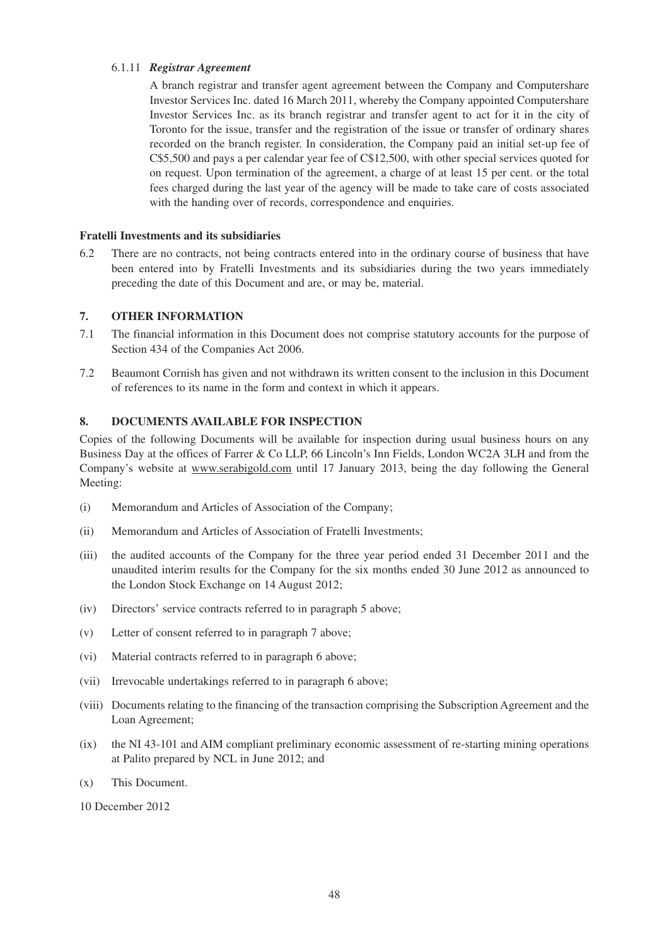#### 6.1.11 *Registrar Agreement*

A branch registrar and transfer agent agreement between the Company and Computershare Investor Services Inc. dated 16 March 2011, whereby the Company appointed Computershare Investor Services Inc. as its branch registrar and transfer agent to act for it in the city of Toronto for the issue, transfer and the registration of the issue or transfer of ordinary shares recorded on the branch register. In consideration, the Company paid an initial set-up fee of C\$5,500 and pays a per calendar year fee of C\$12,500, with other special services quoted for on request. Upon termination of the agreement, a charge of at least 15 per cent. or the total fees charged during the last year of the agency will be made to take care of costs associated with the handing over of records, correspondence and enquiries.

#### **Fratelli Investments and its subsidiaries**

6.2 There are no contracts, not being contracts entered into in the ordinary course of business that have been entered into by Fratelli Investments and its subsidiaries during the two years immediately preceding the date of this Document and are, or may be, material.

#### **7. OTHER INFORMATION**

- 7.1 The financial information in this Document does not comprise statutory accounts for the purpose of Section 434 of the Companies Act 2006.
- 7.2 Beaumont Cornish has given and not withdrawn its written consent to the inclusion in this Document of references to its name in the form and context in which it appears.

#### **8. DOCUMENTS AVAILABLE FOR INSPECTION**

Copies of the following Documents will be available for inspection during usual business hours on any Business Day at the offices of Farrer & Co LLP, 66 Lincoln's Inn Fields, London WC2A 3LH and from the Company's website at www.serabigold.com until 17 January 2013, being the day following the General Meeting:

- (i) Memorandum and Articles of Association of the Company;
- (ii) Memorandum and Articles of Association of Fratelli Investments;
- (iii) the audited accounts of the Company for the three year period ended 31 December 2011 and the unaudited interim results for the Company for the six months ended 30 June 2012 as announced to the London Stock Exchange on 14 August 2012;
- (iv) Directors' service contracts referred to in paragraph 5 above;
- (v) Letter of consent referred to in paragraph 7 above;
- (vi) Material contracts referred to in paragraph 6 above;
- (vii) Irrevocable undertakings referred to in paragraph 6 above;
- (viii) Documents relating to the financing of the transaction comprising the Subscription Agreement and the Loan Agreement;
- (ix) the NI 43-101 and AIM compliant preliminary economic assessment of re-starting mining operations at Palito prepared by NCL in June 2012; and
- (x) This Document.

10 December 2012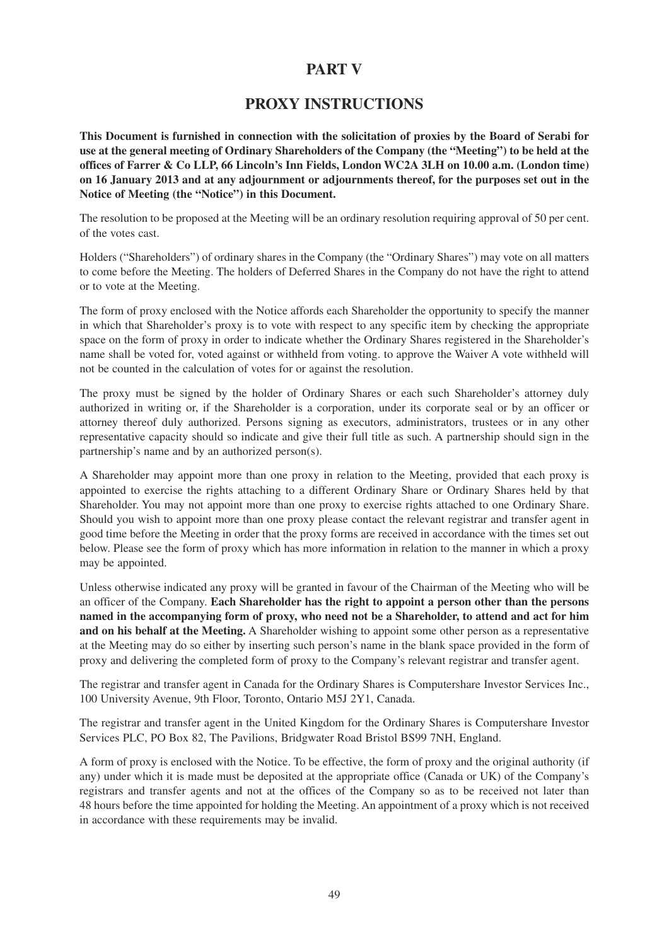### **PART V**

### **PROXY INSTRUCTIONS**

**This Document is furnished in connection with the solicitation of proxies by the Board of Serabi for use at the general meeting of Ordinary Shareholders of the Company (the "Meeting") to be held at the offices of Farrer & Co LLP, 66 Lincoln's Inn Fields, London WC2A 3LH on 10.00 a.m. (London time) on 16 January 2013 and at any adjournment or adjournments thereof, for the purposes set out in the Notice of Meeting (the "Notice") in this Document.**

The resolution to be proposed at the Meeting will be an ordinary resolution requiring approval of 50 per cent. of the votes cast.

Holders ("Shareholders") of ordinary shares in the Company (the "Ordinary Shares") may vote on all matters to come before the Meeting. The holders of Deferred Shares in the Company do not have the right to attend or to vote at the Meeting.

The form of proxy enclosed with the Notice affords each Shareholder the opportunity to specify the manner in which that Shareholder's proxy is to vote with respect to any specific item by checking the appropriate space on the form of proxy in order to indicate whether the Ordinary Shares registered in the Shareholder's name shall be voted for, voted against or withheld from voting. to approve the Waiver A vote withheld will not be counted in the calculation of votes for or against the resolution.

The proxy must be signed by the holder of Ordinary Shares or each such Shareholder's attorney duly authorized in writing or, if the Shareholder is a corporation, under its corporate seal or by an officer or attorney thereof duly authorized. Persons signing as executors, administrators, trustees or in any other representative capacity should so indicate and give their full title as such. A partnership should sign in the partnership's name and by an authorized person(s).

A Shareholder may appoint more than one proxy in relation to the Meeting, provided that each proxy is appointed to exercise the rights attaching to a different Ordinary Share or Ordinary Shares held by that Shareholder. You may not appoint more than one proxy to exercise rights attached to one Ordinary Share. Should you wish to appoint more than one proxy please contact the relevant registrar and transfer agent in good time before the Meeting in order that the proxy forms are received in accordance with the times set out below. Please see the form of proxy which has more information in relation to the manner in which a proxy may be appointed.

Unless otherwise indicated any proxy will be granted in favour of the Chairman of the Meeting who will be an officer of the Company. **Each Shareholder has the right to appoint a person other than the persons named in the accompanying form of proxy, who need not be a Shareholder, to attend and act for him and on his behalf at the Meeting.** A Shareholder wishing to appoint some other person as a representative at the Meeting may do so either by inserting such person's name in the blank space provided in the form of proxy and delivering the completed form of proxy to the Company's relevant registrar and transfer agent.

The registrar and transfer agent in Canada for the Ordinary Shares is Computershare Investor Services Inc., 100 University Avenue, 9th Floor, Toronto, Ontario M5J 2Y1, Canada.

The registrar and transfer agent in the United Kingdom for the Ordinary Shares is Computershare Investor Services PLC, PO Box 82, The Pavilions, Bridgwater Road Bristol BS99 7NH, England.

A form of proxy is enclosed with the Notice. To be effective, the form of proxy and the original authority (if any) under which it is made must be deposited at the appropriate office (Canada or UK) of the Company's registrars and transfer agents and not at the offices of the Company so as to be received not later than 48 hours before the time appointed for holding the Meeting. An appointment of a proxy which is not received in accordance with these requirements may be invalid.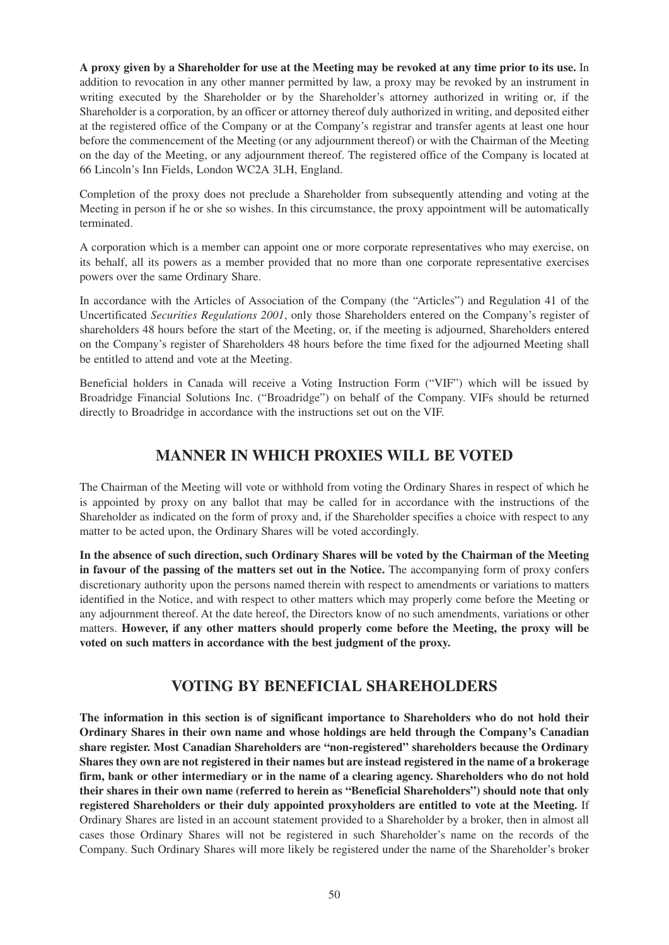**A proxy given by a Shareholder for use at the Meeting may be revoked at any time prior to its use.** In addition to revocation in any other manner permitted by law, a proxy may be revoked by an instrument in writing executed by the Shareholder or by the Shareholder's attorney authorized in writing or, if the Shareholder is a corporation, by an officer or attorney thereof duly authorized in writing, and deposited either at the registered office of the Company or at the Company's registrar and transfer agents at least one hour before the commencement of the Meeting (or any adjournment thereof) or with the Chairman of the Meeting on the day of the Meeting, or any adjournment thereof. The registered office of the Company is located at 66 Lincoln's Inn Fields, London WC2A 3LH, England.

Completion of the proxy does not preclude a Shareholder from subsequently attending and voting at the Meeting in person if he or she so wishes. In this circumstance, the proxy appointment will be automatically terminated.

A corporation which is a member can appoint one or more corporate representatives who may exercise, on its behalf, all its powers as a member provided that no more than one corporate representative exercises powers over the same Ordinary Share.

In accordance with the Articles of Association of the Company (the "Articles") and Regulation 41 of the Uncertificated *Securities Regulations 2001*, only those Shareholders entered on the Company's register of shareholders 48 hours before the start of the Meeting, or, if the meeting is adjourned, Shareholders entered on the Company's register of Shareholders 48 hours before the time fixed for the adjourned Meeting shall be entitled to attend and vote at the Meeting.

Beneficial holders in Canada will receive a Voting Instruction Form ("VIF") which will be issued by Broadridge Financial Solutions Inc. ("Broadridge") on behalf of the Company. VIFs should be returned directly to Broadridge in accordance with the instructions set out on the VIF.

### **MANNER IN WHICH PROXIES WILL BE VOTED**

The Chairman of the Meeting will vote or withhold from voting the Ordinary Shares in respect of which he is appointed by proxy on any ballot that may be called for in accordance with the instructions of the Shareholder as indicated on the form of proxy and, if the Shareholder specifies a choice with respect to any matter to be acted upon, the Ordinary Shares will be voted accordingly.

**In the absence of such direction, such Ordinary Shares will be voted by the Chairman of the Meeting in favour of the passing of the matters set out in the Notice.** The accompanying form of proxy confers discretionary authority upon the persons named therein with respect to amendments or variations to matters identified in the Notice, and with respect to other matters which may properly come before the Meeting or any adjournment thereof. At the date hereof, the Directors know of no such amendments, variations or other matters. **However, if any other matters should properly come before the Meeting, the proxy will be voted on such matters in accordance with the best judgment of the proxy.**

### **VOTING BY BENEFICIAL SHAREHOLDERS**

**The information in this section is of significant importance to Shareholders who do not hold their Ordinary Shares in their own name and whose holdings are held through the Company's Canadian share register. Most Canadian Shareholders are "non-registered" shareholders because the Ordinary Shares they own are not registered in their names but are instead registered in the name of a brokerage firm, bank or other intermediary or in the name of a clearing agency. Shareholders who do not hold their shares in their own name (referred to herein as "Beneficial Shareholders") should note that only registered Shareholders or their duly appointed proxyholders are entitled to vote at the Meeting.** If Ordinary Shares are listed in an account statement provided to a Shareholder by a broker, then in almost all cases those Ordinary Shares will not be registered in such Shareholder's name on the records of the Company. Such Ordinary Shares will more likely be registered under the name of the Shareholder's broker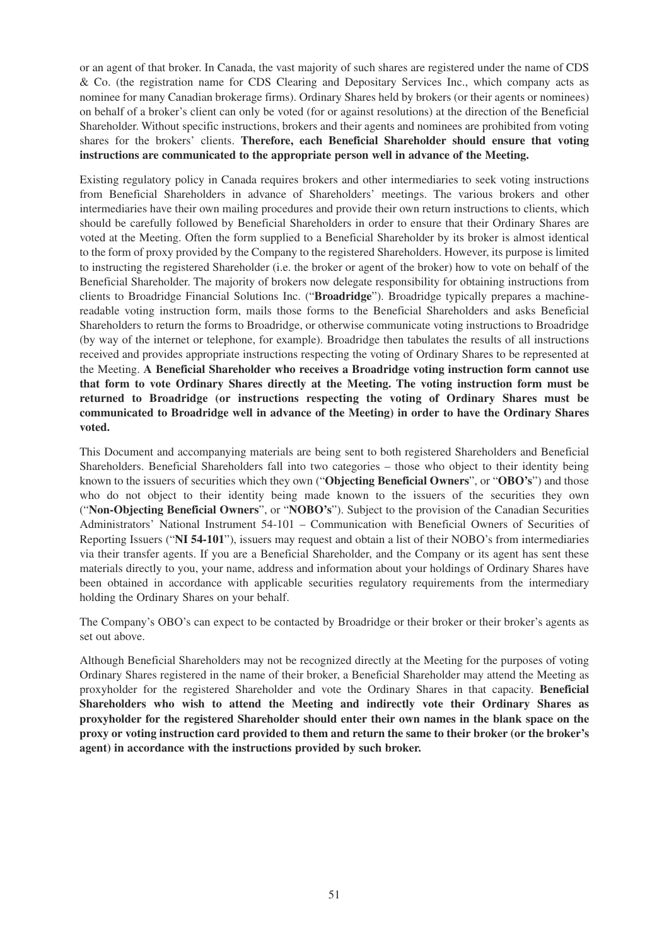or an agent of that broker. In Canada, the vast majority of such shares are registered under the name of CDS & Co. (the registration name for CDS Clearing and Depositary Services Inc., which company acts as nominee for many Canadian brokerage firms). Ordinary Shares held by brokers (or their agents or nominees) on behalf of a broker's client can only be voted (for or against resolutions) at the direction of the Beneficial Shareholder. Without specific instructions, brokers and their agents and nominees are prohibited from voting shares for the brokers' clients. **Therefore, each Beneficial Shareholder should ensure that voting instructions are communicated to the appropriate person well in advance of the Meeting.**

Existing regulatory policy in Canada requires brokers and other intermediaries to seek voting instructions from Beneficial Shareholders in advance of Shareholders' meetings. The various brokers and other intermediaries have their own mailing procedures and provide their own return instructions to clients, which should be carefully followed by Beneficial Shareholders in order to ensure that their Ordinary Shares are voted at the Meeting. Often the form supplied to a Beneficial Shareholder by its broker is almost identical to the form of proxy provided by the Company to the registered Shareholders. However, its purpose is limited to instructing the registered Shareholder (i.e. the broker or agent of the broker) how to vote on behalf of the Beneficial Shareholder. The majority of brokers now delegate responsibility for obtaining instructions from clients to Broadridge Financial Solutions Inc. ("**Broadridge**"). Broadridge typically prepares a machinereadable voting instruction form, mails those forms to the Beneficial Shareholders and asks Beneficial Shareholders to return the forms to Broadridge, or otherwise communicate voting instructions to Broadridge (by way of the internet or telephone, for example). Broadridge then tabulates the results of all instructions received and provides appropriate instructions respecting the voting of Ordinary Shares to be represented at the Meeting. **A Beneficial Shareholder who receives a Broadridge voting instruction form cannot use that form to vote Ordinary Shares directly at the Meeting. The voting instruction form must be returned to Broadridge (or instructions respecting the voting of Ordinary Shares must be communicated to Broadridge well in advance of the Meeting) in order to have the Ordinary Shares voted.**

This Document and accompanying materials are being sent to both registered Shareholders and Beneficial Shareholders. Beneficial Shareholders fall into two categories – those who object to their identity being known to the issuers of securities which they own ("**Objecting Beneficial Owners**", or "**OBO's**") and those who do not object to their identity being made known to the issuers of the securities they own ("**Non-Objecting Beneficial Owners**", or "**NOBO's**"). Subject to the provision of the Canadian Securities Administrators' National Instrument 54-101 – Communication with Beneficial Owners of Securities of Reporting Issuers ("**NI 54-101**"), issuers may request and obtain a list of their NOBO's from intermediaries via their transfer agents. If you are a Beneficial Shareholder, and the Company or its agent has sent these materials directly to you, your name, address and information about your holdings of Ordinary Shares have been obtained in accordance with applicable securities regulatory requirements from the intermediary holding the Ordinary Shares on your behalf.

The Company's OBO's can expect to be contacted by Broadridge or their broker or their broker's agents as set out above.

Although Beneficial Shareholders may not be recognized directly at the Meeting for the purposes of voting Ordinary Shares registered in the name of their broker, a Beneficial Shareholder may attend the Meeting as proxyholder for the registered Shareholder and vote the Ordinary Shares in that capacity. **Beneficial Shareholders who wish to attend the Meeting and indirectly vote their Ordinary Shares as proxyholder for the registered Shareholder should enter their own names in the blank space on the proxy or voting instruction card provided to them and return the same to their broker (or the broker's agent) in accordance with the instructions provided by such broker.**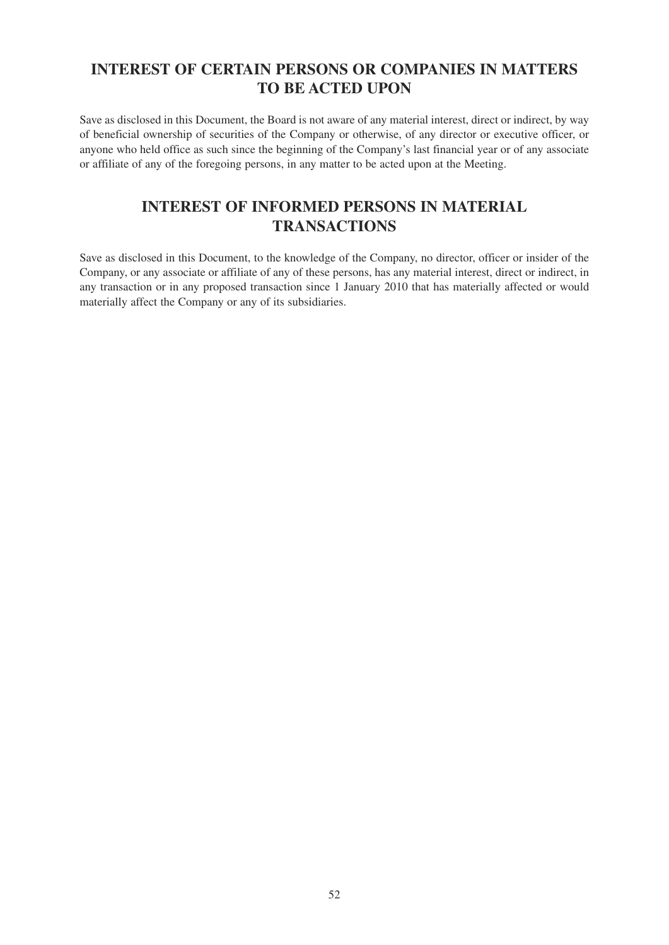### **INTEREST OF CERTAIN PERSONS OR COMPANIES IN MATTERS TO BE ACTED UPON**

Save as disclosed in this Document, the Board is not aware of any material interest, direct or indirect, by way of beneficial ownership of securities of the Company or otherwise, of any director or executive officer, or anyone who held office as such since the beginning of the Company's last financial year or of any associate or affiliate of any of the foregoing persons, in any matter to be acted upon at the Meeting.

### **INTEREST OF INFORMED PERSONS IN MATERIAL TRANSACTIONS**

Save as disclosed in this Document, to the knowledge of the Company, no director, officer or insider of the Company, or any associate or affiliate of any of these persons, has any material interest, direct or indirect, in any transaction or in any proposed transaction since 1 January 2010 that has materially affected or would materially affect the Company or any of its subsidiaries.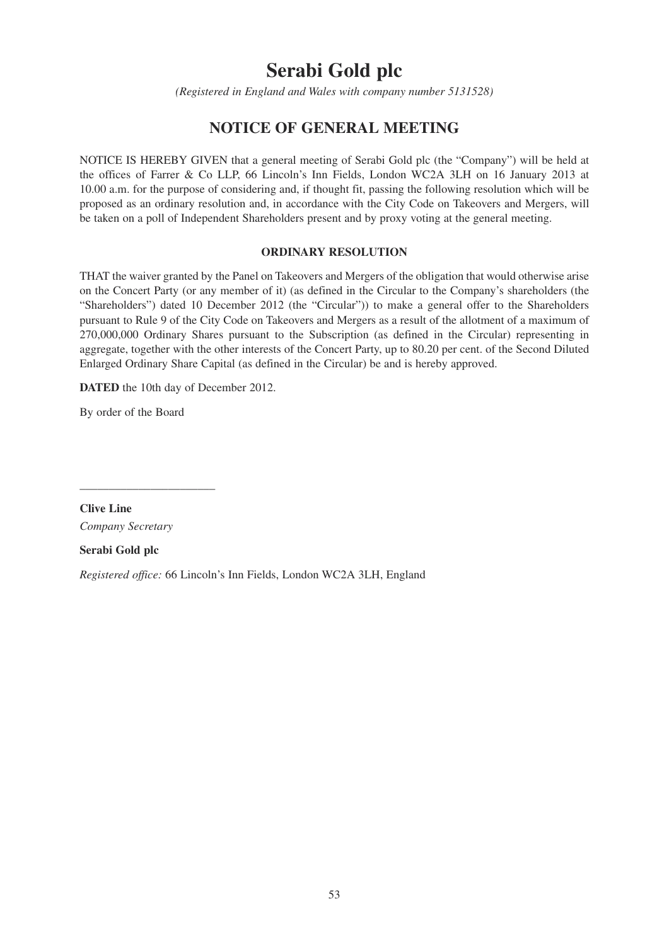# **Serabi Gold plc**

*(Registered in England and Wales with company number 5131528)*

### **NOTICE OF GENERAL MEETING**

NOTICE IS HEREBY GIVEN that a general meeting of Serabi Gold plc (the "Company") will be held at the offices of Farrer & Co LLP, 66 Lincoln's Inn Fields, London WC2A 3LH on 16 January 2013 at 10.00 a.m. for the purpose of considering and, if thought fit, passing the following resolution which will be proposed as an ordinary resolution and, in accordance with the City Code on Takeovers and Mergers, will be taken on a poll of Independent Shareholders present and by proxy voting at the general meeting.

#### **ORDINARY RESOLUTION**

THAT the waiver granted by the Panel on Takeovers and Mergers of the obligation that would otherwise arise on the Concert Party (or any member of it) (as defined in the Circular to the Company's shareholders (the "Shareholders") dated 10 December 2012 (the "Circular")) to make a general offer to the Shareholders pursuant to Rule 9 of the City Code on Takeovers and Mergers as a result of the allotment of a maximum of 270,000,000 Ordinary Shares pursuant to the Subscription (as defined in the Circular) representing in aggregate, together with the other interests of the Concert Party, up to 80.20 per cent. of the Second Diluted Enlarged Ordinary Share Capital (as defined in the Circular) be and is hereby approved.

**DATED** the 10th day of December 2012.

By order of the Board

**Clive Line** *Company Secretary*

\_\_\_\_\_\_\_\_\_\_\_\_\_\_\_\_\_\_\_\_\_\_\_

**Serabi Gold plc**

*Registered office:* 66 Lincoln's Inn Fields, London WC2A 3LH, England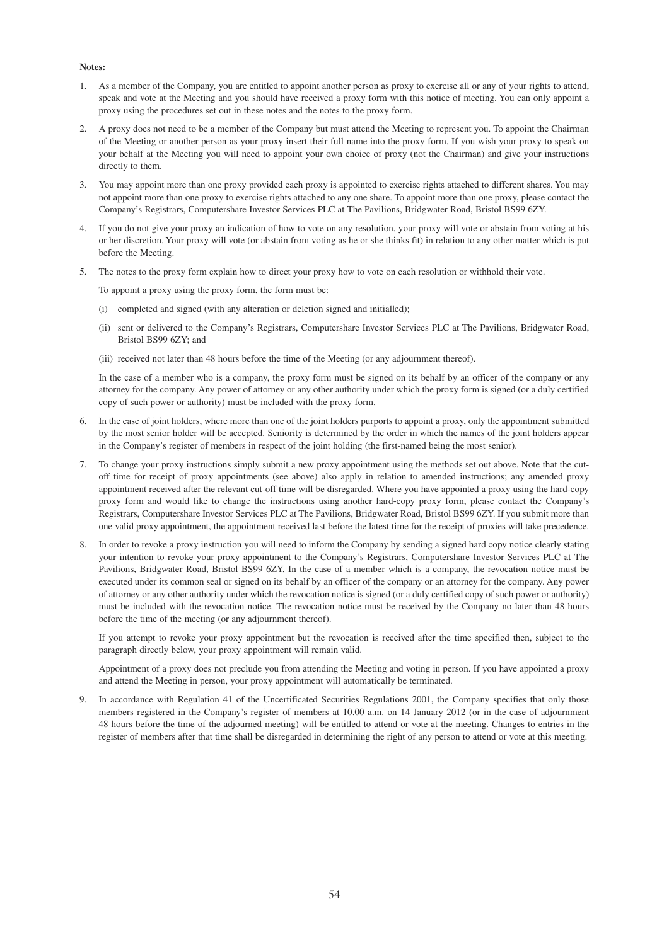#### **Notes:**

- 1. As a member of the Company, you are entitled to appoint another person as proxy to exercise all or any of your rights to attend, speak and vote at the Meeting and you should have received a proxy form with this notice of meeting. You can only appoint a proxy using the procedures set out in these notes and the notes to the proxy form.
- 2. A proxy does not need to be a member of the Company but must attend the Meeting to represent you. To appoint the Chairman of the Meeting or another person as your proxy insert their full name into the proxy form. If you wish your proxy to speak on your behalf at the Meeting you will need to appoint your own choice of proxy (not the Chairman) and give your instructions directly to them.
- 3. You may appoint more than one proxy provided each proxy is appointed to exercise rights attached to different shares. You may not appoint more than one proxy to exercise rights attached to any one share. To appoint more than one proxy, please contact the Company's Registrars, Computershare Investor Services PLC at The Pavilions, Bridgwater Road, Bristol BS99 6ZY.
- 4. If you do not give your proxy an indication of how to vote on any resolution, your proxy will vote or abstain from voting at his or her discretion. Your proxy will vote (or abstain from voting as he or she thinks fit) in relation to any other matter which is put before the Meeting.
- 5. The notes to the proxy form explain how to direct your proxy how to vote on each resolution or withhold their vote.

To appoint a proxy using the proxy form, the form must be:

- (i) completed and signed (with any alteration or deletion signed and initialled);
- (ii) sent or delivered to the Company's Registrars, Computershare Investor Services PLC at The Pavilions, Bridgwater Road, Bristol BS99 6ZY; and
- (iii) received not later than 48 hours before the time of the Meeting (or any adjournment thereof).

In the case of a member who is a company, the proxy form must be signed on its behalf by an officer of the company or any attorney for the company. Any power of attorney or any other authority under which the proxy form is signed (or a duly certified copy of such power or authority) must be included with the proxy form.

- 6. In the case of joint holders, where more than one of the joint holders purports to appoint a proxy, only the appointment submitted by the most senior holder will be accepted. Seniority is determined by the order in which the names of the joint holders appear in the Company's register of members in respect of the joint holding (the first-named being the most senior).
- 7. To change your proxy instructions simply submit a new proxy appointment using the methods set out above. Note that the cutoff time for receipt of proxy appointments (see above) also apply in relation to amended instructions; any amended proxy appointment received after the relevant cut-off time will be disregarded. Where you have appointed a proxy using the hard-copy proxy form and would like to change the instructions using another hard-copy proxy form, please contact the Company's Registrars, Computershare Investor Services PLC at The Pavilions, Bridgwater Road, Bristol BS99 6ZY. If you submit more than one valid proxy appointment, the appointment received last before the latest time for the receipt of proxies will take precedence.
- 8. In order to revoke a proxy instruction you will need to inform the Company by sending a signed hard copy notice clearly stating your intention to revoke your proxy appointment to the Company's Registrars, Computershare Investor Services PLC at The Pavilions, Bridgwater Road, Bristol BS99 6ZY. In the case of a member which is a company, the revocation notice must be executed under its common seal or signed on its behalf by an officer of the company or an attorney for the company. Any power of attorney or any other authority under which the revocation notice is signed (or a duly certified copy of such power or authority) must be included with the revocation notice. The revocation notice must be received by the Company no later than 48 hours before the time of the meeting (or any adjournment thereof).

 If you attempt to revoke your proxy appointment but the revocation is received after the time specified then, subject to the paragraph directly below, your proxy appointment will remain valid.

 Appointment of a proxy does not preclude you from attending the Meeting and voting in person. If you have appointed a proxy and attend the Meeting in person, your proxy appointment will automatically be terminated.

In accordance with Regulation 41 of the Uncertificated Securities Regulations 2001, the Company specifies that only those members registered in the Company's register of members at 10.00 a.m. on 14 January 2012 (or in the case of adjournment 48 hours before the time of the adjourned meeting) will be entitled to attend or vote at the meeting. Changes to entries in the register of members after that time shall be disregarded in determining the right of any person to attend or vote at this meeting.